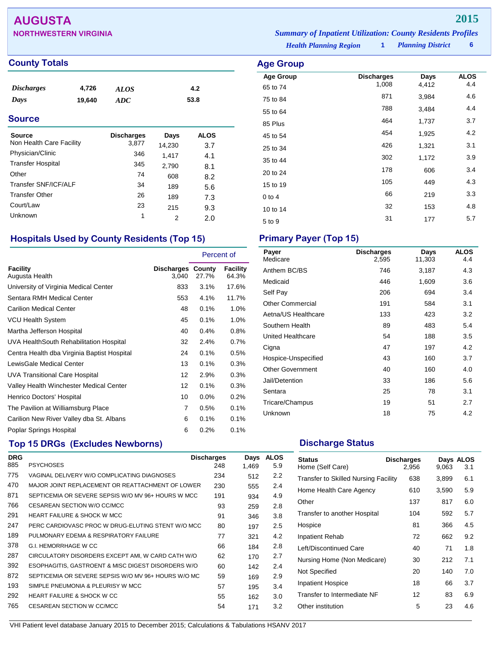## **AUGUSTA 2015**

| <b>NORTHWESTERN VIRGINIA</b> |                               | <b>Summary of Inpatient Utilization: County Residents Profiles</b> |                          |  |
|------------------------------|-------------------------------|--------------------------------------------------------------------|--------------------------|--|
|                              | <b>Health Planning Region</b> |                                                                    | <b>Planning District</b> |  |

**Age Group Discharges Days ALOS**<br>65 to 74 1,008 4,412 4.4 65 to 74 **1,008** 4,412 4.4 75 to 84 <sup>871</sup> 3,984 4.6 55 to 64 <sup>788</sup> 3,484 4.4 85 Plus 3.7 45 to 54 <sup>454</sup> 1,925 4.2 25 to 34 and 26 and 26 and 26 and 27 and 27 and 28 and 28 and 28 and 28 and 28 and 28 and 28 and 28 and 28 and 35 to 44 302 1,172 3.9 20 to 24 <sup>178</sup> <sup>606</sup> 3.4 15 to 19 105 105 449 4.3  $0$  to 4 66 219 3.3 10 to 14 32 153 4.8 5 to 9 31 177 5.7

*Health Planning Region* **1**

### **County Totals Age Group**

| <i><b>Discharges</b></i> | 4,726  | <b>ALOS</b> | 4.2  |
|--------------------------|--------|-------------|------|
| Days                     | 19.640 | ADC         | 53.8 |

### **Source**

| <b>Source</b><br>Non Health Care Facility | <b>Discharges</b><br>3,877 | Days<br>14,230 | <b>ALOS</b> |
|-------------------------------------------|----------------------------|----------------|-------------|
| Physician/Clinic                          | 346                        |                | 3.7         |
| <b>Transfer Hospital</b>                  | 345                        | 1,417          | 4.1         |
| Other                                     | 74                         | 2,790          | 8.1         |
| Transfer SNF/ICF/ALF                      | 34                         | 608            | 8.2         |
| <b>Transfer Other</b>                     | 26                         | 189            | 5.6         |
| Court/Law                                 | 23                         | 189            | 7.3         |
| <b>Unknown</b>                            | 1                          | 215            | 9.3         |
|                                           |                            | 2              | 2.0         |

## **Hospitals Used by County Residents (Top 15) Primary Payer (Top 15)**

|                                             |                                   | Percent of |                   |
|---------------------------------------------|-----------------------------------|------------|-------------------|
| Facility<br>Augusta Health                  | <b>Discharges County</b><br>3,040 | 27.7%      | Facility<br>64.3% |
| University of Virginia Medical Center       | 833                               | 3.1%       | 17.6%             |
| Sentara RMH Medical Center                  | 553                               | 4.1%       | 11.7%             |
| <b>Carilion Medical Center</b>              | 48                                | 0.1%       | 1.0%              |
| <b>VCU Health System</b>                    | 45                                | 0.1%       | 1.0%              |
| Martha Jefferson Hospital                   | 40                                | 0.4%       | 0.8%              |
| UVA HealthSouth Rehabilitation Hospital     | 32                                | 2.4%       | 0.7%              |
| Centra Health dba Virginia Baptist Hospital | 24                                | 0.1%       | 0.5%              |
| LewisGale Medical Center                    | 13                                | 0.1%       | 0.3%              |
| <b>UVA Transitional Care Hospital</b>       | 12                                | 2.9%       | 0.3%              |
| Valley Health Winchester Medical Center     | 12                                | 0.1%       | 0.3%              |
| Henrico Doctors' Hospital                   | 10                                | $0.0\%$    | 0.2%              |
| The Pavilion at Williamsburg Place          | 7                                 | 0.5%       | 0.1%              |
| Carilion New River Valley dba St. Albans    | 6                                 | 0.1%       | 0.1%              |
| Poplar Springs Hospital                     | 6                                 | 0.2%       | 0.1%              |

## **Top 15 DRGs (Excludes Newborns) Discharge Status Discharge Status**

| <b>DRG</b> |                                                     | <b>Discharges</b> | Days  | <b>ALOS</b> |
|------------|-----------------------------------------------------|-------------------|-------|-------------|
| 885        | <b>PSYCHOSES</b>                                    | 248               | 1.469 | 5.9         |
| 775        | VAGINAL DELIVERY W/O COMPLICATING DIAGNOSES         | 234               | 512   | 2.2         |
| 470        | MAJOR JOINT REPLACEMENT OR REATTACHMENT OF LOWER    | 230               | 555   | 2.4         |
| 871        | SEPTICEMIA OR SEVERE SEPSIS W/O MV 96+ HOURS W MCC  | 191               | 934   | 4.9         |
| 766        | CESAREAN SECTION W/O CC/MCC                         | 93                | 259   | 2.8         |
| 291        | <b>HEART FAILURE &amp; SHOCK W MCC</b>              | 91                | 346   | 3.8         |
| 247        | PERC CARDIOVASC PROC W DRUG-ELUTING STENT W/O MCC   | 80                | 197   | 2.5         |
| 189        | PULMONARY EDEMA & RESPIRATORY FAILURE               | 77                | 321   | 4.2         |
| 378        | G.I. HEMORRHAGE W CC                                | 66                | 184   | 2.8         |
| 287        | CIRCULATORY DISORDERS EXCEPT AMI, W CARD CATH W/O   | 62                | 170   | 2.7         |
| 392        | ESOPHAGITIS, GASTROENT & MISC DIGEST DISORDERS W/O  | 60                | 142   | 2.4         |
| 872        | SEPTICEMIA OR SEVERE SEPSIS W/O MV 96+ HOURS W/O MC | 59                | 169   | 2.9         |
| 193        | SIMPLE PNEUMONIA & PLEURISY W MCC                   | 57                | 195   | 3.4         |
| 292        | <b>HEART FAILURE &amp; SHOCK W CC</b>               | 55                | 162   | 3.0         |
| 765        | CESAREAN SECTION W CC/MCC                           | 54                | 171   | 3.2         |

| Payer<br>Medicare       | <b>Discharges</b><br>2,595 | Days<br>11,303 | <b>ALOS</b><br>4.4 |
|-------------------------|----------------------------|----------------|--------------------|
| Anthem BC/BS            | 746                        | 3,187          | 4.3                |
| Medicaid                | 446                        | 1,609          | 3.6                |
| Self Pay                | 206                        | 694            | 3.4                |
| Other Commercial        | 191                        | 584            | 3.1                |
| Aetna/US Healthcare     | 133                        | 423            | 3.2                |
| Southern Health         | 89                         | 483            | 5.4                |
| United Healthcare       | 54                         | 188            | 3.5                |
| Cigna                   | 47                         | 197            | 4.2                |
| Hospice-Unspecified     | 43                         | 160            | 3.7                |
| <b>Other Government</b> | 40                         | 160            | 4.0                |
| Jail/Detention          | 33                         | 186            | 5.6                |
| Sentara                 | 25                         | 78             | 3.1                |
| Tricare/Champus         | 19                         | 51             | 2.7                |
| Unknown                 | 18                         | 75             | 4.2                |

| <b>Status</b><br>Home (Self Care)           | <b>Discharges</b><br>2.956 | 9,063 | Days ALOS<br>3.1 |
|---------------------------------------------|----------------------------|-------|------------------|
| <b>Transfer to Skilled Nursing Facility</b> | 638                        | 3,899 | 6.1              |
| Home Health Care Agency                     | 610                        | 3,590 | 5.9              |
| Other                                       | 137                        | 817   | 6.0              |
| Transfer to another Hospital                | 104                        | 592   | 5.7              |
| Hospice                                     | 81                         | 366   | 4.5              |
| Inpatient Rehab                             | 72                         | 662   | 9.2              |
| Left/Discontinued Care                      | 40                         | 71    | 1.8              |
| Nursing Home (Non Medicare)                 | 30                         | 212   | 7.1              |
| Not Specified                               | 20                         | 140   | 7.0              |
| Inpatient Hospice                           | 18                         | 66    | 3.7              |
| Transfer to Intermediate NF                 | 12                         | 83    | 6.9              |
| Other institution                           | 5                          | 23    | 4.6              |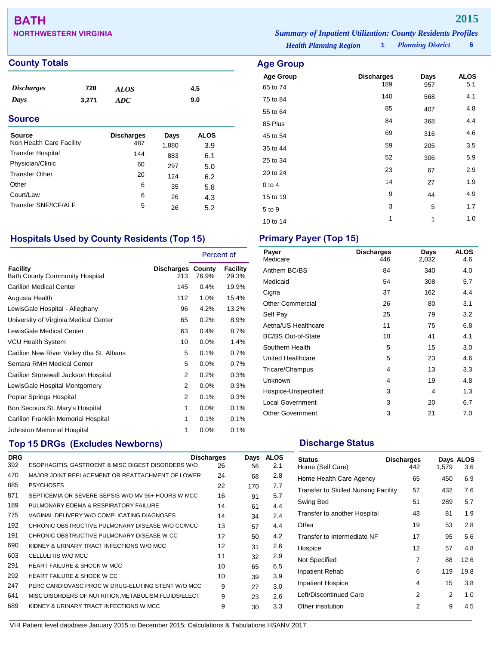# **BATH 2015**

## **County Totals Age Group**

| <i><b>Discharges</b></i> | 728   | <b>ALOS</b> | 4.5 |
|--------------------------|-------|-------------|-----|
| Days                     | 3,271 | ADC         | 9.0 |
|                          |       |             |     |

### **Source**

| <b>Source</b>            | <b>Discharges</b> | Days  | ALOS |
|--------------------------|-------------------|-------|------|
| Non Health Care Facility | 487               | 1,880 | 3.9  |
| <b>Transfer Hospital</b> | 144               | 883   | 6.1  |
| Physician/Clinic         | 60                | 297   | 5.0  |
| <b>Transfer Other</b>    | 20                | 124   | 6.2  |
| Other                    | 6                 | 35    | 5.8  |
| Court/Law                | 6                 | 26    | 4.3  |
| Transfer SNF/ICF/ALF     | 5                 | 26    | 5.2  |

## **Hospitals Used by County Residents (Top 15) Primary Payer (Top 15)**

|                                                   |                   | Percent of      |                   |
|---------------------------------------------------|-------------------|-----------------|-------------------|
| Facility<br><b>Bath County Community Hospital</b> | Discharges<br>213 | County<br>76.9% | Facility<br>29.3% |
| <b>Carilion Medical Center</b>                    | 145               | 0.4%            | 19.9%             |
| Augusta Health                                    | 112               | $1.0\%$         | 15.4%             |
| LewisGale Hospital - Alleghany                    | 96                | 4.2%            | 13.2%             |
| University of Virginia Medical Center             | 65                | 0.2%            | 8.9%              |
| LewisGale Medical Center                          | 63                | 0.4%            | 8.7%              |
| <b>VCU Health System</b>                          | 10                | $0.0\%$         | 1.4%              |
| Carilion New River Valley dba St. Albans          | 5                 | 0.1%            | 0.7%              |
| Sentara RMH Medical Center                        | 5                 | 0.0%            | 0.7%              |
| Carilion Stonewall Jackson Hospital               | 2                 | 0.2%            | 0.3%              |
| LewisGale Hospital Montgomery                     | 2                 | $0.0\%$         | 0.3%              |
| Poplar Springs Hospital                           | 2                 | 0.1%            | 0.3%              |
| Bon Secours St. Mary's Hospital                   | 1                 | 0.0%            | 0.1%              |
| Carilion Franklin Memorial Hospital               | 1                 | 0.1%            | 0.1%              |
| Johnston Memorial Hospital                        | 1                 | 0.0%            | 0.1%              |

## **Top 15 DRGs (Excludes Newborns) Discharge Status Discharge Status**

| <b>DRG</b> |                                                     | <b>Discharges</b> | Days | <b>ALOS</b> |
|------------|-----------------------------------------------------|-------------------|------|-------------|
| 392        | ESOPHAGITIS, GASTROENT & MISC DIGEST DISORDERS W/O  | 26                | 56   | 2.1         |
| 470        | MAJOR JOINT REPLACEMENT OR REATTACHMENT OF LOWER    | 24                | 68   | 2.8         |
| 885        | <b>PSYCHOSES</b>                                    | 22                | 170  | 7.7         |
| 871        | SEPTICEMIA OR SEVERE SEPSIS W/O MV 96+ HOURS W MCC  | 16                | 91   | 5.7         |
| 189        | PULMONARY EDEMA & RESPIRATORY FAILURE               | 14                | 61   | 4.4         |
| 775        | VAGINAL DELIVERY W/O COMPLICATING DIAGNOSES         | 14                | 34   | 2.4         |
| 192        | CHRONIC OBSTRUCTIVE PULMONARY DISEASE W/O CC/MCC    | 13                | 57   | 4.4         |
| 191        | CHRONIC OBSTRUCTIVE PULMONARY DISEASE W CC          | 12                | 50   | 4.2         |
| 690        | KIDNEY & URINARY TRACT INFECTIONS W/O MCC           | 12                | 31   | 2.6         |
| 603        | CELLULITIS W/O MCC                                  | 11                | 32   | 2.9         |
| 291        | <b>HEART FAILURE &amp; SHOCK W MCC</b>              | 10                | 65   | 6.5         |
| 292        | HEART FAILURE & SHOCK W CC                          | 10                | 39   | 3.9         |
| 247        | PERC CARDIOVASC PROC W DRUG-ELUTING STENT W/O MCC   | 9                 | 27   | 3.0         |
| 641        | MISC DISORDERS OF NUTRITION.METABOLISM.FLUIDS/ELECT | 9                 | 23   | 2.6         |
| 689        | KIDNEY & URINARY TRACT INFECTIONS W MCC             | 9                 | 30   | 3.3         |

**NORTHWESTERN VIRGINIA** *Summary of Inpatient Utilization: County Residents Profiles*

*Health Planning Region* **1**

*Planning District* **6**

| Age Group        |                          |      |                    |
|------------------|--------------------------|------|--------------------|
| <b>Age Group</b> | <b>Discharges</b><br>189 | Days | <b>ALOS</b><br>5.1 |
| 65 to 74         |                          | 957  |                    |
| 75 to 84         | 140                      | 568  | 4.1                |
| 55 to 64         | 85                       | 407  | 4.8                |
| 85 Plus          | 84                       | 368  | 4.4                |
| 45 to 54         | 69                       | 316  | 4.6                |
| 35 to 44         | 59                       | 205  | 3.5                |
| 25 to 34         | 52                       | 306  | 5.9                |
| 20 to 24         | 23                       | 67   | 2.9                |
| $0$ to $4$       | 14                       | 27   | 1.9                |
| 15 to 19         | 9                        | 44   | 4.9                |
| 5 to 9           | 3                        | 5    | 1.7                |
| 10 to 14         | 1                        | 1    | 1.0                |

| Payer<br>Medicare         | <b>Discharges</b><br>446 | Days<br>2,032 | <b>ALOS</b><br>4.6 |
|---------------------------|--------------------------|---------------|--------------------|
| Anthem BC/BS              | 84                       | 340           | 4.0                |
| Medicaid                  | 54                       | 308           | 5.7                |
| Cigna                     | 37                       | 162           | 4.4                |
| <b>Other Commercial</b>   | 26                       | 80            | 3.1                |
| Self Pay                  | 25                       | 79            | 3.2                |
| Aetna/US Healthcare       | 11                       | 75            | 6.8                |
| <b>BC/BS Out-of-State</b> | 10                       | 41            | 4.1                |
| Southern Health           | 5                        | 15            | 3.0                |
| United Healthcare         | 5                        | 23            | 4.6                |
| Tricare/Champus           | 4                        | 13            | 3.3                |
| Unknown                   | 4                        | 19            | 4.8                |
| Hospice-Unspecified       | 3                        | 4             | 1.3                |
| <b>Local Government</b>   | 3                        | 20            | 6.7                |
| <b>Other Government</b>   | 3                        | 21            | 7.0                |

| <b>Status</b><br>Home (Self Care)           | <b>Discharges</b><br>442 | 1.579 | Days ALOS<br>3.6 |
|---------------------------------------------|--------------------------|-------|------------------|
| Home Health Care Agency                     | 65                       | 450   | 6.9              |
| <b>Transfer to Skilled Nursing Facility</b> | 57                       | 432   | 7.6              |
| Swing Bed                                   | 51                       | 289   | 5.7              |
| Transfer to another Hospital                | 43                       | 81    | 1.9              |
| Other                                       | 19                       | 53    | 2.8              |
| Transfer to Intermediate NF                 | 17                       | 95    | 5.6              |
| Hospice                                     | 12                       | 57    | 4.8              |
| Not Specified                               | 7                        | 88    | 12.6             |
| Inpatient Rehab                             | 6                        | 119   | 19.8             |
| <b>Inpatient Hospice</b>                    | 4                        | 15    | 3.8              |
| Left/Discontinued Care                      | 2                        | 2     | 1.0              |
| Other institution                           | 2                        | 9     | 4.5              |
|                                             |                          |       |                  |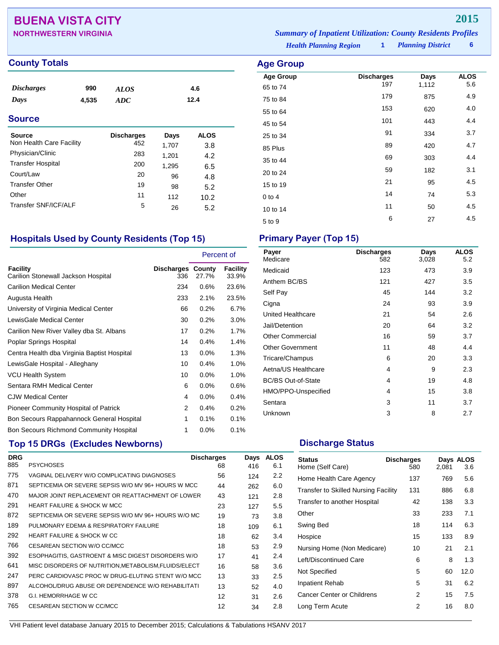## **BUENA VISTA CITY 2015**

| <b>NORTHWESTERN VIRGINIA</b> | <b>Summary of Inpatient Utilization: County Residents Profiles</b> |                          |  |
|------------------------------|--------------------------------------------------------------------|--------------------------|--|
|                              | <b>Health Planning Region</b>                                      | <b>Planning District</b> |  |

**Age Group Discharges Days ALOS**<br>65 to 74 197 1,112 5.6 65 to 74 <sup>197</sup> 1,112 5.6 75 to 84 <sup>179</sup> <sup>875</sup> 4.9 55 to 64 <sup>153</sup> <sup>620</sup> 4.0 45 to 54 **101** 443 4.4 25 to 34 and 334 3.7 85 Plus 20 420 4.7 35 to 44 <sup>69</sup> <sup>303</sup> 4.4 20 to 24 **59** 182 3.1 15 to 19 21 95 4.5 0 to 4  $14$  74 5.3 10 to 14 11 50 4.5  $5 \text{ to } 9$  6 27 4.5

**County Totals Age Group** 

| <b>Discharges</b><br>Days | 990<br>4,535 | <i>ALOS</i><br>ADC |       | 4.6<br>12.4 |
|---------------------------|--------------|--------------------|-------|-------------|
| <b>Source</b>             |              |                    |       |             |
| Source                    |              | <b>Discharges</b>  | Days  | <b>ALOS</b> |
| Non Health Care Facility  |              | 452                | 1,707 | 3.8         |
| Physician/Clinic          |              | 283                | 1,201 | 4.2         |
| <b>Transfer Hospital</b>  |              | 200                | 1,295 | 6.5         |
| Court/Law                 |              | 20                 | 96    | 4.8         |
| <b>Transfer Other</b>     |              | 19                 | 98    | 5.2         |
| Other                     |              | 11                 | 112   | 10.2        |
| Transfer SNF/ICF/ALF      |              | 5                  | 26    | 5.2         |

## **Hospitals Used by County Residents (Top 15) Primary Payer (Top 15)**

|                                                 |                          |         | Percent of        |
|-------------------------------------------------|--------------------------|---------|-------------------|
| Facility<br>Carilion Stonewall Jackson Hospital | Discharges County<br>336 | 27.7%   | Facility<br>33.9% |
| <b>Carilion Medical Center</b>                  | 234                      | 0.6%    | 23.6%             |
| Augusta Health                                  | 233                      | 2.1%    | 23.5%             |
| University of Virginia Medical Center           | 66                       | 0.2%    | 6.7%              |
| LewisGale Medical Center                        | 30                       | 0.2%    | 3.0%              |
| Carilion New River Valley dba St. Albans        | 17                       | 0.2%    | 1.7%              |
| Poplar Springs Hospital                         | 14                       | 0.4%    | 1.4%              |
| Centra Health dba Virginia Baptist Hospital     | 13                       | $0.0\%$ | 1.3%              |
| LewisGale Hospital - Alleghany                  | 10                       | 0.4%    | 1.0%              |
| <b>VCU Health System</b>                        | 10                       | 0.0%    | 1.0%              |
| Sentara RMH Medical Center                      | 6                        | $0.0\%$ | 0.6%              |
| <b>CJW Medical Center</b>                       | 4                        | 0.0%    | 0.4%              |
| Pioneer Community Hospital of Patrick           | 2                        | 0.4%    | 0.2%              |
| Bon Secours Rappahannock General Hospital       | 1                        | 0.1%    | 0.1%              |
| <b>Bon Secours Richmond Community Hospital</b>  | 1                        | 0.0%    | 0.1%              |

## **Top 15 DRGs (Excludes Newborns) Discharge Status Discharge Status**

| <b>DRG</b> |                                                       | <b>Discharges</b> | Days | <b>ALOS</b> |
|------------|-------------------------------------------------------|-------------------|------|-------------|
| 885        | <b>PSYCHOSES</b>                                      | 68                | 416  | 6.1         |
| 775        | VAGINAL DELIVERY W/O COMPLICATING DIAGNOSES           | 56                | 124  | 2.2         |
| 871        | SEPTICEMIA OR SEVERE SEPSIS W/O MV 96+ HOURS W MCC    | 44                | 262  | 6.0         |
| 470        | MAJOR JOINT REPLACEMENT OR REATTACHMENT OF LOWER      | 43                | 121  | 2.8         |
| 291        | <b>HEART FAILURE &amp; SHOCK W MCC</b>                | 23                | 127  | 5.5         |
| 872        | SEPTICEMIA OR SEVERE SEPSIS W/O MV 96+ HOURS W/O MC   | 19                | 73   | 3.8         |
| 189        | PULMONARY EDEMA & RESPIRATORY FAILURE                 | 18                | 109  | 6.1         |
| 292        | <b>HEART FAILURE &amp; SHOCK W CC</b>                 | 18                | 62   | 3.4         |
| 766        | CESAREAN SECTION W/O CC/MCC                           | 18                | 53   | 2.9         |
| 392        | ESOPHAGITIS, GASTROENT & MISC DIGEST DISORDERS W/O    | 17                | 41   | 2.4         |
| 641        | MISC DISORDERS OF NUTRITION, METABOLISM, FLUIDS/ELECT | 16                | 58   | 3.6         |
| 247        | PERC CARDIOVASC PROC W DRUG-ELUTING STENT W/O MCC     | 13                | 33   | $2.5\,$     |
| 897        | ALCOHOL/DRUG ABUSE OR DEPENDENCE W/O REHABILITATI     | 13                | 52   | 4.0         |
| 378        | G.I. HEMORRHAGE W CC                                  | 12                | 31   | 2.6         |
| 765        | <b>CESAREAN SECTION W CC/MCC</b>                      | 12                | 34   | 2.8         |
|            |                                                       |                   |      |             |

| Payer<br>Medicare         | <b>Discharges</b><br>582 | Days<br>3,028 | <b>ALOS</b><br>5.2 |
|---------------------------|--------------------------|---------------|--------------------|
| Medicaid                  | 123                      | 473           | 3.9                |
| Anthem BC/BS              | 121                      | 427           | 3.5                |
| Self Pay                  | 45                       | 144           | 3.2                |
| Cigna                     | 24                       | 93            | 3.9                |
| United Healthcare         | 21                       | 54            | 2.6                |
| Jail/Detention            | 20                       | 64            | 3.2                |
| <b>Other Commercial</b>   | 16                       | 59            | 3.7                |
| <b>Other Government</b>   | 11                       | 48            | 4.4                |
| Tricare/Champus           | 6                        | 20            | 3.3                |
| Aetna/US Healthcare       | 4                        | 9             | 2.3                |
| <b>BC/BS Out-of-State</b> | 4                        | 19            | 4.8                |
| HMO/PPO-Unspecified       | 4                        | 15            | 3.8                |
| Sentara                   | 3                        | 11            | 3.7                |
| Unknown                   | 3                        | 8             | 2.7                |

| <b>Status</b><br>Home (Self Care)           | <b>Discharges</b><br>580 | 2,081 | Days ALOS<br>3.6 |
|---------------------------------------------|--------------------------|-------|------------------|
| Home Health Care Agency                     | 137                      | 769   | 5.6              |
| <b>Transfer to Skilled Nursing Facility</b> | 131                      | 886   | 6.8              |
| Transfer to another Hospital                | 42                       | 138   | 3.3              |
| Other                                       | 33                       | 233   | 7.1              |
| Swing Bed                                   | 18                       | 114   | 6.3              |
| Hospice                                     | 15                       | 133   | 8.9              |
| Nursing Home (Non Medicare)                 | 10                       | 21    | 2.1              |
| Left/Discontinued Care                      | 6                        | 8     | 1.3              |
| Not Specified                               | 5                        | 60    | 12.0             |
| <b>Inpatient Rehab</b>                      | 5                        | 31    | 6.2              |
| Cancer Center or Childrens                  | 2                        | 15    | 7.5              |
| Long Term Acute                             | 2                        | 16    | 8.0              |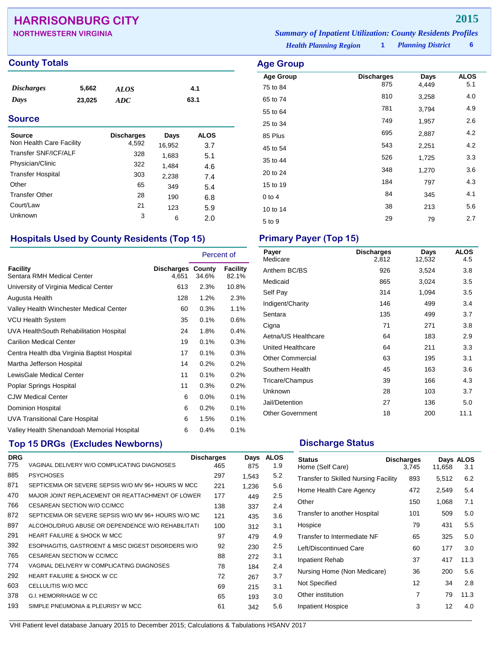## **HARRISONBURG CITY 2015**

| <b>NORTHWESTERN VIRGINIA</b> | <b>Summary of Inpatient Utilization: County Residents Profiles</b> |
|------------------------------|--------------------------------------------------------------------|
|                              |                                                                    |

**Age Group Discharges Days ALOS** 75 to 84 <sup>875</sup> 4,449 5.1 65 to 74 <sup>810</sup> 3,258 4.0 55 to 64 <sup>781</sup> 3,794 4.9 25 to 34 <sup>749</sup> 1,957 2.6 85 Plus <sup>695</sup> 2,887 4.2 45 to 54 **543** 2,251 4.2 35 to 44 <sup>526</sup> 1,725 3.3 20 to 24 **348** 1,270 3.6 15 to 19 184 184 185 185 186 19 0 to 4  $84$   $345$   $4.1$ 10 to 14 38 213 5.6 5 to 9 29 29 2.7

*Health Planning Region* **1**

*Planning District* **6**

# **County Totals Age Group**

| <i><b>Discharges</b></i> | 5,662  | ALOS | 4.1  |
|--------------------------|--------|------|------|
| Days                     | 23,025 | ADC  | 63.1 |

### **Source**

| Source<br>Non Health Care Facility | <b>Discharges</b><br>4,592 | Days<br>16,952 | ALOS<br>3.7 |
|------------------------------------|----------------------------|----------------|-------------|
| Transfer SNF/ICF/ALF               | 328                        | 1,683          | 5.1         |
| Physician/Clinic                   | 322                        | 1,484          | 4.6         |
| <b>Transfer Hospital</b>           | 303                        | 2,238          | 7.4         |
| Other                              | 65                         | 349            | 5.4         |
| <b>Transfer Other</b>              | 28                         | 190            | 6.8         |
| Court/Law                          | 21                         | 123            | 5.9         |
| Unknown                            | 3                          | 6              | 2.0         |

## **Hospitals Used by County Residents (Top 15) Primary Payer (Top 15)**

|                                               |                     |                 | Percent of               |
|-----------------------------------------------|---------------------|-----------------|--------------------------|
| <b>Facility</b><br>Sentara RMH Medical Center | Discharges<br>4,651 | County<br>34.6% | <b>Facility</b><br>82.1% |
| University of Virginia Medical Center         | 613                 | 2.3%            | 10.8%                    |
| Augusta Health                                | 128                 | $1.2\%$         | 2.3%                     |
| Valley Health Winchester Medical Center       | 60                  | 0.3%            | 1.1%                     |
| <b>VCU Health System</b>                      | 35                  | 0.1%            | 0.6%                     |
| UVA HealthSouth Rehabilitation Hospital       | 24                  | 1.8%            | $0.4\%$                  |
| <b>Carilion Medical Center</b>                | 19                  | 0.1%            | 0.3%                     |
| Centra Health dba Virginia Baptist Hospital   | 17                  | 0.1%            | 0.3%                     |
| Martha Jefferson Hospital                     | 14                  | 0.2%            | 0.2%                     |
| LewisGale Medical Center                      | 11                  | 0.1%            | $0.2\%$                  |
| Poplar Springs Hospital                       | 11                  | 0.3%            | 0.2%                     |
| <b>CJW Medical Center</b>                     | 6                   | 0.0%            | 0.1%                     |
| Dominion Hospital                             | 6                   | 0.2%            | 0.1%                     |
| <b>UVA Transitional Care Hospital</b>         | 6                   | 1.5%            | 0.1%                     |
| Valley Health Shenandoah Memorial Hospital    | 6                   | 0.4%            | 0.1%                     |

## **Top 15 DRGs (Excludes Newborns) Discharge Status Discharge Status**

| <b>DRG</b> |                                                     | <b>Discharges</b> | Days  | <b>ALOS</b> |
|------------|-----------------------------------------------------|-------------------|-------|-------------|
| 775        | VAGINAL DELIVERY W/O COMPLICATING DIAGNOSES         | 465               | 875   | 1.9         |
| 885        | <b>PSYCHOSES</b>                                    | 297               | 1.543 | 5.2         |
| 871        | SEPTICEMIA OR SEVERE SEPSIS W/O MV 96+ HOURS W MCC  | 221               | 1.236 | 5.6         |
| 470        | MAJOR JOINT REPLACEMENT OR REATTACHMENT OF LOWER    | 177               | 449   | $2.5\,$     |
| 766        | CESAREAN SECTION W/O CC/MCC                         | 138               | 337   | 2.4         |
| 872        | SEPTICEMIA OR SEVERE SEPSIS W/O MV 96+ HOURS W/O MC | 121               | 435   | 3.6         |
| 897        | ALCOHOL/DRUG ABUSE OR DEPENDENCE W/O REHABILITATI   | 100               | 312   | 3.1         |
| 291        | <b>HEART FAILURE &amp; SHOCK W MCC</b>              | 97                | 479   | 4.9         |
| 392        | ESOPHAGITIS, GASTROENT & MISC DIGEST DISORDERS W/O  | 92                | 230   | $2.5\,$     |
| 765        | CESAREAN SECTION W CC/MCC                           | 88                | 272   | 3.1         |
| 774        | VAGINAL DELIVERY W COMPLICATING DIAGNOSES           | 78                | 184   | 2.4         |
| 292        | <b>HEART FAILURE &amp; SHOCK W CC</b>               | 72                | 267   | 3.7         |
| 603        | CELLULITIS W/O MCC                                  | 69                | 215   | 3.1         |
| 378        | <b>G.I. HEMORRHAGE W CC</b>                         | 65                | 193   | 3.0         |
| 193        | SIMPLE PNEUMONIA & PLEURISY W MCC                   | 61                | 342   | 5.6         |
|            |                                                     |                   |       |             |

| Payer                   | <b>Discharges</b> | Days   | <b>ALOS</b> |
|-------------------------|-------------------|--------|-------------|
| Medicare                | 2,812             | 12,532 | 4.5         |
| Anthem BC/BS            | 926               | 3,524  | 3.8         |
| Medicaid                | 865               | 3,024  | 3.5         |
| Self Pay                | 314               | 1,094  | 3.5         |
| Indigent/Charity        | 146               | 499    | 3.4         |
| Sentara                 | 135               | 499    | 3.7         |
| Cigna                   | 71                | 271    | 3.8         |
| Aetna/US Healthcare     | 64                | 183    | 2.9         |
| United Healthcare       | 64                | 211    | 3.3         |
| <b>Other Commercial</b> | 63                | 195    | 3.1         |
| Southern Health         | 45                | 163    | 3.6         |
| Tricare/Champus         | 39                | 166    | 4.3         |
| Unknown                 | 28                | 103    | 3.7         |
| Jail/Detention          | 27                | 136    | 5.0         |
| <b>Other Government</b> | 18                | 200    | 11.1        |
|                         |                   |        |             |

| <b>Status</b><br>Home (Self Care)           | <b>Discharges</b><br>3.745 | 11,658 | Days ALOS<br>3.1 |
|---------------------------------------------|----------------------------|--------|------------------|
| <b>Transfer to Skilled Nursing Facility</b> | 893                        | 5,512  | 6.2              |
| Home Health Care Agency                     | 472                        | 2,549  | 5.4              |
| Other                                       | 150                        | 1,068  | 7.1              |
| Transfer to another Hospital                | 101                        | 509    | 5.0              |
| Hospice                                     | 79                         | 431    | 5.5              |
| Transfer to Intermediate NF                 | 65                         | 325    | 5.0              |
| Left/Discontinued Care                      | 60                         | 177    | 3.0              |
| Inpatient Rehab                             | 37                         | 417    | 11.3             |
| Nursing Home (Non Medicare)                 | 36                         | 200    | 5.6              |
| Not Specified                               | 12                         | 34     | 2.8              |
| Other institution                           | 7                          | 79     | 11.3             |
| Inpatient Hospice                           | 3                          | 12     | 4.0              |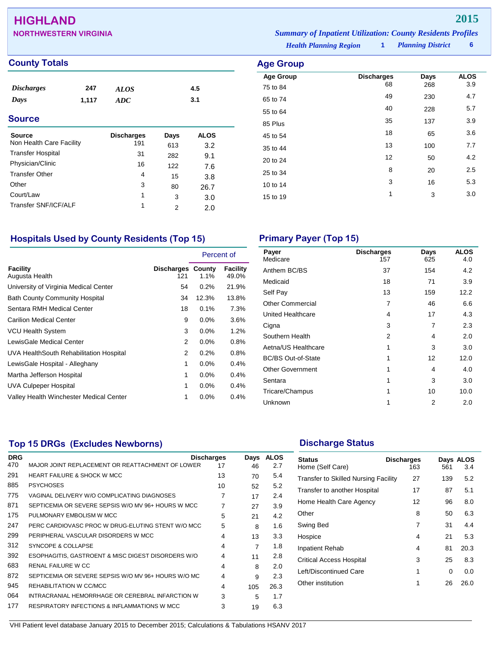## **HIGHLAND 2015**

| <b>NORTHWESTERN VIRGINIA</b> | <b>Summary of Inpatient Utilization: County Residents Profiles</b> |                          |  |
|------------------------------|--------------------------------------------------------------------|--------------------------|--|
|                              | <b>Health Planning Region</b>                                      | <b>Planning District</b> |  |

### **County Totals**

| <b>Discharges</b>        | 247   | <b>ALOS</b>       |      | 4.5         |  |
|--------------------------|-------|-------------------|------|-------------|--|
| Days                     | 1,117 | <b>ADC</b>        |      | 3.1         |  |
| <b>Source</b>            |       |                   |      |             |  |
| <b>Source</b>            |       | <b>Discharges</b> | Days | <b>ALOS</b> |  |
| Non Health Care Facility |       | 191               | 613  | 3.2         |  |
| <b>Transfer Hospital</b> |       | 31                | 282  | 9.1         |  |
| Physician/Clinic         |       | 16                | 122  | 7.6         |  |
| <b>Transfer Other</b>    |       | 4                 | 15   | 3.8         |  |
| Other                    |       | 3                 | 80   | 26.7        |  |
| Court/Law                |       | 1                 | 3    | 3.0         |  |
| Transfer SNF/ICF/ALF     |       | 1                 | 2    | 2.0         |  |
|                          |       |                   |      |             |  |

| <b>Age Group</b> |                   |      |             |
|------------------|-------------------|------|-------------|
| <b>Age Group</b> | <b>Discharges</b> | Days | <b>ALOS</b> |
| 75 to 84         | 68                | 268  | 3.9         |
| 65 to 74         | 49                | 230  | 4.7         |
| 55 to 64         | 40                | 228  | 5.7         |
| 85 Plus          | 35                | 137  | 3.9         |
| 45 to 54         | 18                | 65   | 3.6         |
| 35 to 44         | 13                | 100  | 7.7         |
| 20 to 24         | 12                | 50   | 4.2         |
| 25 to 34         | 8                 | 20   | 2.5         |
| 10 to 14         | 3                 | 16   | 5.3         |
| 15 to 19         | 1                 | 3    | 3.0         |
|                  |                   |      |             |

## **Hospitals Used by County Residents (Top 15) Primary Payer (Top 15)**

|                                         |                                 | Percent of |                          |
|-----------------------------------------|---------------------------------|------------|--------------------------|
| Facility<br>Augusta Health              | <b>Discharges County</b><br>121 | $1.1\%$    | <b>Facility</b><br>49.0% |
| University of Virginia Medical Center   | 54                              | 0.2%       | 21.9%                    |
| <b>Bath County Community Hospital</b>   | 34                              | 12.3%      | 13.8%                    |
| Sentara RMH Medical Center              | 18                              | 0.1%       | 7.3%                     |
| <b>Carilion Medical Center</b>          | 9                               | $0.0\%$    | 3.6%                     |
| <b>VCU Health System</b>                | 3                               | $0.0\%$    | 1.2%                     |
| LewisGale Medical Center                | 2                               | 0.0%       | 0.8%                     |
| UVA HealthSouth Rehabilitation Hospital | 2                               | 0.2%       | 0.8%                     |
| LewisGale Hospital - Alleghany          | 1                               | 0.0%       | 0.4%                     |
| Martha Jefferson Hospital               | 1                               | $0.0\%$    | 0.4%                     |
| UVA Culpeper Hospital                   | 1                               | $0.0\%$    | 0.4%                     |
| Valley Health Winchester Medical Center | 1                               | 0.0%       | 0.4%                     |

| Payer<br>Medicare         | <b>Discharges</b><br>157 | Days<br>625 | <b>ALOS</b><br>4.0 |
|---------------------------|--------------------------|-------------|--------------------|
| Anthem BC/BS              | 37                       | 154         | 4.2                |
| Medicaid                  | 18                       | 71          | 3.9                |
| Self Pay                  | 13                       | 159         | 12.2               |
| <b>Other Commercial</b>   | 7                        | 46          | 6.6                |
| United Healthcare         | 4                        | 17          | 4.3                |
| Cigna                     | 3                        | 7           | 2.3                |
| Southern Health           | 2                        | 4           | 2.0                |
| Aetna/US Healthcare       | 1                        | 3           | 3.0                |
| <b>BC/BS Out-of-State</b> | 1                        | 12          | 12.0               |
| <b>Other Government</b>   | 1                        | 4           | 4.0                |
| Sentara                   | 1                        | 3           | 3.0                |
| Tricare/Champus           | 1                        | 10          | 10.0               |
| Unknown                   | 1                        | 2           | 2.0                |

## **Top 15 DRGs (Excludes Newborns) Discharge Status Discharge Status**

| <b>DRG</b> |                                                     | <b>Discharges</b> | Days | <b>ALOS</b> |  |
|------------|-----------------------------------------------------|-------------------|------|-------------|--|
| 470        | MAJOR JOINT REPLACEMENT OR REATTACHMENT OF LOWER    | 17                | 46   | 2.7         |  |
| 291        | <b>HEART FAILURE &amp; SHOCK W MCC</b>              | 13                | 70   | 5.4         |  |
| 885        | <b>PSYCHOSES</b>                                    | 10                | 52   | 5.2         |  |
| 775        | VAGINAL DELIVERY W/O COMPLICATING DIAGNOSES         | 7                 | 17   | 2.4         |  |
| 871        | SEPTICEMIA OR SEVERE SEPSIS W/O MV 96+ HOURS W MCC  | 7                 | 27   | 3.9         |  |
| 175        | PULMONARY EMBOLISM W MCC                            | 5                 | 21   | 4.2         |  |
| 247        | PERC CARDIOVASC PROC W DRUG-ELUTING STENT W/O MCC   | 5                 | 8    | 1.6         |  |
| 299        | PERIPHERAL VASCULAR DISORDERS W MCC                 | 4                 | 13   | 3.3         |  |
| 312        | SYNCOPE & COLLAPSE                                  | 4                 | 7    | 1.8         |  |
| 392        | ESOPHAGITIS, GASTROENT & MISC DIGEST DISORDERS W/O  | 4                 | 11   | 2.8         |  |
| 683        | <b>RENAL FAILURE W CC</b>                           | 4                 | R    | 2.0         |  |
| 872        | SEPTICEMIA OR SEVERE SEPSIS W/O MV 96+ HOURS W/O MC | 4                 | 9    | 2.3         |  |
| 945        | REHABILITATION W CC/MCC                             | 4                 | 105  | 26.3        |  |
| 064        | INTRACRANIAL HEMORRHAGE OR CEREBRAL INFARCTION W    | 3                 | 5    | 1.7         |  |
| 177        | RESPIRATORY INFECTIONS & INFLAMMATIONS W MCC        | 3                 | 19   | 6.3         |  |
|            |                                                     |                   |      |             |  |

| <b>Status</b><br>Home (Self Care)           | <b>Discharges</b><br>163 | 561 | Days ALOS<br>3.4 |
|---------------------------------------------|--------------------------|-----|------------------|
| <b>Transfer to Skilled Nursing Facility</b> | 27                       | 139 | 5.2              |
| Transfer to another Hospital                | 17                       | 87  | 5.1              |
| Home Health Care Agency                     | 12                       | 96  | 8.0              |
| Other                                       | 8                        | 50  | 6.3              |
| Swing Bed                                   | 7                        | 31  | 4.4              |
| Hospice                                     | 4                        | 21  | 5.3              |
| <b>Inpatient Rehab</b>                      | 4                        | 81  | 20.3             |
| <b>Critical Access Hospital</b>             | 3                        | 25  | 8.3              |
| Left/Discontinued Care                      | 1                        | 0   | 0.0              |
| Other institution                           | 1                        | 26  | 26.0             |
|                                             |                          |     |                  |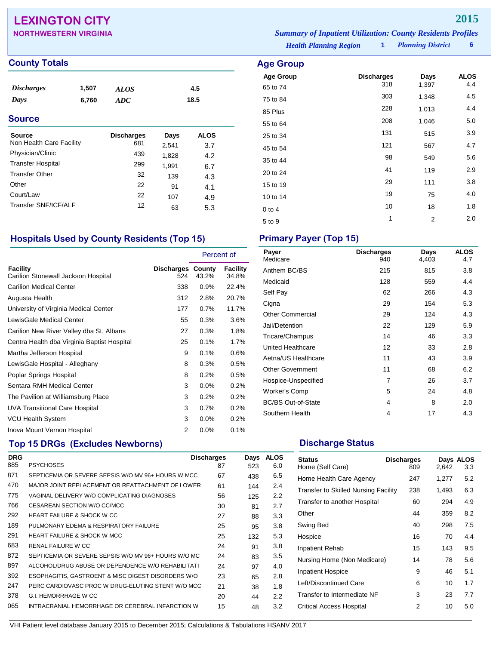## **LEXINGTON CITY 2015**

### *Planning District* **6 NORTHWESTERN VIRGINIA** *Summary of Inpatient Utilization: County Residents Profiles*

**Age Group Discharges Days ALOS**<br>  $65 \text{ to } 74$  0.318 1.397 4.4 65 to 74 <sup>318</sup> 1,397 4.4 75 to 84 <sup>303</sup> 1,348 4.5 85 Plus <sup>228</sup> 1,013 4.4 55 to 64 <sup>208</sup> 1,046 5.0 25 to 34 <sup>131</sup> <sup>515</sup> 3.9 45 to 54 <sup>121</sup> <sup>567</sup> 4.7 35 to 44 <sup>98</sup> <sup>549</sup> 5.6 20 to 24 **41** 119 2.9 15 to 19 29 111 3.8 10 to 14 19 19 19 10 10 14  $0$  to 4  $10$   $18$   $1.8$  $5 \text{ to } 9$  1 2 2.0

*Health Planning Region* **1**

## **County Totals Age Group**

| <b>Discharges</b><br>Days<br><b>Source</b> | 1,507<br>6,760 | <b>ALOS</b><br>ADC       |       | 4.5<br>18.5 |  |
|--------------------------------------------|----------------|--------------------------|-------|-------------|--|
| <b>Source</b><br>Non Health Care Facility  |                | <b>Discharges</b><br>681 | Days  | <b>ALOS</b> |  |
| Physician/Clinic                           |                | 439                      | 2,541 | 3.7         |  |
| <b>Transfer Hospital</b>                   |                |                          | 1,828 | 4.2         |  |
|                                            |                | 299                      | 1,991 | 6.7         |  |
| <b>Transfer Other</b>                      |                | 32                       | 139   | 4.3         |  |
| Other                                      |                | 22                       | 91    | 4.1         |  |
| Court/Law                                  |                | 22                       | 107   | 4.9         |  |
|                                            |                |                          |       |             |  |

## **Hospitals Used by County Residents (Top 15) Primary Payer (Top 15)**

Transfer SNF/ICF/ALF 12 63 5.3

|                                                 |                                 | Percent of |                   |
|-------------------------------------------------|---------------------------------|------------|-------------------|
| Facility<br>Carilion Stonewall Jackson Hospital | <b>Discharges County</b><br>524 | 43.2%      | Facility<br>34.8% |
| <b>Carilion Medical Center</b>                  | 338                             | 0.9%       | 22.4%             |
| Augusta Health                                  | 312                             | 2.8%       | 20.7%             |
| University of Virginia Medical Center           | 177                             | 0.7%       | 11.7%             |
| LewisGale Medical Center                        | 55                              | 0.3%       | 3.6%              |
| Carilion New River Valley dba St. Albans        | 27                              | 0.3%       | 1.8%              |
| Centra Health dba Virginia Baptist Hospital     | 25                              | 0.1%       | 1.7%              |
| Martha Jefferson Hospital                       | 9                               | 0.1%       | 0.6%              |
| LewisGale Hospital - Alleghany                  | 8                               | 0.3%       | 0.5%              |
| Poplar Springs Hospital                         | 8                               | 0.2%       | 0.5%              |
| Sentara RMH Medical Center                      | 3                               | $0.0\%$    | $0.2\%$           |
| The Pavilion at Williamsburg Place              | 3                               | 0.2%       | 0.2%              |
| <b>UVA Transitional Care Hospital</b>           | 3                               | 0.7%       | $0.2\%$           |
| <b>VCU Health System</b>                        | 3                               | $0.0\%$    | 0.2%              |
| Inova Mount Vernon Hospital                     | 2                               | 0.0%       | 0.1%              |

| Payer<br>Medicare         | <b>Discharges</b><br>940 | Days<br>4,403 | <b>ALOS</b><br>4.7 |
|---------------------------|--------------------------|---------------|--------------------|
| Anthem BC/BS              | 215                      | 815           | 3.8                |
| Medicaid                  | 128                      | 559           | 4.4                |
| Self Pay                  | 62                       | 266           | 4.3                |
| Cigna                     | 29                       | 154           | 5.3                |
| <b>Other Commercial</b>   | 29                       | 124           | 4.3                |
| Jail/Detention            | 22                       | 129           | 5.9                |
| Tricare/Champus           | 14                       | 46            | 3.3                |
| United Healthcare         | 12                       | 33            | 2.8                |
| Aetna/US Healthcare       | 11                       | 43            | 3.9                |
| <b>Other Government</b>   | 11                       | 68            | 6.2                |
| Hospice-Unspecified       | 7                        | 26            | 3.7                |
| Worker's Comp             | 5                        | 24            | 4.8                |
| <b>BC/BS Out-of-State</b> | 4                        | 8             | 2.0                |
| Southern Health           | 4                        | 17            | 4.3                |
|                           |                          |               |                    |

## **Top 15 DRGs (Excludes Newborns) Discharge Status Discharge Status**

| <b>DRG</b> |                                                     | <b>Discharges</b> | Days | <b>ALOS</b> |
|------------|-----------------------------------------------------|-------------------|------|-------------|
| 885        | <b>PSYCHOSES</b>                                    | 87                | 523  | 6.0         |
| 871        | SEPTICEMIA OR SEVERE SEPSIS W/O MV 96+ HOURS W MCC  | 67                | 438  | 6.5         |
| 470        | MAJOR JOINT REPLACEMENT OR REATTACHMENT OF LOWER    | 61                | 144  | 2.4         |
| 775        | VAGINAL DELIVERY W/O COMPLICATING DIAGNOSES         | 56                | 125  | 2.2         |
| 766        | CESAREAN SECTION W/O CC/MCC                         | 30                | 81   | 2.7         |
| 292        | <b>HEART FAILURE &amp; SHOCK W CC</b>               | 27                | 88   | 3.3         |
| 189        | PULMONARY EDEMA & RESPIRATORY FAILURE               | 25                | 95   | 3.8         |
| 291        | HEART FAILURE & SHOCK W MCC                         | 25                | 132  | 5.3         |
| 683        | RENAL FAILURE W CC                                  | 24                | 91   | 3.8         |
| 872        | SEPTICEMIA OR SEVERE SEPSIS W/O MV 96+ HOURS W/O MC | 24                | 83   | 3.5         |
| 897        | ALCOHOL/DRUG ABUSE OR DEPENDENCE W/O REHABILITATI   | 24                | 97   | 4.0         |
| 392        | ESOPHAGITIS, GASTROENT & MISC DIGEST DISORDERS W/O  | 23                | 65   | 2.8         |
| 247        | PERC CARDIOVASC PROC W DRUG-ELUTING STENT W/O MCC   | 21                | 38   | 1.8         |
| 378        | G.I. HEMORRHAGE W CC                                | 20                | 44   | 2.2         |
| 065        | INTRACRANIAL HEMORRHAGE OR CEREBRAL INFARCTION W    | 15                | 48   | 3.2         |
|            |                                                     |                   |      |             |

| <b>Status</b><br>Home (Self Care)           | <b>Discharges</b><br>809 | 2.642 | Days ALOS<br>3.3 |
|---------------------------------------------|--------------------------|-------|------------------|
| Home Health Care Agency                     | 247                      | 1,277 | 5.2              |
| <b>Transfer to Skilled Nursing Facility</b> | 238                      | 1,493 | 6.3              |
| Transfer to another Hospital                | 60                       | 294   | 4.9              |
| Other                                       | 44                       | 359   | 8.2              |
| Swing Bed                                   | 40                       | 298   | 7.5              |
| Hospice                                     | 16                       | 70    | 4.4              |
| Inpatient Rehab                             | 15                       | 143   | 9.5              |
| Nursing Home (Non Medicare)                 | 14                       | 78    | 5.6              |
| <b>Inpatient Hospice</b>                    | 9                        | 46    | 5.1              |
| Left/Discontinued Care                      | 6                        | 10    | 1.7              |
| Transfer to Intermediate NF                 | 3                        | 23    | 7.7              |
| Critical Access Hospital                    | 2                        | 10    | 5.0              |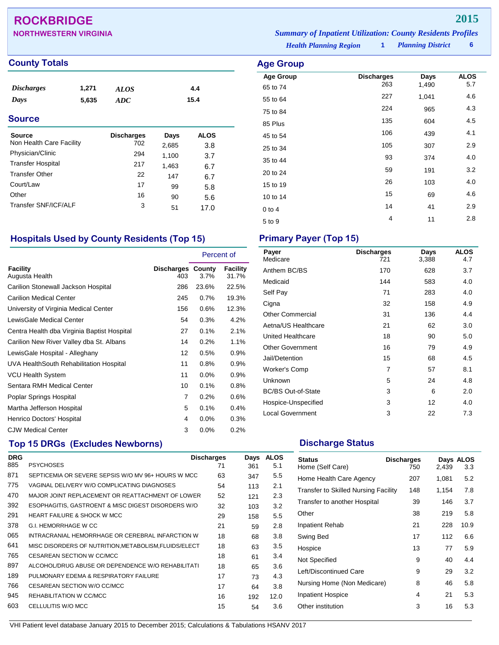## **ROCKBRIDGE 2015**

| <b>NORTHWESTERN VIRGINIA</b> | <b>Summary of Inpatient Utilization: County Residents Profiles</b> |  |                          |  |
|------------------------------|--------------------------------------------------------------------|--|--------------------------|--|
|                              | <b>Health Planning Region</b>                                      |  | <b>Planning District</b> |  |

**Age Group Discharges Days ALOS**<br>65 to 74 263 1,490 5.7 65 to 74 <sup>263</sup> 1,490 5.7 55 to 64 <sup>227</sup> 1,041 4.6 75 to 84 <sup>224</sup> <sup>965</sup> 4.3 85 Plus 135 604 4.5 45 to 54 **106** 439 4.1 25 to 34 <sup>105</sup> <sup>307</sup> 2.9 35 to 44 and 374 and 374 and 4.0 20 to 24 59 191 3.2 15 to 19 26 103 4.0 10 to 14 15 69 4.6 0 to 4  $14$  41  $2.9$  $5 \text{ to } 9$   $4$   $11$   $2.8$ 

**County Totals Age Group** 

| <b>Discharges</b><br>Days<br><b>Source</b> | 1,271<br>5,635 | ALOS<br><b>ADC</b> |       | 4.4<br>15.4 |  |
|--------------------------------------------|----------------|--------------------|-------|-------------|--|
| Source                                     |                | <b>Discharges</b>  | Days  | <b>ALOS</b> |  |
| Non Health Care Facility                   |                | 702                | 2,685 | 3.8         |  |
| Physician/Clinic                           |                | 294                | 1,100 | 3.7         |  |
| <b>Transfer Hospital</b>                   |                | 217                | 1.463 | 6.7         |  |
| <b>Transfer Other</b>                      |                | 22                 | 147   | 6.7         |  |
| Court/Law                                  |                | 17                 | 99    | 5.8         |  |
| Other                                      |                | 16                 | 90    | 5.6         |  |
| Transfer SNF/ICF/ALF                       |                | 3                  | 51    | 17.0        |  |

## **Hospitals Used by County Residents (Top 15) Primary Payer (Top 15)**

|                                             |                                 | Percent of |                          |
|---------------------------------------------|---------------------------------|------------|--------------------------|
| Facility<br>Augusta Health                  | <b>Discharges County</b><br>403 | 3.7%       | <b>Facility</b><br>31.7% |
| Carilion Stonewall Jackson Hospital         | 286                             | 23.6%      | 22.5%                    |
| <b>Carilion Medical Center</b>              | 245                             | 0.7%       | 19.3%                    |
| University of Virginia Medical Center       | 156                             | 0.6%       | 12.3%                    |
| LewisGale Medical Center                    | 54                              | 0.3%       | 4.2%                     |
| Centra Health dba Virginia Baptist Hospital | 27                              | 0.1%       | 2.1%                     |
| Carilion New River Valley dba St. Albans    | 14                              | 0.2%       | 1.1%                     |
| LewisGale Hospital - Alleghany              | 12                              | 0.5%       | 0.9%                     |
| UVA HealthSouth Rehabilitation Hospital     | 11                              | 0.8%       | 0.9%                     |
| VCU Health System                           | 11                              | $0.0\%$    | 0.9%                     |
| Sentara RMH Medical Center                  | 10                              | 0.1%       | 0.8%                     |
| Poplar Springs Hospital                     | 7                               | 0.2%       | 0.6%                     |
| Martha Jefferson Hospital                   | 5                               | 0.1%       | 0.4%                     |
| Henrico Doctors' Hospital                   | 4                               | 0.0%       | 0.3%                     |
| <b>CJW Medical Center</b>                   | 3                               | 0.0%       | 0.2%                     |

## **Top 15 DRGs (Excludes Newborns) Discharge Status Discharge Status**

| <b>DRG</b> |                                                       | <b>Discharges</b> | Days | <b>ALOS</b> |
|------------|-------------------------------------------------------|-------------------|------|-------------|
| 885        | <b>PSYCHOSES</b>                                      | 71                | 361  | 5.1         |
| 871        | SEPTICEMIA OR SEVERE SEPSIS W/O MV 96+ HOURS W MCC    | 63                | 347  | 5.5         |
| 775        | VAGINAL DELIVERY W/O COMPLICATING DIAGNOSES           | 54                | 113  | 2.1         |
| 470        | MAJOR JOINT REPLACEMENT OR REATTACHMENT OF LOWER      | 52                | 121  | 2.3         |
| 392        | ESOPHAGITIS, GASTROENT & MISC DIGEST DISORDERS W/O    | 32                | 103  | 3.2         |
| 291        | <b>HEART FAILURE &amp; SHOCK W MCC</b>                | 29                | 158  | 5.5         |
| 378        | <b>G.I. HEMORRHAGE W CC</b>                           | 21                | 59   | 2.8         |
| 065        | INTRACRANIAL HEMORRHAGE OR CEREBRAL INFARCTION W      | 18                | 68   | 3.8         |
| 641        | MISC DISORDERS OF NUTRITION, METABOLISM, FLUIDS/ELECT | 18                | 63   | 3.5         |
| 765        | CESAREAN SECTION W CC/MCC                             | 18                | 61   | 3.4         |
| 897        | ALCOHOL/DRUG ABUSE OR DEPENDENCE W/O REHABILITATI     | 18                | 65   | 3.6         |
| 189        | PULMONARY EDEMA & RESPIRATORY FAILURE                 | 17                | 73   | 4.3         |
| 766        | CESAREAN SECTION W/O CC/MCC                           | 17                | 64   | 3.8         |
| 945        | REHABILITATION W CC/MCC                               | 16                | 192  | 12.0        |
| 603        | CELLULITIS W/O MCC                                    | 15                | 54   | 3.6         |
|            |                                                       |                   |      |             |

| Payer<br>Medicare         | <b>Discharges</b><br>721 | Days<br>3,388 | <b>ALOS</b><br>4.7 |
|---------------------------|--------------------------|---------------|--------------------|
| Anthem BC/BS              | 170                      | 628           | 3.7                |
| Medicaid                  | 144                      | 583           | 4.0                |
| Self Pay                  | 71                       | 283           | 4.0                |
| Cigna                     | 32                       | 158           | 4.9                |
| <b>Other Commercial</b>   | 31                       | 136           | 4.4                |
| Aetna/US Healthcare       | 21                       | 62            | 3.0                |
| United Healthcare         | 18                       | 90            | 5.0                |
| <b>Other Government</b>   | 16                       | 79            | 4.9                |
| Jail/Detention            | 15                       | 68            | 4.5                |
| Worker's Comp             | 7                        | 57            | 8.1                |
| Unknown                   | 5                        | 24            | 4.8                |
| <b>BC/BS Out-of-State</b> | 3                        | 6             | 2.0                |
| Hospice-Unspecified       | 3                        | 12            | 4.0                |
| <b>Local Government</b>   | 3                        | 22            | 7.3                |
|                           |                          |               |                    |

| <b>Status</b><br>Home (Self Care)    | <b>Discharges</b><br>750 | 2,439 | Days ALOS<br>3.3 |
|--------------------------------------|--------------------------|-------|------------------|
| Home Health Care Agency              | 207                      | 1,081 | 5.2              |
| Transfer to Skilled Nursing Facility | 148                      | 1,154 | 7.8              |
| Transfer to another Hospital         | 39                       | 146   | 3.7              |
| Other                                | 38                       | 219   | 5.8              |
| Inpatient Rehab                      | 21                       | 228   | 10.9             |
| Swing Bed                            | 17                       | 112   | 6.6              |
| Hospice                              | 13                       | 77    | 5.9              |
| Not Specified                        | 9                        | 40    | 4.4              |
| Left/Discontinued Care               | 9                        | 29    | 3.2              |
| Nursing Home (Non Medicare)          | 8                        | 46    | 5.8              |
| Inpatient Hospice                    | 4                        | 21    | 5.3              |
| Other institution                    | 3                        | 16    | 5.3              |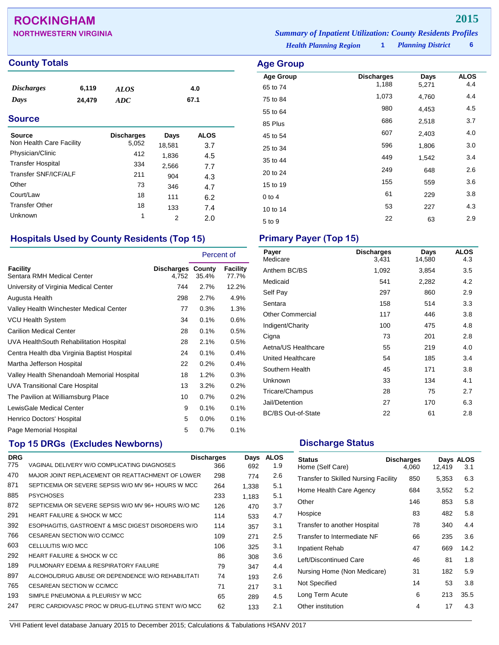## **ROCKINGHAM 2015**

| <b>NORTHWESTERN VIRGINIA</b> | <b>Summary of Inpatient Utilization: County Residents Profiles</b> |                          |  |
|------------------------------|--------------------------------------------------------------------|--------------------------|--|
|                              | <b>Health Planning Region</b>                                      | <b>Planning District</b> |  |

**Age Group Discharges Days ALOS**<br>65 to 74 1,188 5,271 4.4 65 to 74 1,188 5,271 4.4 75 to 84 1,073 4,760 4.4 55 to 64 <sup>980</sup> 4,453 4.5 85 Plus 3.7 45 to 54 607 2,403 4.0 25 to 34 and 2596 1,806 3.0 35 to 44 **449** 1,542 3.4 20 to 24 <sup>249</sup> <sup>648</sup> 2.6 15 to 19 155 1559 1560 1559 1561 1562 1579 1581 1591 1592 1593 1594 1595 1596 1597 1598 1599 1599 159 0 to 4 61 229 3.8 10 to 14 53 227 4.3 5 to 9 <sup>22</sup> <sup>63</sup> 2.9

## **County Totals Age Group**

| <i><b>Discharges</b></i> | 6,119  | <b>ALOS</b> | 4.0  |
|--------------------------|--------|-------------|------|
| Days                     | 24,479 | ADC         | 67.1 |

### **Source**

| Source                   | <b>Discharges</b> | Days   | <b>ALOS</b> |
|--------------------------|-------------------|--------|-------------|
| Non Health Care Facility | 5,052             | 18,581 | 3.7         |
| Physician/Clinic         | 412               | 1,836  | 4.5         |
| <b>Transfer Hospital</b> | 334               | 2,566  | 7.7         |
| Transfer SNF/ICF/ALF     | 211               | 904    | 4.3         |
| Other                    | 73                | 346    | 4.7         |
| Court/Law                | 18                | 111    | 6.2         |
| <b>Transfer Other</b>    | 18                | 133    | 7.4         |
| Unknown                  | 1                 | 2      | 2.0         |

## **Hospitals Used by County Residents (Top 15) Primary Payer (Top 15)**

|                                             |                            | Percent of |                   |
|---------------------------------------------|----------------------------|------------|-------------------|
| Facility<br>Sentara RMH Medical Center      | Discharges County<br>4.752 | 35.4%      | Facility<br>77.7% |
| University of Virginia Medical Center       | 744                        | 2.7%       | 12.2%             |
| Augusta Health                              | 298                        | 2.7%       | 4.9%              |
| Valley Health Winchester Medical Center     | 77                         | 0.3%       | 1.3%              |
| <b>VCU Health System</b>                    | 34                         | 0.1%       | 0.6%              |
| <b>Carilion Medical Center</b>              | 28                         | 0.1%       | 0.5%              |
| UVA HealthSouth Rehabilitation Hospital     | 28                         | 2.1%       | 0.5%              |
| Centra Health dba Virginia Baptist Hospital | 24                         | 0.1%       | 0.4%              |
| Martha Jefferson Hospital                   | 22                         | 0.2%       | 0.4%              |
| Valley Health Shenandoah Memorial Hospital  | 18                         | 1.2%       | 0.3%              |
| <b>UVA Transitional Care Hospital</b>       | 13                         | 3.2%       | 0.2%              |
| The Pavilion at Williamsburg Place          | 10                         | 0.7%       | 0.2%              |
| LewisGale Medical Center                    | 9                          | 0.1%       | 0.1%              |
| Henrico Doctors' Hospital                   | 5                          | 0.0%       | 0.1%              |
| Page Memorial Hospital                      | 5                          | 0.7%       | 0.1%              |

## **Top 15 DRGs (Excludes Newborns) Discharge Status Discharge Status**

| <b>DRG</b> |                                                     | <b>Discharges</b> | Days  | <b>ALOS</b> |
|------------|-----------------------------------------------------|-------------------|-------|-------------|
| 775        | VAGINAL DELIVERY W/O COMPLICATING DIAGNOSES         | 366               | 692   | 1.9         |
| 470        | MAJOR JOINT REPLACEMENT OR REATTACHMENT OF LOWER    | 298               | 774   | 2.6         |
| 871        | SEPTICEMIA OR SEVERE SEPSIS W/O MV 96+ HOURS W MCC  | 264               | 1,338 | 5.1         |
| 885        | <b>PSYCHOSES</b>                                    | 233               | 1,183 | 5.1         |
| 872        | SEPTICEMIA OR SEVERE SEPSIS W/O MV 96+ HOURS W/O MC | 126               | 470   | 3.7         |
| 291        | <b>HEART FAILURE &amp; SHOCK W MCC</b>              | 114               | 533   | 4.7         |
| 392        | ESOPHAGITIS, GASTROENT & MISC DIGEST DISORDERS W/O  | 114               | 357   | 3.1         |
| 766        | CESAREAN SECTION W/O CC/MCC                         | 109               | 271   | 2.5         |
| 603        | CELLULITIS W/O MCC                                  | 106               | 325   | 3.1         |
| 292        | <b>HEART FAILURE &amp; SHOCK W CC</b>               | 86                | 308   | 3.6         |
| 189        | PULMONARY EDEMA & RESPIRATORY FAILURE               | 79                | 347   | 4.4         |
| 897        | ALCOHOL/DRUG ABUSE OR DEPENDENCE W/O REHABILITATI   | 74                | 193   | 2.6         |
| 765        | CESAREAN SECTION W CC/MCC                           | 71                | 217   | 3.1         |
| 193        | SIMPLE PNEUMONIA & PLEURISY W MCC                   | 65                | 289   | 4.5         |
| 247        | PERC CARDIOVASC PROC W DRUG-ELUTING STENT W/O MCC   | 62                | 133   | 2.1         |

| Payer<br>Medicare         | <b>Discharges</b><br>3,431 | Days<br>14,580 | <b>ALOS</b><br>4.3 |
|---------------------------|----------------------------|----------------|--------------------|
| Anthem BC/BS              | 1,092                      | 3,854          | 3.5                |
| Medicaid                  | 541                        | 2,282          | 4.2                |
| Self Pay                  | 297                        | 860            | 2.9                |
| Sentara                   | 158                        | 514            | 3.3                |
| <b>Other Commercial</b>   | 117                        | 446            | 3.8                |
| Indigent/Charity          | 100                        | 475            | 4.8                |
| Cigna                     | 73                         | 201            | 2.8                |
| Aetna/US Healthcare       | 55                         | 219            | 4.0                |
| United Healthcare         | 54                         | 185            | 3.4                |
| Southern Health           | 45                         | 171            | 3.8                |
| Unknown                   | 33                         | 134            | 4.1                |
| Tricare/Champus           | 28                         | 75             | 2.7                |
| Jail/Detention            | 27                         | 170            | 6.3                |
| <b>BC/BS Out-of-State</b> | 22                         | 61             | 2.8                |
|                           |                            |                |                    |

| <b>Status</b><br>Home (Self Care)    | <b>Discharges</b><br>4,060 | 12,419 | Days ALOS<br>3.1 |
|--------------------------------------|----------------------------|--------|------------------|
| Transfer to Skilled Nursing Facility | 850                        | 5,353  | 6.3              |
| Home Health Care Agency              | 684                        | 3,552  | 5.2              |
| Other                                | 146                        | 853    | 5.8              |
| Hospice                              | 83                         | 482    | 5.8              |
| Transfer to another Hospital         | 78                         | 340    | 4.4              |
| Transfer to Intermediate NF          | 66                         | 235    | 3.6              |
| <b>Inpatient Rehab</b>               | 47                         | 669    | 14.2             |
| Left/Discontinued Care               | 46                         | 81     | 1.8              |
| Nursing Home (Non Medicare)          | 31                         | 182    | 5.9              |
| Not Specified                        | 14                         | 53     | 3.8              |
| Long Term Acute                      | 6                          | 213    | 35.5             |
| Other institution                    | 4                          | 17     | 4.3              |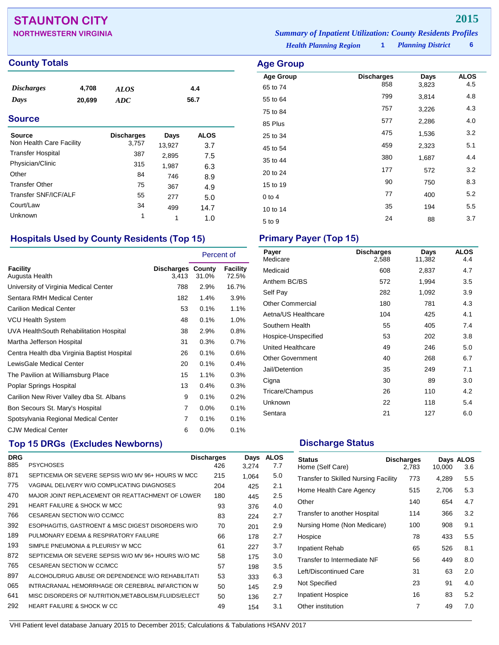## **STAUNTON CITY 2015**

| <b>NORTHWESTERN VIRGINIA</b> | <b>Summary of Inpatient Utilization: County Residents Profiles</b> |                          |  |
|------------------------------|--------------------------------------------------------------------|--------------------------|--|
|                              | <b>Health Planning Region</b>                                      | <b>Planning District</b> |  |

**Age Group Discharges Days ALOS**<br>65 to 74 858 3,823 4.5 65 to 74 <sup>858</sup> 3,823 4.5 55 to 64 <sup>799</sup> 3,814 4.8 75 to 84 <sup>757</sup> 3,226 4.3 85 Plus <sup>577</sup> 2,286 4.0 25 to 34 <sup>475</sup> 1,536 3.2 45 to 54 <sup>459</sup> 2,323 5.1 35 to 44 <sup>380</sup> 1,687 4.4 20 to 24 <sup>177</sup> <sup>572</sup> 3.2 15 to 19 <sup>90</sup> <sup>750</sup> 8.3 0 to 4 **77** 400 5.2 10 to 14 **10** 5.5 5 to 9 24 88 3.7

### **County Totals Age Group**

| <i>Discharges</i> | 4,708  | <b>ALOS</b> | 4.4  |
|-------------------|--------|-------------|------|
| Days              | 20,699 | ADC         | 56.7 |
|                   |        |             |      |

### **Source**

| Source<br>Non Health Care Facility | <b>Discharges</b><br>3,757 | Days<br>13,927 | <b>ALOS</b><br>3.7 |
|------------------------------------|----------------------------|----------------|--------------------|
| <b>Transfer Hospital</b>           | 387                        | 2,895          | 7.5                |
| Physician/Clinic                   | 315                        | 1,987          | 6.3                |
| Other                              | 84                         | 746            | 8.9                |
| <b>Transfer Other</b>              | 75                         | 367            | 4.9                |
| Transfer SNF/ICF/ALF               | 55                         | 277            | 5.0                |
| Court/Law                          | 34                         | 499            | 14.7               |
| Unknown                            | 1                          | 1              | 1.0                |

### **Hospitals Used by County Residents (Top 15) Primary Payer (Top 15)**

|                                             |                            | Percent of |                   |
|---------------------------------------------|----------------------------|------------|-------------------|
| Facility<br>Augusta Health                  | Discharges County<br>3.413 | 31.0%      | Facility<br>72.5% |
| University of Virginia Medical Center       | 788                        | 2.9%       | 16.7%             |
| Sentara RMH Medical Center                  | 182                        | 1.4%       | 3.9%              |
| <b>Carilion Medical Center</b>              | 53                         | 0.1%       | 1.1%              |
| <b>VCU Health System</b>                    | 48                         | 0.1%       | 1.0%              |
| UVA HealthSouth Rehabilitation Hospital     | 38                         | 2.9%       | 0.8%              |
| Martha Jefferson Hospital                   | 31                         | 0.3%       | 0.7%              |
| Centra Health dba Virginia Baptist Hospital | 26                         | 0.1%       | 0.6%              |
| LewisGale Medical Center                    | 20                         | 0.1%       | 0.4%              |
| The Pavilion at Williamsburg Place          | 15                         | 1.1%       | 0.3%              |
| Poplar Springs Hospital                     | 13                         | 0.4%       | 0.3%              |
| Carilion New River Valley dba St. Albans    | 9                          | 0.1%       | 0.2%              |
| Bon Secours St. Mary's Hospital             | 7                          | $0.0\%$    | 0.1%              |
| Spotsylvania Regional Medical Center        | 7                          | 0.1%       | 0.1%              |
| <b>CJW Medical Center</b>                   | 6                          | 0.0%       | 0.1%              |

## **Top 15 DRGs (Excludes Newborns) Discharge Status Discharge Status**

| <b>DRG</b> |                                                       | <b>Discharges</b> | Days  | <b>ALOS</b> |
|------------|-------------------------------------------------------|-------------------|-------|-------------|
| 885        | <b>PSYCHOSES</b>                                      | 426               | 3,274 | 7.7         |
| 871        | SEPTICEMIA OR SEVERE SEPSIS W/O MV 96+ HOURS W MCC    | 215               | 1,064 | 5.0         |
| 775        | VAGINAL DELIVERY W/O COMPLICATING DIAGNOSES           | 204               | 425   | 2.1         |
| 470        | MAJOR JOINT REPLACEMENT OR REATTACHMENT OF LOWER      | 180               | 445   | 2.5         |
| 291        | HEART FAILURE & SHOCK W MCC                           | 93                | 376   | 4.0         |
| 766        | CESAREAN SECTION W/O CC/MCC                           | 83                | 224   | 2.7         |
| 392        | ESOPHAGITIS, GASTROENT & MISC DIGEST DISORDERS W/O    | 70                | 201   | 2.9         |
| 189        | PULMONARY EDEMA & RESPIRATORY FAILURE                 | 66                | 178   | 2.7         |
| 193        | SIMPLE PNEUMONIA & PLEURISY W MCC                     | 61                | 227   | 3.7         |
| 872        | SEPTICEMIA OR SEVERE SEPSIS W/O MV 96+ HOURS W/O MC   | 58                | 175   | 3.0         |
| 765        | CESAREAN SECTION W CC/MCC                             | 57                | 198   | 3.5         |
| 897        | ALCOHOL/DRUG ABUSE OR DEPENDENCE W/O REHABILITATI     | 53                | 333   | 6.3         |
| 065        | INTRACRANIAL HEMORRHAGE OR CEREBRAL INFARCTION W      | 50                | 145   | 2.9         |
| 641        | MISC DISORDERS OF NUTRITION, METABOLISM, FLUIDS/ELECT | 50                | 136   | 2.7         |
| 292        | <b>HEART FAILURE &amp; SHOCK W CC</b>                 | 49                | 154   | 3.1         |

| Payer<br>Medicare        | <b>Discharges</b><br>2,588 | Days<br>11,382 | <b>ALOS</b><br>4.4 |
|--------------------------|----------------------------|----------------|--------------------|
| Medicaid                 | 608                        | 2,837          | 4.7                |
| Anthem BC/BS             | 572                        | 1,994          | 3.5                |
| Self Pay                 | 282                        | 1,092          | 3.9                |
| Other Commercial         | 180                        | 781            | 4.3                |
| Aetna/US Healthcare      | 104                        | 425            | 4.1                |
| Southern Health          | 55                         | 405            | 7.4                |
| Hospice-Unspecified      | 53                         | 202            | 3.8                |
| <b>United Healthcare</b> | 49                         | 246            | 5.0                |
| <b>Other Government</b>  | 40                         | 268            | 6.7                |
| Jail/Detention           | 35                         | 249            | 7.1                |
| Cigna                    | 30                         | 89             | 3.0                |
| Tricare/Champus          | 26                         | 110            | 4.2                |
| Unknown                  | 22                         | 118            | 5.4                |
| Sentara                  | 21                         | 127            | 6.0                |

| <b>Status</b><br>Home (Self Care)    | <b>Discharges</b><br>2,783 | 10,000 | Days ALOS<br>3.6 |
|--------------------------------------|----------------------------|--------|------------------|
| Transfer to Skilled Nursing Facility | 773                        | 4,289  | 5.5              |
| Home Health Care Agency              | 515                        | 2,706  | 5.3              |
| Other                                | 140                        | 654    | 4.7              |
| Transfer to another Hospital         | 114                        | 366    | 3.2              |
| Nursing Home (Non Medicare)          | 100                        | 908    | 9.1              |
| Hospice                              | 78                         | 433    | 5.5              |
| Inpatient Rehab                      | 65                         | 526    | 8.1              |
| Transfer to Intermediate NF          | 56                         | 449    | 8.0              |
| Left/Discontinued Care               | 31                         | 63     | 2.0              |
| Not Specified                        | 23                         | 91     | 4.0              |
| <b>Inpatient Hospice</b>             | 16                         | 83     | 5.2              |
| Other institution                    | 7                          | 49     | 7.0              |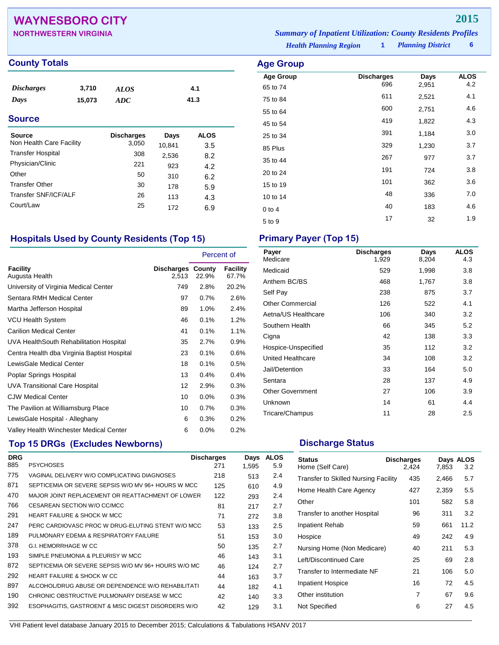## **WAYNESBORO CITY 2015**

| <b>NORTHWESTERN VIRGINIA</b> | <b>Summary of Inpatient Utilization: County Residents Profiles</b> |                          |  |
|------------------------------|--------------------------------------------------------------------|--------------------------|--|
|                              | <b>Health Planning Region</b>                                      | <b>Planning District</b> |  |

**Age Group Discharges Days ALOS**<br>65 to 74 696 2,951 4.2 65 to 74 <sup>696</sup> 2,951 4.2 75 to 84 <sup>611</sup> 2,521 4.1 55 to 64 <sup>600</sup> 2,751 4.6 45 to 54 <sup>419</sup> 1,822 4.3 25 to 34 and 391 and 391 and 310 and 310 and 310 and 310 and 310 and 310 and 310 and 310 and 310 and 310 and 3 85 Plus 329 1,230 3.7 35 to 44 <sup>267</sup> <sup>977</sup> 3.7 20 to 24 <sup>191</sup> <sup>724</sup> 3.8 15 to 19 <sup>101</sup> <sup>362</sup> 3.6 10 to 14 <sup>48</sup> <sup>336</sup> 7.0 0 to 4 **40** 183 4.6 5 to 9 17 32 1.9

### **County Totals Age Group**

| <i>Discharges</i> | 3,710  | <b>ALOS</b> | 4.1  |
|-------------------|--------|-------------|------|
| Days              | 15,073 | ADC         | 41.3 |

### **Source**

| <b>Source</b>            | <b>Discharges</b> | Days   | <b>ALOS</b> |
|--------------------------|-------------------|--------|-------------|
| Non Health Care Facility | 3,050             | 10,841 | 3.5         |
| <b>Transfer Hospital</b> | 308               | 2,536  | 8.2         |
| Physician/Clinic         | 221               | 923    | 4.2         |
| Other                    | 50                | 310    | 6.2         |
| <b>Transfer Other</b>    | 30                | 178    | 5.9         |
| Transfer SNF/ICF/ALF     | 26                | 113    | 4.3         |
| Court/Law                | 25                | 172    | 6.9         |

### **Hospitals Used by County Residents (Top 15) Primary Payer (Top 15)**

|                                             |                            | Percent of |                          |
|---------------------------------------------|----------------------------|------------|--------------------------|
| <b>Facility</b><br>Augusta Health           | Discharges County<br>2,513 | 22.9%      | <b>Facility</b><br>67.7% |
| University of Virginia Medical Center       | 749                        | 2.8%       | 20.2%                    |
| Sentara RMH Medical Center                  | 97                         | 0.7%       | 2.6%                     |
| Martha Jefferson Hospital                   | 89                         | 1.0%       | 2.4%                     |
| <b>VCU Health System</b>                    | 46                         | 0.1%       | 1.2%                     |
| <b>Carilion Medical Center</b>              | 41                         | 0.1%       | 1.1%                     |
| UVA HealthSouth Rehabilitation Hospital     | 35                         | 2.7%       | 0.9%                     |
| Centra Health dba Virginia Baptist Hospital | 23                         | 0.1%       | $0.6\%$                  |
| LewisGale Medical Center                    | 18                         | 0.1%       | $0.5\%$                  |
| Poplar Springs Hospital                     | 13                         | 0.4%       | $0.4\%$                  |
| <b>UVA Transitional Care Hospital</b>       | 12                         | 2.9%       | 0.3%                     |
| <b>CJW Medical Center</b>                   | 10                         | $0.0\%$    | 0.3%                     |
| The Pavilion at Williamsburg Place          | 10                         | 0.7%       | 0.3%                     |
| LewisGale Hospital - Alleghany              | 6                          | 0.3%       | $0.2\%$                  |
| Valley Health Winchester Medical Center     | 6                          | 0.0%       | $0.2\%$                  |

## **Top 15 DRGs (Excludes Newborns) Discharge Status Discharge Status**

| <b>DRG</b> |                                                     | <b>Discharges</b> | Days  | <b>ALOS</b> |
|------------|-----------------------------------------------------|-------------------|-------|-------------|
| 885        | <b>PSYCHOSES</b>                                    | 271               | 1,595 | 5.9         |
| 775        | VAGINAL DELIVERY W/O COMPLICATING DIAGNOSES         | 218               | 513   | 2.4         |
| 871        | SEPTICEMIA OR SEVERE SEPSIS W/O MV 96+ HOURS W MCC  | 125               | 610   | 4.9         |
| 470        | MAJOR JOINT REPLACEMENT OR REATTACHMENT OF LOWER    | 122               | 293   | 2.4         |
| 766        | CESAREAN SECTION W/O CC/MCC                         | 81                | 217   | 2.7         |
| 291        | <b>HEART FAILURE &amp; SHOCK W MCC</b>              | 71                | 272   | 3.8         |
| 247        | PERC CARDIOVASC PROC W DRUG-ELUTING STENT W/O MCC   | 53                | 133   | 2.5         |
| 189        | PULMONARY EDEMA & RESPIRATORY FAILURE               | 51                | 153   | 3.0         |
| 378        | <b>G.I. HEMORRHAGE W CC</b>                         | 50                | 135   | 2.7         |
| 193        | SIMPLE PNEUMONIA & PLEURISY W MCC                   | 46                | 143   | 3.1         |
| 872        | SEPTICEMIA OR SEVERE SEPSIS W/O MV 96+ HOURS W/O MC | 46                | 124   | 2.7         |
| 292        | <b>HEART FAILURE &amp; SHOCK W CC</b>               | 44                | 163   | 3.7         |
| 897        | ALCOHOL/DRUG ABUSE OR DEPENDENCE W/O REHABILITATI   | 44                | 182   | 4.1         |
| 190        | CHRONIC OBSTRUCTIVE PULMONARY DISEASE W MCC         | 42                | 140   | 3.3         |
| 392        | ESOPHAGITIS, GASTROENT & MISC DIGEST DISORDERS W/O  | 42                | 129   | 3.1         |

| Payer<br>Medicare       | <b>Discharges</b><br>1,929 | Days<br>8,204 | <b>ALOS</b><br>4.3 |
|-------------------------|----------------------------|---------------|--------------------|
| Medicaid                | 529                        | 1,998         | 3.8                |
| Anthem BC/BS            | 468                        | 1,767         | 3.8                |
| Self Pay                | 238                        | 875           | 3.7                |
| <b>Other Commercial</b> | 126                        | 522           | 4.1                |
| Aetna/US Healthcare     | 106                        | 340           | 3.2                |
| Southern Health         | 66                         | 345           | 5.2                |
| Cigna                   | 42                         | 138           | 3.3                |
| Hospice-Unspecified     | 35                         | 112           | 3.2                |
| United Healthcare       | 34                         | 108           | 3.2                |
| Jail/Detention          | 33                         | 164           | 5.0                |
| Sentara                 | 28                         | 137           | 4.9                |
| <b>Other Government</b> | 27                         | 106           | 3.9                |
| Unknown                 | 14                         | 61            | 4.4                |
| Tricare/Champus         | 11                         | 28            | 2.5                |

| <b>Status</b><br>Home (Self Care)           | <b>Discharges</b><br>2.424 | 7,853 | Days ALOS<br>3.2 |
|---------------------------------------------|----------------------------|-------|------------------|
| <b>Transfer to Skilled Nursing Facility</b> | 435                        | 2,466 | 5.7              |
| Home Health Care Agency                     | 427                        | 2,359 | 5.5              |
| Other                                       | 101                        | 582   | 5.8              |
| Transfer to another Hospital                | 96                         | 311   | 3.2              |
| Inpatient Rehab                             | 59                         | 661   | 11.2             |
| Hospice                                     | 49                         | 242   | 4.9              |
| Nursing Home (Non Medicare)                 | 40                         | 211   | 5.3              |
| Left/Discontinued Care                      | 25                         | 69    | 2.8              |
| Transfer to Intermediate NF                 | 21                         | 106   | 5.0              |
| <b>Inpatient Hospice</b>                    | 16                         | 72    | 4.5              |
| Other institution                           | 7                          | 67    | 9.6              |
| Not Specified                               | 6                          | 27    | 4.5              |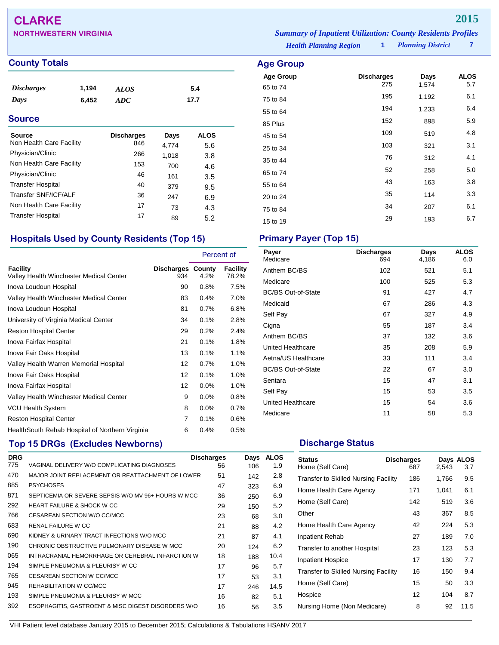# **CLARKE 2015**

| <b>NORTHWESTERN VIRGINIA</b> |                               | <b>Summary of Inpatient Utilization: County Residents Profiles</b> |                          |  |
|------------------------------|-------------------------------|--------------------------------------------------------------------|--------------------------|--|
|                              | <b>Health Planning Region</b> |                                                                    | <b>Planning District</b> |  |

**County Totals** 

| <i><b>Discharges</b></i> | 1,194 | <b>ALOS</b> | 5.4  |
|--------------------------|-------|-------------|------|
| Days                     | 6.452 | ADC         | 17.7 |

### **Source**

| Source                   | <b>Discharges</b> | Days  | <b>ALOS</b> |
|--------------------------|-------------------|-------|-------------|
| Non Health Care Facility | 846               | 4,774 | 5.6         |
| Physician/Clinic         | 266               | 1,018 | 3.8         |
| Non Health Care Facility | 153               | 700   | 4.6         |
| Physician/Clinic         | 46                | 161   | 3.5         |
| <b>Transfer Hospital</b> | 40                | 379   | 9.5         |
| Transfer SNF/ICF/ALF     | 36                | 247   | 6.9         |
| Non Health Care Facility | 17                | 73    | 4.3         |
| <b>Transfer Hospital</b> | 17                | 89    | 5.2         |

## **Hospitals Used by County Residents (Top 15) Primary Payer (Top 15)**

|                                                     |                                 | Percent of |                   |
|-----------------------------------------------------|---------------------------------|------------|-------------------|
| Facility<br>Valley Health Winchester Medical Center | <b>Discharges County</b><br>934 | 4.2%       | Facility<br>78.2% |
| Inova Loudoun Hospital                              | 90                              | 0.8%       | 7.5%              |
| Valley Health Winchester Medical Center             | 83                              | 0.4%       | 7.0%              |
| Inova Loudoun Hospital                              | 81                              | 0.7%       | 6.8%              |
| University of Virginia Medical Center               | 34                              | 0.1%       | 2.8%              |
| <b>Reston Hospital Center</b>                       | 29                              | 0.2%       | 2.4%              |
| Inova Fairfax Hospital                              | 21                              | 0.1%       | 1.8%              |
| Inova Fair Oaks Hospital                            | 13                              | 0.1%       | 1.1%              |
| Valley Health Warren Memorial Hospital              | 12                              | 0.7%       | 1.0%              |
| Inova Fair Oaks Hospital                            | 12                              | 0.1%       | 1.0%              |
| Inova Fairfax Hospital                              | 12                              | 0.0%       | 1.0%              |
| Valley Health Winchester Medical Center             | 9                               | 0.0%       | 0.8%              |
| <b>VCU Health System</b>                            | 8                               | $0.0\%$    | 0.7%              |
| <b>Reston Hospital Center</b>                       | 7                               | 0.1%       | 0.6%              |
| Health South Rehab Hospital of Northern Virginia    | 6                               | 0.4%       | 0.5%              |

## **Top 15 DRGs (Excludes Newborns) Discharge Status Discharge Status**

| <b>DRG</b> |                                                    | <b>Discharges</b> | Days | <b>ALOS</b> |
|------------|----------------------------------------------------|-------------------|------|-------------|
| 775        | VAGINAL DELIVERY W/O COMPLICATING DIAGNOSES        | 56                | 106  | 1.9         |
| 470        | MAJOR JOINT REPLACEMENT OR REATTACHMENT OF LOWER   | 51                | 142  | 2.8         |
| 885        | <b>PSYCHOSES</b>                                   | 47                | 323  | 6.9         |
| 871        | SEPTICEMIA OR SEVERE SEPSIS W/O MV 96+ HOURS W MCC | 36                | 250  | 6.9         |
| 292        | <b>HEART FAILURE &amp; SHOCK W CC</b>              | 29                | 150  | 5.2         |
| 766        | CESAREAN SECTION W/O CC/MCC                        | 23                | 68   | 3.0         |
| 683        | RENAL FAILURE W CC                                 | 21                | 88   | 4.2         |
| 690        | KIDNEY & URINARY TRACT INFECTIONS W/O MCC          | 21                | 87   | 4.1         |
| 190        | CHRONIC OBSTRUCTIVE PULMONARY DISEASE W MCC        | 20                | 124  | 6.2         |
| 065        | INTRACRANIAL HEMORRHAGE OR CEREBRAL INFARCTION W   | 18                | 188  | 10.4        |
| 194        | SIMPLE PNEUMONIA & PLEURISY W CC                   | 17                | 96   | 5.7         |
| 765        | CESAREAN SECTION W CC/MCC                          | 17                | 53   | 3.1         |
| 945        | REHABILITATION W CC/MCC                            | 17                | 246  | 14.5        |
| 193        | SIMPLE PNEUMONIA & PLEURISY W MCC                  | 16                | 82   | 5.1         |
| 392        | ESOPHAGITIS, GASTROENT & MISC DIGEST DISORDERS W/O | 16                | 56   | 3.5         |

| <b>Age Group</b>             |                          |               |                    |
|------------------------------|--------------------------|---------------|--------------------|
| <b>Age Group</b><br>65 to 74 | <b>Discharges</b><br>275 | Days<br>1,574 | <b>ALOS</b><br>5.7 |
| 75 to 84                     | 195                      | 1,192         | 6.1                |
| 55 to 64                     | 194                      | 1,233         | 6.4                |
| 85 Plus                      | 152                      | 898           | 5.9                |
| 45 to 54                     | 109                      | 519           | 4.8                |
| 25 to 34                     | 103                      | 321           | 3.1                |
| 35 to 44                     | 76                       | 312           | 4.1                |
| 65 to 74                     | 52                       | 258           | 5.0                |
| 55 to 64                     | 43                       | 163           | 3.8                |
| 20 to 24                     | 35                       | 114           | 3.3                |
| 75 to 84                     | 34                       | 207           | 6.1                |
| 15 to 19                     | 29                       | 193           | 6.7                |

| Payer<br>Medicare         | <b>Discharges</b><br>694 | Days<br>4,186 | <b>ALOS</b><br>6.0 |
|---------------------------|--------------------------|---------------|--------------------|
| Anthem BC/BS              | 102                      | 521           | 5.1                |
| Medicare                  | 100                      | 525           | 5.3                |
| <b>BC/BS Out-of-State</b> | 91                       | 427           | 4.7                |
| Medicaid                  | 67                       | 286           | 4.3                |
| Self Pay                  | 67                       | 327           | 4.9                |
| Cigna                     | 55                       | 187           | 3.4                |
| Anthem BC/BS              | 37                       | 132           | 3.6                |
| United Healthcare         | 35                       | 208           | 5.9                |
| Aetna/US Healthcare       | 33                       | 111           | 3.4                |
| <b>BC/BS Out-of-State</b> | 22                       | 67            | 3.0                |
| Sentara                   | 15                       | 47            | 3.1                |
| Self Pay                  | 15                       | 53            | 3.5                |
| <b>United Healthcare</b>  | 15                       | 54            | 3.6                |
| Medicare                  | 11                       | 58            | 5.3                |

| <b>Status</b><br>Home (Self Care)           | <b>Discharges</b><br>687 | 2,543 | Days ALOS<br>3.7 |
|---------------------------------------------|--------------------------|-------|------------------|
| Transfer to Skilled Nursing Facility        | 186                      | 1,766 | 9.5              |
| Home Health Care Agency                     | 171                      | 1,041 | 6.1              |
| Home (Self Care)                            | 142                      | 519   | 3.6              |
| Other                                       | 43                       | 367   | 8.5              |
| Home Health Care Agency                     | 42                       | 224   | 5.3              |
| Inpatient Rehab                             | 27                       | 189   | 7.0              |
| Transfer to another Hospital                | 23                       | 123   | 5.3              |
| Inpatient Hospice                           | 17                       | 130   | 7.7              |
| <b>Transfer to Skilled Nursing Facility</b> | 16                       | 150   | 9.4              |
| Home (Self Care)                            | 15                       | 50    | 3.3              |
| Hospice                                     | 12                       | 104   | 8.7              |
| Nursing Home (Non Medicare)                 | 8                        | 92    | 11.5             |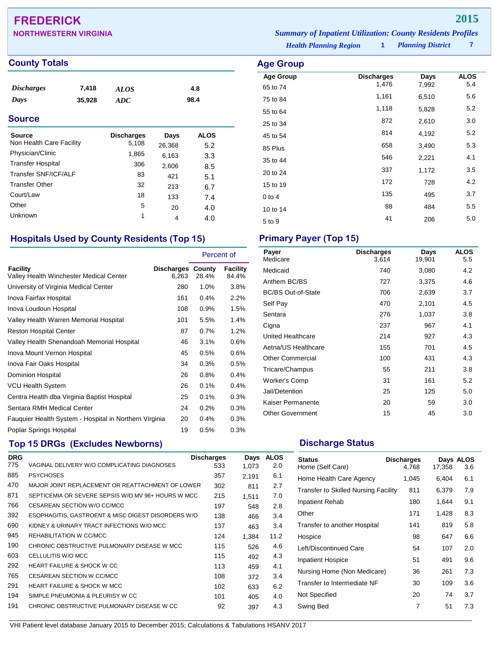## **FREDERICK 2015**

| <b>NORTHWESTERN VIRGINIA</b> | <b>Summary of Inpatient Utilization: County Residents Profiles</b> |                          |  |
|------------------------------|--------------------------------------------------------------------|--------------------------|--|
|                              | <b>Health Planning Region</b>                                      | <b>Planning District</b> |  |

**Age Group Discharges Days ALOS**<br>65 to 74 1,476 7,992 5.4 65 to 74 1,476 7,992 5.4 75 to 84 1,161 6,510 5.6 55 to 64 1,118 5,828 5.2 25 to 34 and 2,610 and 3.0 45 to 54 **814** 4,192 5.2 85 Plus 658 3,490 5.3 35 to 44 **546** 2,221 4.1 20 to 24 337 1,172 3.5 15 to 19 172 172 28 4.2 0 to 4  $135$  495  $3.7$ 10 to 14 **88** 484 5.5 5 to 9 <sup>41</sup> <sup>206</sup> 5.0

### **County Totals Age Group**

| <i><b>Discharges</b></i> | 7,418  | ALOS | 4.8  |
|--------------------------|--------|------|------|
| Days                     | 35,928 | ADC  | 98.4 |

### **Source**

| Source<br>Non Health Care Facility | <b>Discharges</b><br>5,108 | Days<br>26,368 | <b>ALOS</b><br>5.2 |
|------------------------------------|----------------------------|----------------|--------------------|
| Physician/Clinic                   | 1,865                      | 6,163          | 3.3                |
| <b>Transfer Hospital</b>           | 306                        | 2,606          | 8.5                |
| Transfer SNF/ICF/ALF               | 83                         | 421            | 5.1                |
| <b>Transfer Other</b>              | 32                         | 213            | 6.7                |
| Court/Law                          | 18                         | 133            | 7.4                |
| Other                              | 5                          | 20             | 4.0                |
| Unknown                            | 1                          | 4              | 4.0                |

### **Hospitals Used by County Residents (Top 15) Primary Payer (Top 15)**

|                                                        |                                   | Percent of |                   |
|--------------------------------------------------------|-----------------------------------|------------|-------------------|
| Facility<br>Valley Health Winchester Medical Center    | <b>Discharges County</b><br>6.263 | 28.4%      | Facility<br>84.4% |
| University of Virginia Medical Center                  | 280                               | $1.0\%$    | 3.8%              |
| Inova Fairfax Hospital                                 | 161                               | 0.4%       | 2.2%              |
| Inova Loudoun Hospital                                 | 108                               | 0.9%       | 1.5%              |
| Valley Health Warren Memorial Hospital                 | 101                               | 5.5%       | 1.4%              |
| <b>Reston Hospital Center</b>                          | 87                                | 0.7%       | 1.2%              |
| Valley Health Shenandoah Memorial Hospital             | 46                                | 3.1%       | 0.6%              |
| Inova Mount Vernon Hospital                            | 45                                | 0.5%       | 0.6%              |
| Inova Fair Oaks Hospital                               | 34                                | 0.3%       | 0.5%              |
| Dominion Hospital                                      | 26                                | 0.8%       | 0.4%              |
| <b>VCU Health System</b>                               | 26                                | 0.1%       | 0.4%              |
| Centra Health dba Virginia Baptist Hospital            | 25                                | 0.1%       | 0.3%              |
| Sentara RMH Medical Center                             | 24                                | 0.2%       | 0.3%              |
| Fauguier Health System - Hospital in Northern Virginia | 20                                | 0.4%       | 0.3%              |
| Poplar Springs Hospital                                | 19                                | 0.5%       | 0.3%              |

## **Top 15 DRGs (Excludes Newborns) Discharge Status Discharge Status**

| <b>DRG</b> |                                                    | <b>Discharges</b> | Days  | <b>ALOS</b> |
|------------|----------------------------------------------------|-------------------|-------|-------------|
| 775        | VAGINAL DELIVERY W/O COMPLICATING DIAGNOSES        | 533               | 1.073 | 2.0         |
| 885        | <b>PSYCHOSES</b>                                   | 357               | 2.191 | 6.1         |
| 470        | MAJOR JOINT REPLACEMENT OR REATTACHMENT OF LOWER   | 302               | 811   | 2.7         |
| 871        | SEPTICEMIA OR SEVERE SEPSIS W/O MV 96+ HOURS W MCC | 215               | 1.511 | 7.0         |
| 766        | CESAREAN SECTION W/O CC/MCC                        | 197               | 548   | 2.8         |
| 392        | ESOPHAGITIS, GASTROENT & MISC DIGEST DISORDERS W/O | 138               | 466   | 3.4         |
| 690        | KIDNEY & URINARY TRACT INFECTIONS W/O MCC          | 137               | 463   | 3.4         |
| 945        | REHABILITATION W CC/MCC                            | 124               | 1.384 | 11.2        |
| 190        | CHRONIC OBSTRUCTIVE PULMONARY DISEASE W MCC        | 115               | 526   | 4.6         |
| 603        | CELLULITIS W/O MCC                                 | 115               | 492   | 4.3         |
| 292        | HEART FAILURE & SHOCK W CC                         | 113               | 459   | 4.1         |
| 765        | CESAREAN SECTION W CC/MCC                          | 108               | 372   | 3.4         |
| 291        | <b>HEART FAILURE &amp; SHOCK W MCC</b>             | 102               | 633   | 6.2         |
| 194        | SIMPLE PNEUMONIA & PLEURISY W CC                   | 101               | 405   | 4.0         |
| 191        | CHRONIC OBSTRUCTIVE PULMONARY DISEASE W CC         | 92                | 397   | 4.3         |
|            |                                                    |                   |       |             |

| Payer<br>Medicare         | <b>Discharges</b><br>3,614 | Days<br>19,901 | <b>ALOS</b><br>5.5 |
|---------------------------|----------------------------|----------------|--------------------|
| Medicaid                  | 740                        | 3,080          | 4.2                |
| Anthem BC/BS              | 727                        | 3,375          | 4.6                |
| <b>BC/BS Out-of-State</b> | 706                        | 2,639          | 3.7                |
| Self Pay                  | 470                        | 2,101          | 4.5                |
| Sentara                   | 276                        | 1,037          | 3.8                |
| Cigna                     | 237                        | 967            | 4.1                |
| United Healthcare         | 214                        | 927            | 4.3                |
| Aetna/US Healthcare       | 155                        | 701            | 4.5                |
| <b>Other Commercial</b>   | 100                        | 431            | 4.3                |
| Tricare/Champus           | 55                         | 211            | 3.8                |
| Worker's Comp             | 31                         | 161            | 5.2                |
| Jail/Detention            | 25                         | 125            | 5.0                |
| Kaiser Permanente         | 20                         | 59             | 3.0                |
| <b>Other Government</b>   | 15                         | 45             | 3.0                |

| <b>Status</b><br>Home (Self Care)           | <b>Discharges</b><br>4.768 | 17,358 | Days ALOS<br>3.6 |
|---------------------------------------------|----------------------------|--------|------------------|
| Home Health Care Agency                     | 1,045                      | 6,404  | 6.1              |
| <b>Transfer to Skilled Nursing Facility</b> | 811                        | 6,379  | 7.9              |
| <b>Inpatient Rehab</b>                      | 180                        | 1,644  | 9.1              |
| Other                                       | 171                        | 1,428  | 8.3              |
| Transfer to another Hospital                | 141                        | 819    | 5.8              |
| Hospice                                     | 98                         | 647    | 6.6              |
| Left/Discontinued Care                      | 54                         | 107    | 2.0              |
| <b>Inpatient Hospice</b>                    | 51                         | 491    | 9.6              |
| Nursing Home (Non Medicare)                 | 36                         | 261    | 7.3              |
| Transfer to Intermediate NF                 | 30                         | 109    | 3.6              |
| Not Specified                               | 20                         | 74     | 3.7              |
| Swing Bed                                   | 7                          | 51     | 7.3              |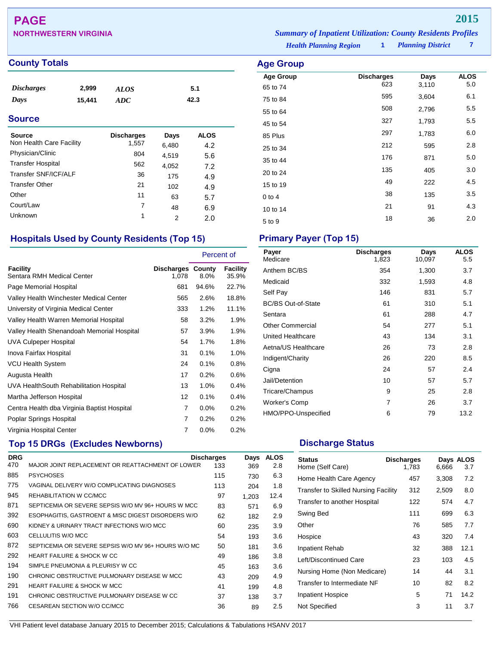# **PAGE 2015**

## **County Totals Age Group**

| <i><b>Discharges</b></i> | 2,999  | <b>ALOS</b> | 5.1  |
|--------------------------|--------|-------------|------|
| Days                     | 15.441 | ADC         | 42.3 |

### **Source**

| Source<br>Non Health Care Facility | <b>Discharges</b><br>1,557 | Days<br>6,480 | <b>ALOS</b><br>4.2 |
|------------------------------------|----------------------------|---------------|--------------------|
| Physician/Clinic                   | 804                        | 4,519         | 5.6                |
| <b>Transfer Hospital</b>           | 562                        | 4,052         | 7.2                |
| Transfer SNF/ICF/ALF               | 36                         | 175           | 4.9                |
| <b>Transfer Other</b>              | 21                         | 102           | 4.9                |
| Other                              | 11                         | 63            | 5.7                |
| Court/Law                          | 7                          | 48            | 6.9                |
| Unknown                            | 1                          | 2             | 2.0                |

## **Hospitals Used by County Residents (Top 15) Primary Payer (Top 15)**

|                                             |                                   | Percent of |                          |
|---------------------------------------------|-----------------------------------|------------|--------------------------|
| Facility<br>Sentara RMH Medical Center      | <b>Discharges County</b><br>1,078 | 8.0%       | <b>Facility</b><br>35.9% |
| Page Memorial Hospital                      | 681                               | 94.6%      | 22.7%                    |
| Valley Health Winchester Medical Center     | 565                               | 2.6%       | 18.8%                    |
| University of Virginia Medical Center       | 333                               | 1.2%       | 11.1%                    |
| Valley Health Warren Memorial Hospital      | 58                                | 3.2%       | 1.9%                     |
| Valley Health Shenandoah Memorial Hospital  | 57                                | 3.9%       | 1.9%                     |
| <b>UVA Culpeper Hospital</b>                | 54                                | 1.7%       | 1.8%                     |
| Inova Fairfax Hospital                      | 31                                | 0.1%       | 1.0%                     |
| <b>VCU Health System</b>                    | 24                                | 0.1%       | 0.8%                     |
| Augusta Health                              | 17                                | 0.2%       | 0.6%                     |
| UVA HealthSouth Rehabilitation Hospital     | 13                                | 1.0%       | 0.4%                     |
| Martha Jefferson Hospital                   | 12                                | 0.1%       | 0.4%                     |
| Centra Health dba Virginia Baptist Hospital | 7                                 | 0.0%       | 0.2%                     |
| Poplar Springs Hospital                     | 7                                 | 0.2%       | 0.2%                     |
| Virginia Hospital Center                    | 7                                 | 0.0%       | 0.2%                     |

## **Top 15 DRGs (Excludes Newborns) Discharge Status Discharge Status**

| <b>DRG</b> |                                                     | <b>Discharges</b> | Days  | <b>ALOS</b> |
|------------|-----------------------------------------------------|-------------------|-------|-------------|
| 470        | MAJOR JOINT REPLACEMENT OR REATTACHMENT OF LOWER    | 133               | 369   | 2.8         |
| 885        | <b>PSYCHOSES</b>                                    | 115               | 730   | 6.3         |
| 775        | VAGINAL DELIVERY W/O COMPLICATING DIAGNOSES         | 113               | 204   | 1.8         |
| 945        | REHABILITATION W CC/MCC                             | 97                | 1.203 | 12.4        |
| 871        | SEPTICEMIA OR SEVERE SEPSIS W/O MV 96+ HOURS W MCC  | 83                | 571   | 6.9         |
| 392        | ESOPHAGITIS, GASTROENT & MISC DIGEST DISORDERS W/O  | 62                | 182   | 2.9         |
| 690        | KIDNEY & URINARY TRACT INFECTIONS W/O MCC           | 60                | 235   | 3.9         |
| 603        | CELLULITIS W/O MCC                                  | 54                | 193   | 3.6         |
| 872        | SEPTICEMIA OR SEVERE SEPSIS W/O MV 96+ HOURS W/O MC | 50                | 181   | 3.6         |
| 292        | <b>HEART FAILURE &amp; SHOCK W CC</b>               | 49                | 186   | 3.8         |
| 194        | SIMPLE PNEUMONIA & PLEURISY W CC                    | 45                | 163   | 3.6         |
| 190        | CHRONIC OBSTRUCTIVE PULMONARY DISEASE W MCC         | 43                | 209   | 4.9         |
| 291        | <b>HEART FAILURE &amp; SHOCK W MCC</b>              | 41                | 199   | 4.8         |
| 191        | CHRONIC OBSTRUCTIVE PULMONARY DISEASE W CC          | 37                | 138   | 3.7         |
| 766        | CESAREAN SECTION W/O CC/MCC                         | 36                | 89    | 2.5         |

**NORTHWESTERN VIRGINIA** *Summary of Inpatient Utilization: County Residents Profiles*

*Health Planning Region* **1**

|                          | <i><b>UUILLY INESWEILLS 1 LUJUE.</b></i> |  |
|--------------------------|------------------------------------------|--|
| <b>Planning District</b> |                                          |  |

| Age Group                    |                          |               |                    |
|------------------------------|--------------------------|---------------|--------------------|
| <b>Age Group</b><br>65 to 74 | <b>Discharges</b><br>623 | Days<br>3,110 | <b>ALOS</b><br>5.0 |
| 75 to 84                     | 595                      | 3,604         | 6.1                |
| 55 to 64                     | 508                      | 2,796         | 5.5                |
| 45 to 54                     | 327                      | 1,793         | 5.5                |
| 85 Plus                      | 297                      | 1,783         | 6.0                |
| 25 to 34                     | 212                      | 595           | 2.8                |
| 35 to 44                     | 176                      | 871           | 5.0                |
| 20 to 24                     | 135                      | 405           | 3.0                |
| 15 to 19                     | 49                       | 222           | 4.5                |
| $0$ to $4$                   | 38                       | 135           | 3.5                |
| 10 to 14                     | 21                       | 91            | 4.3                |
| 5 to 9                       | 18                       | 36            | 2.0                |

| Payer<br>Medicare         | <b>Discharges</b><br>1,823 | Days<br>10,097 | <b>ALOS</b><br>5.5 |
|---------------------------|----------------------------|----------------|--------------------|
| Anthem BC/BS              | 354                        | 1,300          | 3.7                |
| Medicaid                  | 332                        | 1,593          | 4.8                |
| Self Pay                  | 146                        | 831            | 5.7                |
| <b>BC/BS Out-of-State</b> | 61                         | 310            | 5.1                |
| Sentara                   | 61                         | 288            | 4.7                |
| <b>Other Commercial</b>   | 54                         | 277            | 5.1                |
| United Healthcare         | 43                         | 134            | 3.1                |
| Aetna/US Healthcare       | 26                         | 73             | 2.8                |
| Indigent/Charity          | 26                         | 220            | 8.5                |
| Cigna                     | 24                         | 57             | 2.4                |
| Jail/Detention            | 10                         | 57             | 5.7                |
| Tricare/Champus           | 9                          | 25             | 2.8                |
| Worker's Comp             | 7                          | 26             | 3.7                |
| HMO/PPO-Unspecified       | 6                          | 79             | 13.2               |

| <b>Status</b><br>Home (Self Care)           | <b>Discharges</b><br>1,783 | 6,666 | Days ALOS<br>3.7 |
|---------------------------------------------|----------------------------|-------|------------------|
| Home Health Care Agency                     | 457                        | 3,308 | 7.2              |
| <b>Transfer to Skilled Nursing Facility</b> | 312                        | 2,509 | 8.0              |
| Transfer to another Hospital                | 122                        | 574   | 4.7              |
| Swing Bed                                   | 111                        | 699   | 6.3              |
| Other                                       | 76                         | 585   | 7.7              |
| Hospice                                     | 43                         | 320   | 7.4              |
| Inpatient Rehab                             | 32                         | 388   | 12.1             |
| Left/Discontinued Care                      | 23                         | 103   | 4.5              |
| Nursing Home (Non Medicare)                 | 14                         | 44    | 3.1              |
| Transfer to Intermediate NF                 | 10                         | 82    | 8.2              |
| Inpatient Hospice                           | 5                          | 71    | 14.2             |
| Not Specified                               | 3                          | 11    | 3.7              |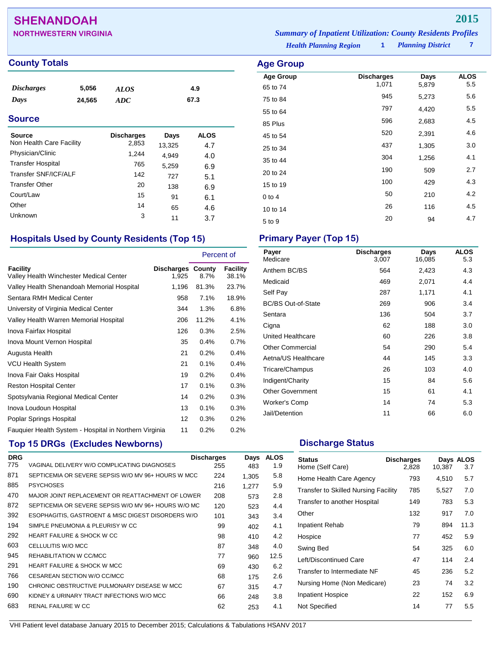## **SHENANDOAH 2015**

## **County Totals Age Group**

| <i><b>Discharges</b></i> | 5,056  | <b>ALOS</b> | 4.9  |
|--------------------------|--------|-------------|------|
| Days                     | 24,565 | ADC         | 67.3 |

### **Source**

| Source<br>Non Health Care Facility | <b>Discharges</b><br>2,853 | Days<br>13,325 | <b>ALOS</b><br>4.7 |
|------------------------------------|----------------------------|----------------|--------------------|
| Physician/Clinic                   | 1,244                      | 4,949          | 4.0                |
| <b>Transfer Hospital</b>           | 765                        | 5,259          | 6.9                |
| Transfer SNF/ICF/ALF               | 142                        | 727            | 5.1                |
| <b>Transfer Other</b>              | 20                         | 138            | 6.9                |
| Court/Law                          | 15                         | 91             | 6.1                |
| Other                              | 14                         | 65             | 4.6                |
| Unknown                            | 3                          | 11             | 3.7                |

## **Hospitals Used by County Residents (Top 15) Primary Payer (Top 15)**

|                                                        |                                   | Percent of |                   |
|--------------------------------------------------------|-----------------------------------|------------|-------------------|
| Facility<br>Valley Health Winchester Medical Center    | <b>Discharges County</b><br>1,925 | 8.7%       | Facility<br>38.1% |
| Valley Health Shenandoah Memorial Hospital             | 1,196                             | 81.3%      | 23.7%             |
| Sentara RMH Medical Center                             | 958                               | 7.1%       | 18.9%             |
| University of Virginia Medical Center                  | 344                               | 1.3%       | 6.8%              |
| Valley Health Warren Memorial Hospital                 | 206                               | 11.2%      | 4.1%              |
| Inova Fairfax Hospital                                 | 126                               | 0.3%       | 2.5%              |
| Inova Mount Vernon Hospital                            | 35                                | 0.4%       | 0.7%              |
| Augusta Health                                         | 21                                | 0.2%       | 0.4%              |
| <b>VCU Health System</b>                               | 21                                | 0.1%       | 0.4%              |
| Inova Fair Oaks Hospital                               | 19                                | 0.2%       | 0.4%              |
| <b>Reston Hospital Center</b>                          | 17                                | 0.1%       | 0.3%              |
| Spotsylvania Regional Medical Center                   | 14                                | 0.2%       | 0.3%              |
| Inova Loudoun Hospital                                 | 13                                | 0.1%       | 0.3%              |
| Poplar Springs Hospital                                | 12                                | 0.3%       | 0.2%              |
| Fauguier Health System - Hospital in Northern Virginia | 11                                | 0.2%       | 0.2%              |

## **Top 15 DRGs (Excludes Newborns) Discharge Status Discharge Status**

| <b>DRG</b> |                                                     | <b>Discharges</b> | Days  | <b>ALOS</b> |
|------------|-----------------------------------------------------|-------------------|-------|-------------|
| 775        | VAGINAL DELIVERY W/O COMPLICATING DIAGNOSES         | 255               | 483   | 1.9         |
| 871        | SEPTICEMIA OR SEVERE SEPSIS W/O MV 96+ HOURS W MCC  | 224               | 1,305 | 5.8         |
| 885        | <b>PSYCHOSES</b>                                    | 216               | 1.277 | 5.9         |
| 470        | MAJOR JOINT REPLACEMENT OR REATTACHMENT OF LOWER    | 208               | 573   | 2.8         |
| 872        | SEPTICEMIA OR SEVERE SEPSIS W/O MV 96+ HOURS W/O MC | 120               | 523   | 4.4         |
| 392        | ESOPHAGITIS, GASTROENT & MISC DIGEST DISORDERS W/O  | 101               | 343   | 3.4         |
| 194        | SIMPLE PNEUMONIA & PLEURISY W CC                    | 99                | 402   | 4.1         |
| 292        | <b>HEART FAILURE &amp; SHOCK W CC</b>               | 98                | 410   | 4.2         |
| 603        | CELLULITIS W/O MCC                                  | 87                | 348   | 4.0         |
| 945        | REHABILITATION W CC/MCC                             | 77                | 960   | 12.5        |
| 291        | <b>HEART FAILURE &amp; SHOCK W MCC</b>              | 69                | 430   | 6.2         |
| 766        | CESAREAN SECTION W/O CC/MCC                         | 68                | 175   | 2.6         |
| 190        | CHRONIC OBSTRUCTIVE PULMONARY DISEASE W MCC         | 67                | 315   | 4.7         |
| 690        | KIDNEY & URINARY TRACT INFECTIONS W/O MCC           | 66                | 248   | 3.8         |
| 683        | <b>RENAL FAILURE W CC</b>                           | 62                | 253   | 4.1         |

**NORTHWESTERN VIRGINIA** *Summary of Inpatient Utilization: County Residents Profiles*

*Health Planning Region* **1**

*Planning District* **7**

| Age Group        |                            |               |                    |
|------------------|----------------------------|---------------|--------------------|
| <b>Age Group</b> | <b>Discharges</b><br>1,071 | Days<br>5,879 | <b>ALOS</b><br>5.5 |
| 65 to 74         | 945                        |               | 5.6                |
| 75 to 84         |                            | 5,273         |                    |
| 55 to 64         | 797                        | 4,420         | 5.5                |
| 85 Plus          | 596                        | 2,683         | 4.5                |
| 45 to 54         | 520                        | 2,391         | 4.6                |
| 25 to 34         | 437                        | 1,305         | 3.0                |
| 35 to 44         | 304                        | 1,256         | 4.1                |
| 20 to 24         | 190                        | 509           | 2.7                |
| 15 to 19         | 100                        | 429           | 4.3                |
| $0$ to $4$       | 50                         | 210           | 4.2                |
| 10 to 14         | 26                         | 116           | 4.5                |
| 5 to 9           | 20                         | 94            | 4.7                |

| Payer<br>Medicare         | <b>Discharges</b><br>3,007 | Days<br>16,085 | <b>ALOS</b><br>5.3 |
|---------------------------|----------------------------|----------------|--------------------|
| Anthem BC/BS              | 564                        | 2,423          | 4.3                |
| Medicaid                  | 469                        | 2,071          | 4.4                |
| Self Pay                  | 287                        | 1,171          | 4.1                |
| <b>BC/BS Out-of-State</b> | 269                        | 906            | 3.4                |
| Sentara                   | 136                        | 504            | 3.7                |
| Cigna                     | 62                         | 188            | 3.0                |
| United Healthcare         | 60                         | 226            | 3.8                |
| <b>Other Commercial</b>   | 54                         | 290            | 5.4                |
| Aetna/US Healthcare       | 44                         | 145            | 3.3                |
| Tricare/Champus           | 26                         | 103            | 4.0                |
| Indigent/Charity          | 15                         | 84             | 5.6                |
| <b>Other Government</b>   | 15                         | 61             | 4.1                |
| Worker's Comp             | 14                         | 74             | 5.3                |
| Jail/Detention            | 11                         | 66             | 6.0                |

| <b>Status</b><br>Home (Self Care)    | <b>Discharges</b><br>2,828 | 10,387 | Days ALOS<br>3.7 |
|--------------------------------------|----------------------------|--------|------------------|
| Home Health Care Agency              | 793                        | 4,510  | 5.7              |
| Transfer to Skilled Nursing Facility | 785                        | 5,527  | 7.0              |
| Transfer to another Hospital         | 149                        | 783    | 5.3              |
| Other                                | 132                        | 917    | 7.0              |
| Inpatient Rehab                      | 79                         | 894    | 11.3             |
| Hospice                              | 77                         | 452    | 5.9              |
| Swing Bed                            | 54                         | 325    | 6.0              |
| Left/Discontinued Care               | 47                         | 114    | 2.4              |
| Transfer to Intermediate NF          | 45                         | 236    | 5.2              |
| Nursing Home (Non Medicare)          | 23                         | 74     | 3.2              |
| <b>Inpatient Hospice</b>             | 22                         | 152    | 6.9              |
| Not Specified                        | 14                         | 77     | 5.5              |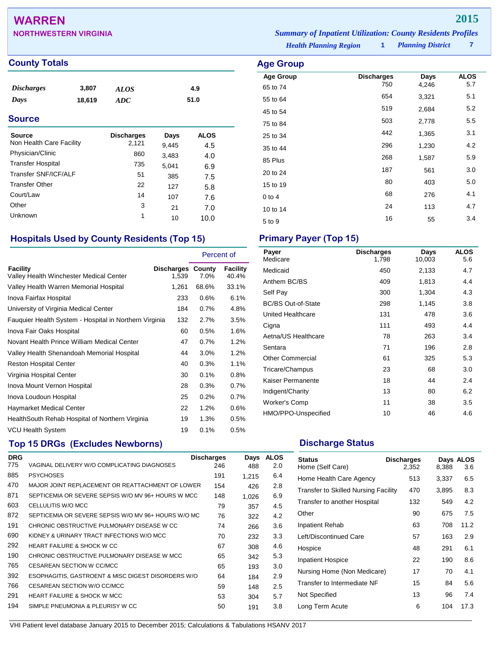## **WARREN 2015**

**NORTHWESTERN VIRGINIA** *Summary of Inpatient Utilization: County Residents Profiles*

| mmary of Inpallent Uttlization: County Residents Profile |                          |  |
|----------------------------------------------------------|--------------------------|--|
| <b>Health Planning Region</b>                            | <b>Planning District</b> |  |

**Age Group Discharges Days ALOS**<br>65 to 74 750 4,246 5.7 65 to 74 <sup>750</sup> 4,246 5.7 55 to 64 <sup>654</sup> 3,321 5.1 45 to 54 <sup>519</sup> 2,684 5.2 75 to 84 <sup>503</sup> 2,778 5.5 25 to 34 and 25 to 34 and 25 to 34 and 25 to 34 and 25 and 26 and 26 and 26 and 26 and 26 and 26 and 26 and 26 35 to 44 <sup>296</sup> 1,230 4.2 85 Plus <sup>268</sup> 1,587 5.9 20 to 24 <sup>187</sup> <sup>561</sup> 3.0 15 to 19 <sup>80</sup> <sup>403</sup> 5.0 0 to 4  $68$  276  $4.1$ 10 to 14 24 113 4.7  $5 \text{ to } 9$   $16$   $55$   $3.4$ 

### **County Totals Age Group**

| <i><b>Discharges</b></i> | 3,807  | ALOS | 4.9  |
|--------------------------|--------|------|------|
| Days                     | 18,619 | ADC  | 51.0 |

### **Source**

| Source<br>Non Health Care Facility | <b>Discharges</b> | Days  | <b>ALOS</b> |
|------------------------------------|-------------------|-------|-------------|
|                                    | 2,121             | 9,445 | 4.5         |
| Physician/Clinic                   | 860               | 3,483 | 4.0         |
| <b>Transfer Hospital</b>           | 735               | 5,041 | 6.9         |
| Transfer SNF/ICF/ALF               | 51                | 385   | 7.5         |
| <b>Transfer Other</b>              | 22                | 127   | 5.8         |
| Court/Law                          | 14                | 107   | 7.6         |
| Other                              | 3                 | 21    | 7.0         |
| Unknown                            | 1                 | 10    | 10.0        |

## **Hospitals Used by County Residents (Top 15) Primary Payer (Top 15)**

|                                                        |                                   | Percent of |                   |
|--------------------------------------------------------|-----------------------------------|------------|-------------------|
| Facility<br>Valley Health Winchester Medical Center    | <b>Discharges County</b><br>1,539 | 7.0%       | Facility<br>40.4% |
| Valley Health Warren Memorial Hospital                 | 1,261                             | 68.6%      | 33.1%             |
| Inova Fairfax Hospital                                 | 233                               | 0.6%       | 6.1%              |
| University of Virginia Medical Center                  | 184                               | 0.7%       | 4.8%              |
| Fauguier Health System - Hospital in Northern Virginia | 132                               | 2.7%       | 3.5%              |
| Inova Fair Oaks Hospital                               | 60                                | 0.5%       | 1.6%              |
| Novant Health Prince William Medical Center            | 47                                | 0.7%       | 1.2%              |
| Valley Health Shenandoah Memorial Hospital             | 44                                | $3.0\%$    | 1.2%              |
| <b>Reston Hospital Center</b>                          | 40                                | 0.3%       | 1.1%              |
| Virginia Hospital Center                               | 30                                | 0.1%       | 0.8%              |
| Inova Mount Vernon Hospital                            | 28                                | 0.3%       | 0.7%              |
| Inova Loudoun Hospital                                 | 25                                | 0.2%       | 0.7%              |
| Haymarket Medical Center                               | 22                                | 1.2%       | 0.6%              |
| Health South Rehab Hospital of Northern Virginia       | 19                                | 1.3%       | 0.5%              |
| <b>VCU Health System</b>                               | 19                                | 0.1%       | 0.5%              |

## **Top 15 DRGs (Excludes Newborns) Discharge Status Discharge Status**

| <b>DRG</b> |                                                     | <b>Discharges</b> | Days  | <b>ALOS</b> |
|------------|-----------------------------------------------------|-------------------|-------|-------------|
| 775        | VAGINAL DELIVERY W/O COMPLICATING DIAGNOSES         | 246               | 488   | 2.0         |
| 885        | <b>PSYCHOSES</b>                                    | 191               | 1,215 | 6.4         |
| 470        | MAJOR JOINT REPLACEMENT OR REATTACHMENT OF LOWER    | 154               | 426   | 2.8         |
| 871        | SEPTICEMIA OR SEVERE SEPSIS W/O MV 96+ HOURS W MCC  | 148               | 1,026 | 6.9         |
| 603        | CELLULITIS W/O MCC                                  | 79                | 357   | 4.5         |
| 872        | SEPTICEMIA OR SEVERE SEPSIS W/O MV 96+ HOURS W/O MC | 76                | 322   | 4.2         |
| 191        | CHRONIC OBSTRUCTIVE PULMONARY DISEASE W CC          | 74                | 266   | 3.6         |
| 690        | KIDNEY & URINARY TRACT INFECTIONS W/O MCC           | 70                | 232   | 3.3         |
| 292        | <b>HEART FAILURE &amp; SHOCK W CC</b>               | 67                | 308   | 4.6         |
| 190        | CHRONIC OBSTRUCTIVE PULMONARY DISEASE W MCC         | 65                | 342   | 5.3         |
| 765        | CESAREAN SECTION W CC/MCC                           | 65                | 193   | 3.0         |
| 392        | ESOPHAGITIS, GASTROENT & MISC DIGEST DISORDERS W/O  | 64                | 184   | 2.9         |
| 766        | CESAREAN SECTION W/O CC/MCC                         | 59                | 148   | 2.5         |
| 291        | HEART FAILURE & SHOCK W MCC                         | 53                | 304   | 5.7         |
| 194        | SIMPLE PNEUMONIA & PLEURISY W CC                    | 50                | 191   | 3.8         |
|            |                                                     |                   |       |             |

| Payer<br>Medicare         | <b>Discharges</b><br>1,798 | Days<br>10,003 | <b>ALOS</b><br>5.6 |
|---------------------------|----------------------------|----------------|--------------------|
| Medicaid                  | 450                        | 2,133          | 4.7                |
| Anthem BC/BS              | 409                        | 1,813          | 4.4                |
| Self Pay                  | 300                        | 1,304          | 4.3                |
| <b>BC/BS Out-of-State</b> | 298                        | 1,145          | 3.8                |
| United Healthcare         | 131                        | 478            | 3.6                |
| Cigna                     | 111                        | 493            | 4.4                |
| Aetna/US Healthcare       | 78                         | 263            | 3.4                |
| Sentara                   | 71                         | 196            | 2.8                |
| <b>Other Commercial</b>   | 61                         | 325            | 5.3                |
| Tricare/Champus           | 23                         | 68             | 3.0                |
| Kaiser Permanente         | 18                         | 44             | 2.4                |
| Indigent/Charity          | 13                         | 80             | 6.2                |
| Worker's Comp             | 11                         | 38             | 3.5                |
| HMO/PPO-Unspecified       | 10                         | 46             | 4.6                |

| <b>Status</b><br>Home (Self Care)           | <b>Discharges</b><br>2,352 | 8,388 | Days ALOS<br>3.6 |
|---------------------------------------------|----------------------------|-------|------------------|
| Home Health Care Agency                     | 513                        | 3,337 | 6.5              |
| <b>Transfer to Skilled Nursing Facility</b> | 470                        | 3,895 | 8.3              |
| Transfer to another Hospital                | 132                        | 549   | 4.2              |
| Other                                       | 90                         | 675   | 7.5              |
| Inpatient Rehab                             | 63                         | 708   | 11.2             |
| Left/Discontinued Care                      | 57                         | 163   | 2.9              |
| Hospice                                     | 48                         | 291   | 6.1              |
| <b>Inpatient Hospice</b>                    | 22                         | 190   | 8.6              |
| Nursing Home (Non Medicare)                 | 17                         | 70    | 4.1              |
| Transfer to Intermediate NF                 | 15                         | 84    | 5.6              |
| Not Specified                               | 13                         | 96    | 7.4              |
| Long Term Acute                             | 6                          | 104   | 17.3             |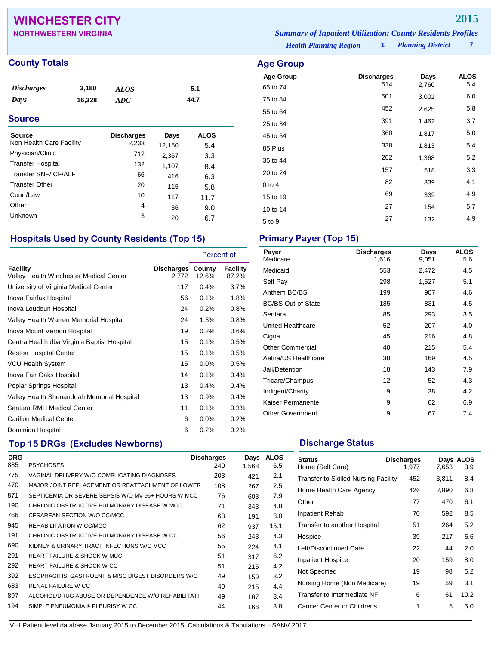## **WINCHESTER CITY 2015**

| .                            |                                                                    |
|------------------------------|--------------------------------------------------------------------|
| <b>NORTHWESTERN VIRGINIA</b> | <b>Summary of Inpatient Utilization: County Residents Profiles</b> |

**Age Group Discharges Days ALOS**<br>65 to 74 514 2,760 5.4 65 to 74 <sup>514</sup> 2,760 5.4 75 to 84 <sup>501</sup> 3,001 6.0 55 to 64 <sup>452</sup> 2,625 5.8 25 to 34 and 391 and 391 and 3.7 45 to 54 <sup>360</sup> 1,817 5.0 85 Plus <sup>338</sup> 1,813 5.4 35 to 44 <sup>262</sup> 1,368 5.2 20 to 24 <sup>157</sup> <sup>518</sup> 3.3 0 to 4 **82** 339 4.1 15 to 19 <sup>69</sup> <sup>339</sup> 4.9 10 to 14 27 154 5.7 5 to 9 <sup>27</sup> <sup>132</sup> 4.9

*Health Planning Region* **1**

*Planning District* **7**

### **County Totals Age Group**

| <i>Discharges</i> | 3,180  | <b>ALOS</b> | 5.1  |
|-------------------|--------|-------------|------|
| Days              | 16,328 | ADC         | 44.7 |
|                   |        |             |      |

### **Source**

| Source<br>Non Health Care Facility | <b>Discharges</b><br>2,233 | Days<br>12,150 | <b>ALOS</b><br>5.4 |
|------------------------------------|----------------------------|----------------|--------------------|
| Physician/Clinic                   | 712                        | 2,367          | 3.3                |
| <b>Transfer Hospital</b>           | 132                        | 1,107          | 8.4                |
| Transfer SNF/ICF/ALF               | 66                         | 416            | 6.3                |
| <b>Transfer Other</b>              | 20                         | 115            | 5.8                |
| Court/Law                          | 10                         | 117            | 11.7               |
| Other                              | 4                          | 36             | 9.0                |
| Unknown                            | 3                          | 20             | 6.7                |

### **Hospitals Used by County Residents (Top 15) Primary Payer (Top 15)**

|                                                     |                                   | Percent of |                   |
|-----------------------------------------------------|-----------------------------------|------------|-------------------|
| Facility<br>Valley Health Winchester Medical Center | <b>Discharges County</b><br>2.772 | 12.6%      | Facility<br>87.2% |
| University of Virginia Medical Center               | 117                               | $0.4\%$    | 3.7%              |
| Inova Fairfax Hospital                              | 56                                | 0.1%       | 1.8%              |
| Inova Loudoun Hospital                              | 24                                | 0.2%       | 0.8%              |
| Valley Health Warren Memorial Hospital              | 24                                | 1.3%       | 0.8%              |
| Inova Mount Vernon Hospital                         | 19                                | 0.2%       | 0.6%              |
| Centra Health dba Virginia Baptist Hospital         | 15                                | 0.1%       | 0.5%              |
| <b>Reston Hospital Center</b>                       | 15                                | 0.1%       | 0.5%              |
| <b>VCU Health System</b>                            | 15                                | 0.0%       | 0.5%              |
| Inova Fair Oaks Hospital                            | 14                                | 0.1%       | 0.4%              |
| Poplar Springs Hospital                             | 13                                | 0.4%       | 0.4%              |
| Valley Health Shenandoah Memorial Hospital          | 13                                | 0.9%       | 0.4%              |
| Sentara RMH Medical Center                          | 11                                | 0.1%       | 0.3%              |
| <b>Carilion Medical Center</b>                      | 6                                 | 0.0%       | 0.2%              |
| Dominion Hospital                                   | 6                                 | 0.2%       | 0.2%              |

## **Top 15 DRGs (Excludes Newborns) Discharge Status Discharge Status**

| <b>DRG</b> |                                                    | <b>Discharges</b> | Days  | <b>ALOS</b> |
|------------|----------------------------------------------------|-------------------|-------|-------------|
| 885        | <b>PSYCHOSES</b>                                   | 240               | 1.568 | 6.5         |
| 775        | VAGINAL DELIVERY W/O COMPLICATING DIAGNOSES        | 203               | 421   | 2.1         |
| 470        | MAJOR JOINT REPLACEMENT OR REATTACHMENT OF LOWER   | 108               | 267   | 2.5         |
| 871        | SEPTICEMIA OR SEVERE SEPSIS W/O MV 96+ HOURS W MCC | 76                | 603   | 7.9         |
| 190        | CHRONIC OBSTRUCTIVE PULMONARY DISEASE W MCC        | 71                | 343   | 4.8         |
| 766        | CESAREAN SECTION W/O CC/MCC                        | 63                | 191   | 3.0         |
| 945        | REHABILITATION W CC/MCC                            | 62                | 937   | 15.1        |
| 191        | CHRONIC OBSTRUCTIVE PULMONARY DISEASE W CC         | 56                | 243   | 4.3         |
| 690        | KIDNEY & URINARY TRACT INFECTIONS W/O MCC          | 55                | 224   | 4.1         |
| 291        | <b>HEART FAILURE &amp; SHOCK W MCC</b>             | 51                | 317   | 6.2         |
| 292        | <b>HEART FAILURE &amp; SHOCK W CC</b>              | 51                | 215   | 4.2         |
| 392        | ESOPHAGITIS, GASTROENT & MISC DIGEST DISORDERS W/O | 49                | 159   | 3.2         |
| 683        | RENAL FAILURE W CC                                 | 49                | 215   | 4.4         |
| 897        | ALCOHOL/DRUG ABUSE OR DEPENDENCE W/O REHABILITATI  | 49                | 167   | 3.4         |
| 194        | SIMPLE PNEUMONIA & PLEURISY W CC                   | 44                | 166   | 3.8         |

| Payer<br>Medicare         | <b>Discharges</b><br>1,616 | Days<br>9,051 | <b>ALOS</b><br>5.6 |
|---------------------------|----------------------------|---------------|--------------------|
| Medicaid                  | 553                        | 2,472         | 4.5                |
| Self Pay                  | 298                        | 1,527         | 5.1                |
| Anthem BC/BS              | 199                        | 907           | 4.6                |
| <b>BC/BS Out-of-State</b> | 185                        | 831           | 4.5                |
| Sentara                   | 85                         | 293           | 3.5                |
| <b>United Healthcare</b>  | 52                         | 207           | 4.0                |
| Cigna                     | 45                         | 216           | 4.8                |
| <b>Other Commercial</b>   | 40                         | 215           | 5.4                |
| Aetna/US Healthcare       | 38                         | 169           | 4.5                |
| Jail/Detention            | 18                         | 143           | 7.9                |
| Tricare/Champus           | 12                         | 52            | 4.3                |
| Indigent/Charity          | 9                          | 38            | 4.2                |
| Kaiser Permanente         | 9                          | 62            | 6.9                |
| <b>Other Government</b>   | 9                          | 67            | 7.4                |

| <b>Status</b><br>Home (Self Care)    | <b>Discharges</b><br>1.977 | 7,653 | Days ALOS<br>3.9 |
|--------------------------------------|----------------------------|-------|------------------|
| Transfer to Skilled Nursing Facility | 452                        | 3,811 | 8.4              |
| Home Health Care Agency              | 426                        | 2,890 | 6.8              |
| Other                                | 77                         | 470   | 6.1              |
| Inpatient Rehab                      | 70                         | 592   | 8.5              |
| Transfer to another Hospital         | 51                         | 264   | 5.2              |
| Hospice                              | 39                         | 217   | 5.6              |
| Left/Discontinued Care               | 22                         | 44    | 2.0              |
| Inpatient Hospice                    | 20                         | 159   | 8.0              |
| Not Specified                        | 19                         | 98    | 5.2              |
| Nursing Home (Non Medicare)          | 19                         | 59    | 3.1              |
| Transfer to Intermediate NF          | 6                          | 61    | 10.2             |
| Cancer Center or Childrens           | 1                          | 5     | 5.0              |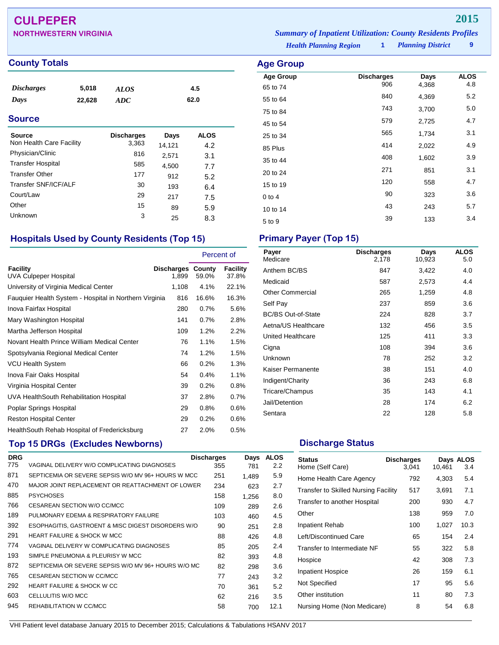## **CULPEPER 2015**

### **County Totals Age Group Age Group**

| <i>Discharges</i> | 5,018  | <b>ALOS</b> | 4.5  |
|-------------------|--------|-------------|------|
| Days              | 22,628 | ADC         | 62.0 |

### **Source**

| <b>Source</b>            | <b>Discharges</b> | Days   | <b>ALOS</b> |
|--------------------------|-------------------|--------|-------------|
| Non Health Care Facility | 3,363             | 14,121 | 4.2         |
| Physician/Clinic         | 816               | 2,571  | 3.1         |
| <b>Transfer Hospital</b> | 585               | 4,500  | 7.7         |
| <b>Transfer Other</b>    | 177               | 912    | 5.2         |
| Transfer SNF/ICF/ALF     | 30                | 193    | 6.4         |
| Court/Law                | 29                | 217    | 7.5         |
| Other                    | 15                | 89     | 5.9         |
| <b>Unknown</b>           | 3                 | 25     | 8.3         |

## **Hospitals Used by County Residents (Top 15) Primary Payer (Top 15)**

|                                                        |                                   | Percent of |                   |
|--------------------------------------------------------|-----------------------------------|------------|-------------------|
| <b>Facility</b><br>UVA Culpeper Hospital               | <b>Discharges County</b><br>1,899 | 59.0%      | Facility<br>37.8% |
| University of Virginia Medical Center                  | 1,108                             | 4.1%       | 22.1%             |
| Fauguier Health System - Hospital in Northern Virginia | 816                               | 16.6%      | 16.3%             |
| Inova Fairfax Hospital                                 | 280                               | 0.7%       | 5.6%              |
| Mary Washington Hospital                               | 141                               | 0.7%       | 2.8%              |
| Martha Jefferson Hospital                              | 109                               | 1.2%       | 2.2%              |
| Novant Health Prince William Medical Center            | 76                                | $1.1\%$    | 1.5%              |
| Spotsylvania Regional Medical Center                   | 74                                | 1.2%       | 1.5%              |
| <b>VCU Health System</b>                               | 66                                | 0.2%       | 1.3%              |
| Inova Fair Oaks Hospital                               | 54                                | 0.4%       | 1.1%              |
| Virginia Hospital Center                               | 39                                | 0.2%       | 0.8%              |
| UVA HealthSouth Rehabilitation Hospital                | 37                                | 2.8%       | 0.7%              |
| Poplar Springs Hospital                                | 29                                | 0.8%       | 0.6%              |
| <b>Reston Hospital Center</b>                          | 29                                | 0.2%       | 0.6%              |
| HealthSouth Rehab Hospital of Fredericksburg           | 27                                | 2.0%       | 0.5%              |

## **Top 15 DRGs (Excludes Newborns) Discharge Status Discharge Status**

| <b>DRG</b> |                                                     | <b>Discharges</b> | Days  | <b>ALOS</b>   |
|------------|-----------------------------------------------------|-------------------|-------|---------------|
| 775        | VAGINAL DELIVERY W/O COMPLICATING DIAGNOSES         | 355               | 781   | $2.2^{\circ}$ |
| 871        | SEPTICEMIA OR SEVERE SEPSIS W/O MV 96+ HOURS W MCC  | 251               | 1.489 | 5.9           |
| 470        | MAJOR JOINT REPLACEMENT OR REATTACHMENT OF LOWER    | 234               | 623   | 2.7           |
| 885        | <b>PSYCHOSES</b>                                    | 158               | 1,256 | 8.0           |
| 766        | CESAREAN SECTION W/O CC/MCC                         | 109               | 289   | 2.6           |
| 189        | PULMONARY EDEMA & RESPIRATORY FAILURE               | 103               | 460   | 4.5           |
| 392        | ESOPHAGITIS, GASTROENT & MISC DIGEST DISORDERS W/O  | 90                | 251   | 2.8           |
| 291        | HEART FAILURE & SHOCK W MCC                         | 88                | 426   | 4.8           |
| 774        | VAGINAL DELIVERY W COMPLICATING DIAGNOSES           | 85                | 205   | 2.4           |
| 193        | SIMPLE PNEUMONIA & PLEURISY W MCC                   | 82                | 393   | 4.8           |
| 872        | SEPTICEMIA OR SEVERE SEPSIS W/O MV 96+ HOURS W/O MC | 82                | 298   | 3.6           |
| 765        | CESAREAN SECTION W CC/MCC                           | 77                | 243   | 3.2           |
| 292        | <b>HEART FAILURE &amp; SHOCK W CC</b>               | 70                | 361   | 5.2           |
| 603        | CELLULITIS W/O MCC                                  | 62                | 216   | 3.5           |
| 945        | REHABILITATION W CC/MCC                             | 58                | 700   | 12.1          |
|            |                                                     |                   |       |               |

**NORTHWESTERN VIRGINIA** *Summary of Inpatient Utilization: County Residents Profiles*

*Health Planning Region* **1**

*Planning District* **9**

| <b>Age Group</b>     |                          |               |                    |
|----------------------|--------------------------|---------------|--------------------|
| <b>Age Group</b>     | <b>Discharges</b><br>906 | Days<br>4,368 | <b>ALOS</b><br>4.8 |
| 65 to 74<br>55 to 64 | 840                      | 4,369         | 5.2                |
| 75 to 84             | 743                      | 3,700         | 5.0                |
| 45 to 54             | 579                      | 2,725         | 4.7                |
| 25 to 34             | 565                      | 1,734         | 3.1                |
| 85 Plus              | 414                      | 2,022         | 4.9                |
| 35 to 44             | 408                      | 1,602         | 3.9                |
| 20 to 24             | 271                      | 851           | 3.1                |
| 15 to 19             | 120                      | 558           | 4.7                |
| $0$ to $4$           | 90                       | 323           | 3.6                |
| 10 to 14             | 43                       | 243           | 5.7                |
| 5 to 9               | 39                       | 133           | 3.4                |

| Payer<br>Medicare         | <b>Discharges</b><br>2,178 | Days<br>10,923 | <b>ALOS</b><br>5.0 |
|---------------------------|----------------------------|----------------|--------------------|
| Anthem BC/BS              | 847                        | 3,422          | 4.0                |
| Medicaid                  | 587                        | 2,573          | 4.4                |
| Other Commercial          | 265                        | 1,259          | 4.8                |
| Self Pay                  | 237                        | 859            | 3.6                |
| <b>BC/BS Out-of-State</b> | 224                        | 828            | 3.7                |
| Aetna/US Healthcare       | 132                        | 456            | 3.5                |
| United Healthcare         | 125                        | 411            | 3.3                |
| Cigna                     | 108                        | 394            | 3.6                |
| Unknown                   | 78                         | 252            | 3.2                |
| Kaiser Permanente         | 38                         | 151            | 4.0                |
| Indigent/Charity          | 36                         | 243            | 6.8                |
| Tricare/Champus           | 35                         | 143            | 4.1                |
| Jail/Detention            | 28                         | 174            | 6.2                |
| Sentara                   | 22                         | 128            | 5.8                |

| <b>Status</b><br>Home (Self Care)           | <b>Discharges</b><br>3,041 | 10,461 | Days ALOS<br>3.4 |
|---------------------------------------------|----------------------------|--------|------------------|
| Home Health Care Agency                     | 792                        | 4,303  | 5.4              |
| <b>Transfer to Skilled Nursing Facility</b> | 517                        | 3,691  | 7.1              |
| Transfer to another Hospital                | 200                        | 930    | 4.7              |
| Other                                       | 138                        | 959    | 7.0              |
| <b>Inpatient Rehab</b>                      | 100                        | 1,027  | 10.3             |
| Left/Discontinued Care                      | 65                         | 154    | 2.4              |
| Transfer to Intermediate NF                 | 55                         | 322    | 5.8              |
| Hospice                                     | 42                         | 308    | 7.3              |
| <b>Inpatient Hospice</b>                    | 26                         | 159    | 6.1              |
| Not Specified                               | 17                         | 95     | 5.6              |
| Other institution                           | 11                         | 80     | 7.3              |
| Nursing Home (Non Medicare)                 | 8                          | 54     | 6.8              |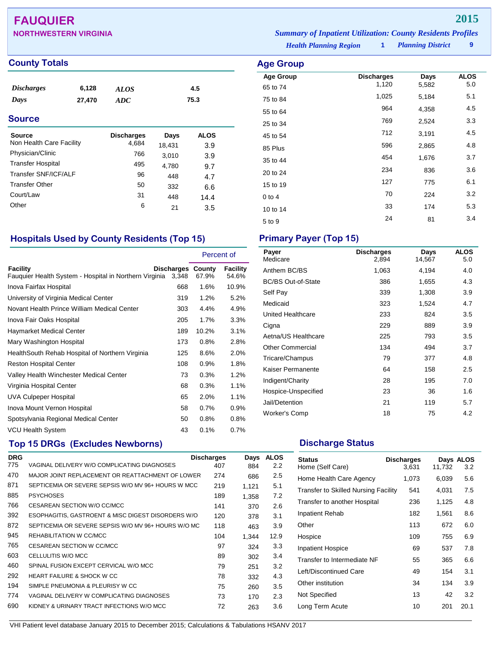## **FAUQUIER 2015**

| <b>NORTHWESTERN VIRGINIA</b> | <b>Summary of Inpatient Utilization: County Residents Profiles</b> |                          |  |
|------------------------------|--------------------------------------------------------------------|--------------------------|--|
|                              | <b>Health Planning Region</b>                                      | <b>Planning District</b> |  |

**Age Group Discharges Days ALOS**<br>65 to 74 1,120 5,582 5.0 65 to 74 1,120 5,582 5.0 75 to 84 1,025 5,184 5.1 55 to 64 <sup>964</sup> 4,358 4.5 25 to 34 <sup>769</sup> 2,524 3.3 45 to 54 <sup>712</sup> 3,191 4.5 85 Plus <sup>596</sup> 2,865 4.8 35 to 44 <sup>454</sup> 1,676 3.7 20 to 24 <sup>234</sup> <sup>836</sup> 3.6 15 to 19 127 127 775 6.1 0 to 4 224 3.2 10 to 14 174 5.3  $5 \text{ to } 9$   $24$   $81$   $3.4$ 

### **County Totals Age Group**

| <i>Discharges</i> | 6,128  | ALOS | 4.5  |
|-------------------|--------|------|------|
| Days              | 27,470 | ADC  | 75.3 |
|                   |        |      |      |

### **Source**

| <b>Source</b>            | <b>Discharges</b> | Days   | <b>ALOS</b> |
|--------------------------|-------------------|--------|-------------|
| Non Health Care Facility | 4.684             | 18,431 | 3.9         |
| Physician/Clinic         | 766               | 3,010  | 3.9         |
| <b>Transfer Hospital</b> | 495               | 4,780  | 9.7         |
| Transfer SNF/ICF/ALF     | 96                | 448    | 4.7         |
| <b>Transfer Other</b>    | 50                | 332    | 6.6         |
| Court/Law                | 31                | 448    | 14.4        |
| Other                    | 6                 | 21     | 3.5         |

## **Hospitals Used by County Residents (Top 15) Primary Payer (Top 15)**

|                                                                    |                                   | Percent of |                   |
|--------------------------------------------------------------------|-----------------------------------|------------|-------------------|
| Facility<br>Fauguier Health System - Hospital in Northern Virginia | <b>Discharges County</b><br>3,348 | 67.9%      | Facility<br>54.6% |
| Inova Fairfax Hospital                                             | 668                               | 1.6%       | 10.9%             |
| University of Virginia Medical Center                              | 319                               | $1.2\%$    | 5.2%              |
| Novant Health Prince William Medical Center                        | 303                               | 4.4%       | 4.9%              |
| Inova Fair Oaks Hospital                                           | 205                               | $1.7\%$    | 3.3%              |
| Haymarket Medical Center                                           | 189                               | 10.2%      | 3.1%              |
| Mary Washington Hospital                                           | 173                               | 0.8%       | 2.8%              |
| HealthSouth Rehab Hospital of Northern Virginia                    | 125                               | 8.6%       | 2.0%              |
| <b>Reston Hospital Center</b>                                      | 108                               | 0.9%       | 1.8%              |
| Valley Health Winchester Medical Center                            | 73                                | 0.3%       | 1.2%              |
| Virginia Hospital Center                                           | 68                                | 0.3%       | 1.1%              |
| <b>UVA Culpeper Hospital</b>                                       | 65                                | 2.0%       | 1.1%              |
| Inova Mount Vernon Hospital                                        | 58                                | 0.7%       | 0.9%              |
| Spotsylvania Regional Medical Center                               | 50                                | 0.8%       | 0.8%              |
| <b>VCU Health System</b>                                           | 43                                | 0.1%       | 0.7%              |

## **Top 15 DRGs (Excludes Newborns) Discharge Status Discharge Status**

| <b>DRG</b> |                                                     | <b>Discharges</b> | Days  | <b>ALOS</b>   |
|------------|-----------------------------------------------------|-------------------|-------|---------------|
| 775        | VAGINAL DELIVERY W/O COMPLICATING DIAGNOSES         | 407               | 884   | $2.2^{\circ}$ |
| 470        | MAJOR JOINT REPLACEMENT OR REATTACHMENT OF LOWER    | 274               | 686   | $2.5\,$       |
| 871        | SEPTICEMIA OR SEVERE SEPSIS W/O MV 96+ HOURS W MCC  | 219               | 1,121 | 5.1           |
| 885        | <b>PSYCHOSES</b>                                    | 189               | 1,358 | 7.2           |
| 766        | CESAREAN SECTION W/O CC/MCC                         | 141               | 370   | 2.6           |
| 392        | ESOPHAGITIS, GASTROENT & MISC DIGEST DISORDERS W/O  | 120               | 378   | 3.1           |
| 872        | SEPTICEMIA OR SEVERE SEPSIS W/O MV 96+ HOURS W/O MC | 118               | 463   | 3.9           |
| 945        | REHABILITATION W CC/MCC                             | 104               | 1.344 | 12.9          |
| 765        | CESAREAN SECTION W CC/MCC                           | 97                | 324   | 3.3           |
| 603        | CELLULITIS W/O MCC                                  | 89                | 302   | 3.4           |
| 460        | SPINAL FUSION EXCEPT CERVICAL W/O MCC               | 79                | 251   | 3.2           |
| 292        | HEART FAILURE & SHOCK W CC                          | 78                | 332   | 4.3           |
| 194        | SIMPLE PNEUMONIA & PLEURISY W CC                    | 75                | 260   | 3.5           |
| 774        | VAGINAL DELIVERY W COMPLICATING DIAGNOSES           | 73                | 170   | 2.3           |
| 690        | KIDNEY & URINARY TRACT INFECTIONS W/O MCC           | 72                | 263   | 3.6           |
|            |                                                     |                   |       |               |

| Payer<br>Medicare         | <b>Discharges</b><br>2,894 | Days<br>14,567 | <b>ALOS</b><br>5.0 |
|---------------------------|----------------------------|----------------|--------------------|
| Anthem BC/BS              | 1,063                      | 4,194          | 4.0                |
| <b>BC/BS Out-of-State</b> | 386                        | 1,655          | 4.3                |
| Self Pay                  | 339                        | 1,308          | 3.9                |
| Medicaid                  | 323                        | 1,524          | 4.7                |
| <b>United Healthcare</b>  | 233                        | 824            | 3.5                |
| Cigna                     | 229                        | 889            | 3.9                |
| Aetna/US Healthcare       | 225                        | 793            | 3.5                |
| <b>Other Commercial</b>   | 134                        | 494            | 3.7                |
| Tricare/Champus           | 79                         | 377            | 4.8                |
| Kaiser Permanente         | 64                         | 158            | 2.5                |
| Indigent/Charity          | 28                         | 195            | 7.0                |
| Hospice-Unspecified       | 23                         | 36             | 1.6                |
| Jail/Detention            | 21                         | 119            | 5.7                |
| Worker's Comp             | 18                         | 75             | 4.2                |

| <b>Status</b><br>Home (Self Care)           | <b>Discharges</b><br>3,631 | 11,732 | Days ALOS<br>3.2 |
|---------------------------------------------|----------------------------|--------|------------------|
| Home Health Care Agency                     | 1,073                      | 6,039  | 5.6              |
| <b>Transfer to Skilled Nursing Facility</b> | 541                        | 4,031  | 7.5              |
| Transfer to another Hospital                | 236                        | 1,125  | 4.8              |
| Inpatient Rehab                             | 182                        | 1,561  | 8.6              |
| Other                                       | 113                        | 672    | 6.0              |
| Hospice                                     | 109                        | 755    | 6.9              |
| <b>Inpatient Hospice</b>                    | 69                         | 537    | 7.8              |
| Transfer to Intermediate NF                 | 55                         | 365    | 6.6              |
| Left/Discontinued Care                      | 49                         | 154    | 3.1              |
| Other institution                           | 34                         | 134    | 3.9              |
| Not Specified                               | 13                         | 42     | 3.2              |
| Long Term Acute                             | 10                         | 201    | 20.1             |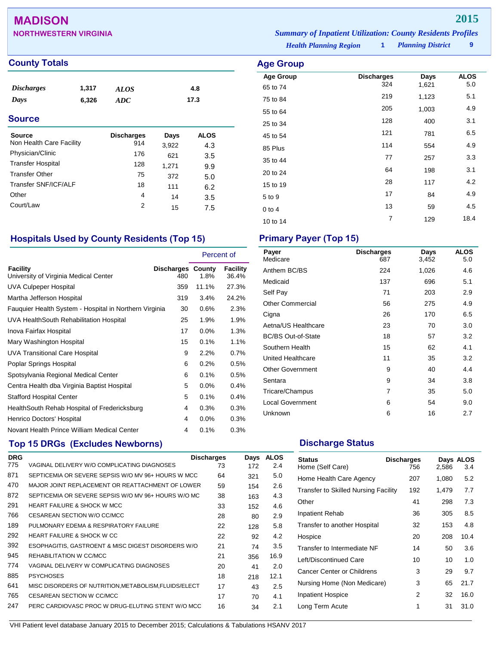## **MADISON 2015**

| <b>County Totals</b>     |       |                   |       |             | <b>Age Group</b> |
|--------------------------|-------|-------------------|-------|-------------|------------------|
|                          |       |                   |       |             | <b>Age Group</b> |
| <b>Discharges</b>        | 1,317 | <b>ALOS</b>       |       | 4.8         | 65 to 74         |
| Days                     | 6,326 | ADC               |       | 17.3        | 75 to 84         |
|                          |       |                   |       |             | 55 to 64         |
| <b>Source</b>            |       |                   |       |             | 25 to 34         |
| <b>Source</b>            |       | <b>Discharges</b> | Days  | <b>ALOS</b> | 45 to 54         |
| Non Health Care Facility |       | 914               | 3,922 | 4.3         | 85 Plus          |
| Physician/Clinic         |       | 176               | 621   | 3.5         |                  |
| <b>Transfer Hospital</b> |       | 128               | 1,271 | 9.9         | 35 to 44         |
| <b>Transfer Other</b>    |       | 75                | 372   | 5.0         | 20 to 24         |
| Transfer SNF/ICF/ALF     |       | 18                | 111   | 6.2         | 15 to 19         |
| Other                    |       | 4                 | 14    | 3.5         | 5 to 9           |
| Court/Law                |       | 2                 | 15    | 7.5         | $0$ to 4         |
|                          |       |                   |       |             | 1012.11          |

## **Hospitals Used by County Residents (Top 15) Primary Payer (Top 15)**

|                                                        |                          | Percent of |                   |
|--------------------------------------------------------|--------------------------|------------|-------------------|
| Facility<br>University of Virginia Medical Center      | Discharges County<br>480 | 1.8%       | Facility<br>36.4% |
| UVA Culpeper Hospital                                  | 359                      | 11.1%      | 27.3%             |
| Martha Jefferson Hospital                              | 319                      | 3.4%       | 24.2%             |
| Fauquier Health System - Hospital in Northern Virginia | 30                       | 0.6%       | 2.3%              |
| UVA HealthSouth Rehabilitation Hospital                | 25                       | 1.9%       | 1.9%              |
| Inova Fairfax Hospital                                 | 17                       | $0.0\%$    | 1.3%              |
| Mary Washington Hospital                               | 15                       | 0.1%       | 1.1%              |
| <b>UVA Transitional Care Hospital</b>                  | 9                        | 2.2%       | 0.7%              |
| Poplar Springs Hospital                                | 6                        | 0.2%       | 0.5%              |
| Spotsylvania Regional Medical Center                   | 6                        | 0.1%       | 0.5%              |
| Centra Health dba Virginia Baptist Hospital            | 5                        | 0.0%       | 0.4%              |
| <b>Stafford Hospital Center</b>                        | 5                        | 0.1%       | 0.4%              |
| HealthSouth Rehab Hospital of Fredericksburg           | 4                        | 0.3%       | 0.3%              |
| Henrico Doctors' Hospital                              | 4                        | 0.0%       | 0.3%              |
| Novant Health Prince William Medical Center            | 4                        | 0.1%       | 0.3%              |

## **Top 15 DRGs (Excludes Newborns) Discharge Status Discharge Status**

| <b>DRG</b> |                                                     | <b>Discharges</b> | Days | <b>ALOS</b> |
|------------|-----------------------------------------------------|-------------------|------|-------------|
| 775        | VAGINAL DELIVERY W/O COMPLICATING DIAGNOSES         | 73                | 172  | 2.4         |
| 871        | SEPTICEMIA OR SEVERE SEPSIS W/O MV 96+ HOURS W MCC  | 64                | 321  | 5.0         |
| 470        | MAJOR JOINT REPLACEMENT OR REATTACHMENT OF LOWER    | 59                | 154  | 2.6         |
| 872        | SEPTICEMIA OR SEVERE SEPSIS W/O MV 96+ HOURS W/O MC | 38                | 163  | 4.3         |
| 291        | <b>HEART FAILURE &amp; SHOCK W MCC</b>              | 33                | 152  | 4.6         |
| 766        | CESAREAN SECTION W/O CC/MCC                         | 28                | 80   | 2.9         |
| 189        | PULMONARY EDEMA & RESPIRATORY FAILURE               | 22                | 128  | 5.8         |
| 292        | <b>HEART FAILURE &amp; SHOCK W CC</b>               | 22                | 92   | 4.2         |
| 392        | ESOPHAGITIS, GASTROENT & MISC DIGEST DISORDERS W/O  | 21                | 74   | 3.5         |
| 945        | REHABILITATION W CC/MCC                             | 21                | 356  | 16.9        |
| 774        | VAGINAL DELIVERY W COMPLICATING DIAGNOSES           | 20                | 41   | 2.0         |
| 885        | <b>PSYCHOSES</b>                                    | 18                | 218  | 12.1        |
| 641        | MISC DISORDERS OF NUTRITION.METABOLISM.FLUIDS/ELECT | 17                | 43   | 2.5         |
| 765        | CESAREAN SECTION W CC/MCC                           | 17                | 70   | 4.1         |
| 247        | PERC CARDIOVASC PROC W DRUG-ELUTING STENT W/O MCC   | 16                | 34   | 2.1         |

**NORTHWESTERN VIRGINIA** *Summary of Inpatient Utilization: County Residents Profiles*

*Health Planning Region* **1**

*Planning District* **9**

| Age Group            |                          |               |                    |
|----------------------|--------------------------|---------------|--------------------|
| <b>Age Group</b>     | <b>Discharges</b><br>324 | Days<br>1,621 | <b>ALOS</b><br>5.0 |
| 65 to 74<br>75 to 84 | 219                      | 1,123         | 5.1                |
| 55 to 64             | 205                      | 1,003         | 4.9                |
| 25 to 34             | 128                      | 400           | 3.1                |
| 45 to 54             | 121                      | 781           | 6.5                |
| 85 Plus              | 114                      | 554           | 4.9                |
| 35 to 44             | 77                       | 257           | 3.3                |
| 20 to 24             | 64                       | 198           | 3.1                |
| 15 to 19             | 28                       | 117           | 4.2                |
| 5 to 9               | 17                       | 84            | 4.9                |
| $0$ to 4             | 13                       | 59            | 4.5                |
| 10 to 14             | $\overline{7}$           | 129           | 18.4               |

| Payer<br>Medicare         | <b>Discharges</b><br>687 | Days<br>3,452 | <b>ALOS</b><br>5.0 |
|---------------------------|--------------------------|---------------|--------------------|
| Anthem BC/BS              | 224                      | 1,026         | 4.6                |
| Medicaid                  | 137                      | 696           | 5.1                |
| Self Pay                  | 71                       | 203           | 2.9                |
| <b>Other Commercial</b>   | 56                       | 275           | 4.9                |
| Cigna                     | 26                       | 170           | 6.5                |
| Aetna/US Healthcare       | 23                       | 70            | 3.0                |
| <b>BC/BS Out-of-State</b> | 18                       | 57            | 3.2                |
| Southern Health           | 15                       | 62            | 4.1                |
| United Healthcare         | 11                       | 35            | 3.2                |
| <b>Other Government</b>   | 9                        | 40            | 4.4                |
| Sentara                   | 9                        | 34            | 3.8                |
| Tricare/Champus           | $\overline{7}$           | 35            | 5.0                |
| <b>Local Government</b>   | 6                        | 54            | 9.0                |
| Unknown                   | 6                        | 16            | 2.7                |

| <b>Status</b><br>Home (Self Care)           | <b>Discharges</b><br>756 | 2,586 | Days ALOS<br>3.4 |
|---------------------------------------------|--------------------------|-------|------------------|
| Home Health Care Agency                     | 207                      | 1,080 | 5.2              |
| <b>Transfer to Skilled Nursing Facility</b> | 192                      | 1,479 | 7.7              |
| Other                                       | 41                       | 298   | 7.3              |
| <b>Inpatient Rehab</b>                      | 36                       | 305   | 8.5              |
| Transfer to another Hospital                | 32                       | 153   | 4.8              |
| Hospice                                     | 20                       | 208   | 10.4             |
| Transfer to Intermediate NF                 | 14                       | 50    | 3.6              |
| Left/Discontinued Care                      | 10                       | 10    | 1.0              |
| Cancer Center or Childrens                  | 3                        | 29    | 9.7              |
| Nursing Home (Non Medicare)                 | 3                        | 65    | 21.7             |
| <b>Inpatient Hospice</b>                    | 2                        | 32    | 16.0             |
| Long Term Acute                             | 1                        | 31    | 31.0             |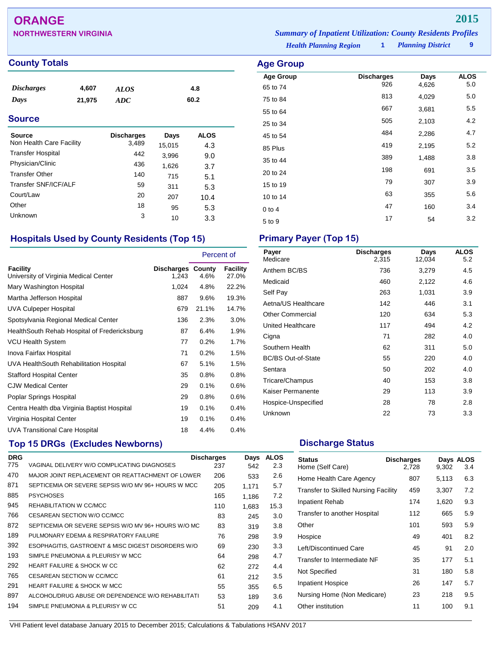## **ORANGE 2015**

| <b>NORTHWESTERN VIRGINIA</b> |                               | <b>Summary of Inpatient Utilization: County Residents Profiles</b> |                          |  |
|------------------------------|-------------------------------|--------------------------------------------------------------------|--------------------------|--|
|                              | <b>Health Planning Region</b> |                                                                    | <b>Planning District</b> |  |

**Age Group Discharges Days ALOS**<br>65 to 74 926 4,626 5.0 65 to 74 <sup>926</sup> 4,626 5.0 75 to 84 <sup>813</sup> 4,029 5.0 55 to 64 <sup>667</sup> 3,681 5.5 25 to 34 <sup>505</sup> 2,103 4.2 45 to 54 <sup>484</sup> 2,286 4.7 85 Plus <sup>419</sup> 2,195 5.2 35 to 44 <sup>389</sup> 1,488 3.8 20 to 24 <sup>198</sup> <sup>691</sup> 3.5 15 to 19 <sup>79</sup> <sup>307</sup> 3.9 10 to 14 63 355 5.6 0 to 4 **47** 160 3.4  $5 \text{ to } 9$   $17$   $54$   $3.2$ 

**County Totals Age Group** 

| <b>Discharges</b> | 4,607  | <b>ALOS</b> | 4.8  |  |
|-------------------|--------|-------------|------|--|
| Days              | 21,975 | ADC         | 60.2 |  |

### **Source**

| Source<br>Non Health Care Facility | <b>Discharges</b><br>3,489 | Days<br>15,015 | <b>ALOS</b><br>4.3 |
|------------------------------------|----------------------------|----------------|--------------------|
| <b>Transfer Hospital</b>           | 442                        | 3,996          | 9.0                |
| Physician/Clinic                   | 436                        | 1,626          | 3.7                |
| <b>Transfer Other</b>              | 140                        | 715            | 5.1                |
| Transfer SNF/ICF/ALF               | 59                         | 311            | 5.3                |
| Court/Law                          | 20                         | 207            | 10.4               |
| Other                              | 18                         | 95             | 5.3                |
| Unknown                            | 3                          | 10             | 3.3                |

## **Hospitals Used by County Residents (Top 15) Primary Payer (Top 15)**

|                                                   |                                   | Percent of |                          |
|---------------------------------------------------|-----------------------------------|------------|--------------------------|
| Facility<br>University of Virginia Medical Center | <b>Discharges County</b><br>1,243 | 4.6%       | <b>Facility</b><br>27.0% |
| Mary Washington Hospital                          | 1,024                             | 4.8%       | 22.2%                    |
| Martha Jefferson Hospital                         | 887                               | 9.6%       | 19.3%                    |
| UVA Culpeper Hospital                             | 679                               | 21.1%      | 14.7%                    |
| Spotsylvania Regional Medical Center              | 136                               | 2.3%       | 3.0%                     |
| HealthSouth Rehab Hospital of Fredericksburg      | 87                                | 6.4%       | 1.9%                     |
| <b>VCU Health System</b>                          | 77                                | 0.2%       | 1.7%                     |
| Inova Fairfax Hospital                            | 71                                | 0.2%       | 1.5%                     |
| UVA HealthSouth Rehabilitation Hospital           | 67                                | 5.1%       | 1.5%                     |
| <b>Stafford Hospital Center</b>                   | 35                                | 0.8%       | 0.8%                     |
| <b>CJW Medical Center</b>                         | 29                                | 0.1%       | 0.6%                     |
| Poplar Springs Hospital                           | 29                                | 0.8%       | 0.6%                     |
| Centra Health dba Virginia Baptist Hospital       | 19                                | 0.1%       | 0.4%                     |
| Virginia Hospital Center                          | 19                                | 0.1%       | 0.4%                     |
| UVA Transitional Care Hospital                    | 18                                | 4.4%       | 0.4%                     |

## **Top 15 DRGs (Excludes Newborns) Discharge Status Discharge Status**

| <b>DRG</b> |                                                     | <b>Discharges</b> | Days  | <b>ALOS</b> |
|------------|-----------------------------------------------------|-------------------|-------|-------------|
| 775        | VAGINAL DELIVERY W/O COMPLICATING DIAGNOSES         | 237               | 542   | 2.3         |
| 470        | MAJOR JOINT REPLACEMENT OR REATTACHMENT OF LOWER    | 206               | 533   | 2.6         |
| 871        | SEPTICEMIA OR SEVERE SEPSIS W/O MV 96+ HOURS W MCC  | 205               | 1.171 | 5.7         |
| 885        | <b>PSYCHOSES</b>                                    | 165               | 1.186 | 7.2         |
| 945        | REHABILITATION W CC/MCC                             | 110               | 1,683 | 15.3        |
| 766        | CESAREAN SECTION W/O CC/MCC                         | 83                | 245   | 3.0         |
| 872        | SEPTICEMIA OR SEVERE SEPSIS W/O MV 96+ HOURS W/O MC | 83                | 319   | 3.8         |
| 189        | PULMONARY EDEMA & RESPIRATORY FAILURE               | 76                | 298   | 3.9         |
| 392        | ESOPHAGITIS, GASTROENT & MISC DIGEST DISORDERS W/O  | 69                | 230   | 3.3         |
| 193        | SIMPLE PNEUMONIA & PLEURISY W MCC                   | 64                | 298   | 4.7         |
| 292        | HEART FAILURE & SHOCK W CC                          | 62                | 272   | 4.4         |
| 765        | CESAREAN SECTION W CC/MCC                           | 61                | 212   | 3.5         |
| 291        | <b>HEART FAILURE &amp; SHOCK W MCC</b>              | 55                | 355   | 6.5         |
| 897        | ALCOHOL/DRUG ABUSE OR DEPENDENCE W/O REHABILITATI   | 53                | 189   | 3.6         |
| 194        | SIMPLE PNEUMONIA & PLEURISY W CC                    | 51                | 209   | 4.1         |
|            |                                                     |                   |       |             |

| Payer<br>Medicare         | <b>Discharges</b><br>2,315 | Days<br>12,034 | <b>ALOS</b><br>5.2 |
|---------------------------|----------------------------|----------------|--------------------|
| Anthem BC/BS              | 736                        | 3,279          | 4.5                |
| Medicaid                  | 460                        | 2,122          | 4.6                |
| Self Pay                  | 263                        | 1,031          | 3.9                |
| Aetna/US Healthcare       | 142                        | 446            | 3.1                |
| <b>Other Commercial</b>   | 120                        | 634            | 5.3                |
| United Healthcare         | 117                        | 494            | 4.2                |
| Cigna                     | 71                         | 282            | 4.0                |
| Southern Health           | 62                         | 311            | 5.0                |
| <b>BC/BS Out-of-State</b> | 55                         | 220            | 4.0                |
| Sentara                   | 50                         | 202            | 4.0                |
| Tricare/Champus           | 40                         | 153            | 3.8                |
| Kaiser Permanente         | 29                         | 113            | 3.9                |
| Hospice-Unspecified       | 28                         | 78             | 2.8                |
| Unknown                   | 22                         | 73             | 3.3                |
|                           |                            |                |                    |

| <b>Status</b><br>Home (Self Care)           | <b>Discharges</b><br>2,728 | 9,302 | Days ALOS<br>3.4 |
|---------------------------------------------|----------------------------|-------|------------------|
| Home Health Care Agency                     | 807                        | 5,113 | 6.3              |
| <b>Transfer to Skilled Nursing Facility</b> | 459                        | 3,307 | 7.2              |
| Inpatient Rehab                             | 174                        | 1,620 | 9.3              |
| Transfer to another Hospital                | 112                        | 665   | 5.9              |
| Other                                       | 101                        | 593   | 5.9              |
| Hospice                                     | 49                         | 401   | 8.2              |
| Left/Discontinued Care                      | 45                         | 91    | 2.0              |
| Transfer to Intermediate NF                 | 35                         | 177   | 5.1              |
| Not Specified                               | 31                         | 180   | 5.8              |
| <b>Inpatient Hospice</b>                    | 26                         | 147   | 5.7              |
| Nursing Home (Non Medicare)                 | 23                         | 218   | 9.5              |
| Other institution                           | 11                         | 100   | 9.1              |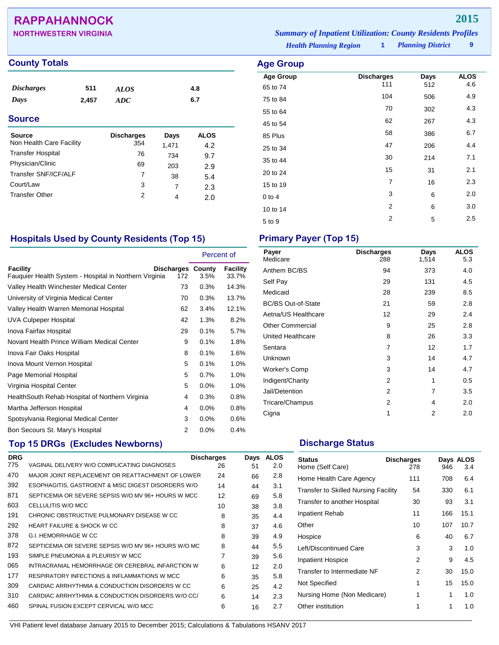## **RAPPAHANNOCK 2015**

| <b>NORTHWESTERN VIRGINIA</b> | <b>Summary of Inpatient Utilization: County Residents Profiles</b> |  |                          |  |
|------------------------------|--------------------------------------------------------------------|--|--------------------------|--|
|                              | <b>Health Planning Region</b>                                      |  | <b>Planning District</b> |  |

## **County Totals Age Group Age Group Age Group**

| <i><b>Discharges</b></i> | 511   | <b>ALOS</b>       |       | 4.8         |  |
|--------------------------|-------|-------------------|-------|-------------|--|
| Days                     | 2,457 | <b>ADC</b>        |       | 6.7         |  |
| <b>Source</b>            |       |                   |       |             |  |
| <b>Source</b>            |       | <b>Discharges</b> | Days  | <b>ALOS</b> |  |
| Non Health Care Facility |       | 354               | 1,471 | 4.2         |  |
| <b>Transfer Hospital</b> |       | 76                | 734   | 9.7         |  |
| Physician/Clinic         |       | 69                | 203   | 2.9         |  |
| Transfer SNF/ICF/ALF     |       | 7                 | 38    | 5.4         |  |
| Court/Law                |       | 3                 | 7     | 2.3         |  |
| <b>Transfer Other</b>    |       | $\overline{2}$    | 4     | 2.0         |  |

| <b>Age Group</b>  |      |             |  |  |  |  |  |
|-------------------|------|-------------|--|--|--|--|--|
| <b>Discharges</b> | Days | <b>ALOS</b> |  |  |  |  |  |
|                   |      | 4.6         |  |  |  |  |  |
| 104               | 506  | 4.9         |  |  |  |  |  |
| 70                | 302  | 4.3         |  |  |  |  |  |
| 62                | 267  | 4.3         |  |  |  |  |  |
| 58                | 386  | 6.7         |  |  |  |  |  |
| 47                | 206  | 4.4         |  |  |  |  |  |
| 30                | 214  | 7.1         |  |  |  |  |  |
| 15                | 31   | 2.1         |  |  |  |  |  |
| $\overline{7}$    | 16   | 2.3         |  |  |  |  |  |
| 3                 | 6    | 2.0         |  |  |  |  |  |
| $\overline{2}$    | 6    | 3.0         |  |  |  |  |  |
| $\overline{2}$    | 5    | 2.5         |  |  |  |  |  |
|                   | 111  | 512         |  |  |  |  |  |

## **Hospitals Used by County Residents (Top 15) Primary Payer (Top 15)**

|                                                                    |                                 | Percent of |                   |
|--------------------------------------------------------------------|---------------------------------|------------|-------------------|
| Facility<br>Fauguier Health System - Hospital in Northern Virginia | <b>Discharges County</b><br>172 | 3.5%       | Facility<br>33.7% |
| Valley Health Winchester Medical Center                            | 73                              | 0.3%       | 14.3%             |
| University of Virginia Medical Center                              | 70                              | 0.3%       | 13.7%             |
| Valley Health Warren Memorial Hospital                             | 62                              | 3.4%       | 12.1%             |
| UVA Culpeper Hospital                                              | 42                              | 1.3%       | 8.2%              |
| Inova Fairfax Hospital                                             | 29                              | 0.1%       | 5.7%              |
| Novant Health Prince William Medical Center                        | 9                               | 0.1%       | 1.8%              |
| Inova Fair Oaks Hospital                                           | 8                               | 0.1%       | 1.6%              |
| Inova Mount Vernon Hospital                                        | 5                               | 0.1%       | 1.0%              |
| Page Memorial Hospital                                             | 5                               | 0.7%       | 1.0%              |
| Virginia Hospital Center                                           | 5                               | 0.0%       | 1.0%              |
| Health South Rehab Hospital of Northern Virginia                   | 4                               | 0.3%       | 0.8%              |
| Martha Jefferson Hospital                                          | 4                               | 0.0%       | 0.8%              |
| Spotsylvania Regional Medical Center                               | 3                               | 0.0%       | 0.6%              |
| Bon Secours St. Mary's Hospital                                    | 2                               | 0.0%       | 0.4%              |

## **Top 15 DRGs (Excludes Newborns) Discharge Status Discharge Status**

| <b>DRG</b> |                                                     | <b>Discharges</b> | Days | <b>ALOS</b> |
|------------|-----------------------------------------------------|-------------------|------|-------------|
| 775        | VAGINAL DELIVERY W/O COMPLICATING DIAGNOSES         | 26                | 51   | 2.0         |
| 470        | MAJOR JOINT REPLACEMENT OR REATTACHMENT OF LOWER    | 24                | 66   | 2.8         |
| 392        | ESOPHAGITIS, GASTROENT & MISC DIGEST DISORDERS W/O  | 14                | 44   | 3.1         |
| 871        | SEPTICEMIA OR SEVERE SEPSIS W/O MV 96+ HOURS W MCC  | 12                | 69   | 5.8         |
| 603        | CELLULITIS W/O MCC                                  | 10                | 38   | 3.8         |
| 191        | CHRONIC OBSTRUCTIVE PULMONARY DISEASE W CC          | 8                 | 35   | 4.4         |
| 292        | <b>HEART FAILURE &amp; SHOCK W CC</b>               | 8                 | 37   | 4.6         |
| 378        | G.I. HEMORRHAGE W CC                                | 8                 | 39   | 4.9         |
| 872        | SEPTICEMIA OR SEVERE SEPSIS W/O MV 96+ HOURS W/O MC | 8                 | 44   | 5.5         |
| 193        | SIMPLE PNEUMONIA & PLEURISY W MCC                   | 7                 | 39   | 5.6         |
| 065        | INTRACRANIAL HEMORRHAGE OR CEREBRAL INFARCTION W    | 6                 | 12   | 2.0         |
| 177        | RESPIRATORY INFECTIONS & INFLAMMATIONS W MCC        | 6                 | 35   | 5.8         |
| 309        | CARDIAC ARRHYTHMIA & CONDUCTION DISORDERS W CC      | 6                 | 25   | 4.2         |
| 310        | CARDIAC ARRHYTHMIA & CONDUCTION DISORDERS W/O CC/   | 6                 | 14   | 2.3         |
| 460        | SPINAL FUSION EXCEPT CERVICAL W/O MCC               | 6                 | 16   | 2.7         |
|            |                                                     |                   |      |             |

| Payer<br>Medicare         | <b>Discharges</b><br>288 | Days<br>1,514  | <b>ALOS</b><br>5.3 |
|---------------------------|--------------------------|----------------|--------------------|
| Anthem BC/BS              | 94                       | 373            | 4.0                |
| Self Pay                  | 29                       | 131            | 4.5                |
| Medicaid                  | 28                       | 239            | 8.5                |
| <b>BC/BS Out-of-State</b> | 21                       | 59             | 2.8                |
| Aetna/US Healthcare       | 12                       | 29             | 2.4                |
| <b>Other Commercial</b>   | 9                        | 25             | 2.8                |
| <b>United Healthcare</b>  | 8                        | 26             | 3.3                |
| Sentara                   | 7                        | 12             | 1.7                |
| Unknown                   | 3                        | 14             | 4.7                |
| Worker's Comp             | 3                        | 14             | 4.7                |
| Indigent/Charity          | 2                        | 1              | 0.5                |
| Jail/Detention            | 2                        | 7              | 3.5                |
| Tricare/Champus           | 2                        | 4              | 2.0                |
| Cigna                     | 1                        | $\mathfrak{p}$ | 2.0                |

| <b>Status</b><br>Home (Self Care)           | <b>Discharges</b><br>278 | 946 | Days ALOS<br>3.4 |
|---------------------------------------------|--------------------------|-----|------------------|
| Home Health Care Agency                     | 111                      | 708 | 6.4              |
| <b>Transfer to Skilled Nursing Facility</b> | 54                       | 330 | 6.1              |
| Transfer to another Hospital                | 30                       | 93  | 3.1              |
| Inpatient Rehab                             | 11                       | 166 | 15.1             |
| Other                                       | 10                       | 107 | 10.7             |
| Hospice                                     | 6                        | 40  | 6.7              |
| Left/Discontinued Care                      | 3                        | 3   | 1.0              |
| <b>Inpatient Hospice</b>                    | 2                        | 9   | 4.5              |
| Transfer to Intermediate NF                 | 2                        | 30  | 15.0             |
| Not Specified                               | 1                        | 15  | 15.0             |
| Nursing Home (Non Medicare)                 | 1                        | 1   | 1.0              |
| Other institution                           | 1                        | 1   | 1.0              |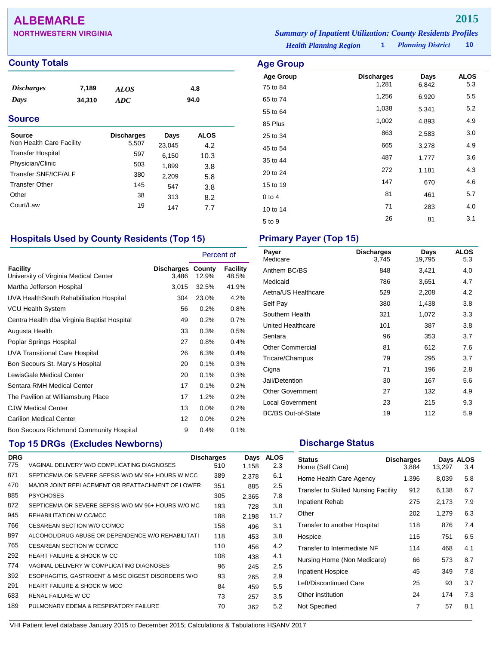## **ALBEMARLE 2015**

| <b>NORTHWESTERN VIRGINIA</b> | <b>Summary of Inpatient Utilization: County Residents Profiles</b> |                          |        |
|------------------------------|--------------------------------------------------------------------|--------------------------|--------|
|                              | <b>Health Planning Region</b>                                      | <b>Planning District</b> | - 10 - |

**Age Group Discharges Days ALOS**<br>  $\begin{array}{ccc}\n75 \text{ to } 84 \\
75 \text{ to } 84\n\end{array}$  **Discharges** Days ALOS 75 to 84 1,281 6,842 5.3 65 to 74 1,256 6,920 5.5 55 to 64 1,038 5,341 5.2 85 Plus 1,002 4,893 4.9 25 to 34 and 2,583 and 2,583 and 3.0 45 to 54 <sup>665</sup> 3,278 4.9 35 to 44 <sup>487</sup> 1,777 3.6 20 to 24 <sup>272</sup> 1,181 4.3 15 to 19 <sup>147</sup> <sup>670</sup> 4.6 0 to 4  $81$  461 5.7 10 to 14 283 4.0  $5 \text{ to } 9$  26 81 3.1

### **County Totals Age Group**

| <i><b>Discharges</b></i> | 7,189  | <b>ALOS</b> | 4.8  |
|--------------------------|--------|-------------|------|
| Days                     | 34,310 | ADC         | 94.0 |
|                          |        |             |      |

### **Source**

| <b>Source</b><br>Non Health Care Facility<br><b>Transfer Hospital</b> | <b>Discharges</b><br>5,507<br>597 | Days<br>23,045<br>6,150 | ALOS<br>4.2<br>10.3 |
|-----------------------------------------------------------------------|-----------------------------------|-------------------------|---------------------|
| Physician/Clinic                                                      | 503                               | 1,899                   | 3.8                 |
| Transfer SNF/ICF/ALF                                                  | 380                               | 2,209                   | 5.8                 |
| <b>Transfer Other</b>                                                 | 145                               | 547                     | 3.8                 |
| Other                                                                 | 38                                | 313                     | 8.2                 |
| Court/Law                                                             | 19                                | 147                     | 77                  |

## **Hospitals Used by County Residents (Top 15) Primary Payer (Top 15)**

|                                                          |                     | Percent of      |                   |
|----------------------------------------------------------|---------------------|-----------------|-------------------|
| <b>Facility</b><br>University of Virginia Medical Center | Discharges<br>3,486 | County<br>12.9% | Facility<br>48.5% |
| Martha Jefferson Hospital                                | 3,015               | 32.5%           | 41.9%             |
| UVA HealthSouth Rehabilitation Hospital                  | 304                 | 23.0%           | 4.2%              |
| VCU Health System                                        | 56                  | 0.2%            | 0.8%              |
| Centra Health dba Virginia Baptist Hospital              | 49                  | 0.2%            | 0.7%              |
| Augusta Health                                           | 33                  | 0.3%            | 0.5%              |
| Poplar Springs Hospital                                  | 27                  | 0.8%            | 0.4%              |
| UVA Transitional Care Hospital                           | 26                  | 6.3%            | 0.4%              |
| Bon Secours St. Mary's Hospital                          | 20                  | 0.1%            | 0.3%              |
| LewisGale Medical Center                                 | 20                  | 0.1%            | 0.3%              |
| Sentara RMH Medical Center                               | 17                  | 0.1%            | 0.2%              |
| The Pavilion at Williamsburg Place                       | 17                  | 1.2%            | 0.2%              |
| <b>CJW Medical Center</b>                                | 13                  | $0.0\%$         | 0.2%              |
| <b>Carilion Medical Center</b>                           | 12                  | $0.0\%$         | 0.2%              |
| Bon Secours Richmond Community Hospital                  | 9                   | 0.4%            | 0.1%              |

## **Top 15 DRGs (Excludes Newborns) Discharge Status Discharge Status**

| <b>DRG</b> |                                                     | <b>Discharges</b> | Days  | <b>ALOS</b> |
|------------|-----------------------------------------------------|-------------------|-------|-------------|
| 775        | VAGINAL DELIVERY W/O COMPLICATING DIAGNOSES         | 510               | 1,158 | 2.3         |
| 871        | SEPTICEMIA OR SEVERE SEPSIS W/O MV 96+ HOURS W MCC  | 389               | 2,378 | 6.1         |
| 470        | MAJOR JOINT REPLACEMENT OR REATTACHMENT OF LOWER    | 351               | 885   | 2.5         |
| 885        | <b>PSYCHOSES</b>                                    | 305               | 2.365 | 7.8         |
| 872        | SEPTICEMIA OR SEVERE SEPSIS W/O MV 96+ HOURS W/O MC | 193               | 728   | 3.8         |
| 945        | REHABILITATION W CC/MCC                             | 188               | 2.198 | 11.7        |
| 766        | CESAREAN SECTION W/O CC/MCC                         | 158               | 496   | 3.1         |
| 897        | ALCOHOL/DRUG ABUSE OR DEPENDENCE W/O REHABILITATI   | 118               | 453   | 3.8         |
| 765        | CESAREAN SECTION W CC/MCC                           | 110               | 456   | 4.2         |
| 292        | HEART FAILURE & SHOCK W CC                          | 108               | 438   | 4.1         |
| 774        | VAGINAL DELIVERY W COMPLICATING DIAGNOSES           | 96                | 245   | 2.5         |
| 392        | ESOPHAGITIS, GASTROENT & MISC DIGEST DISORDERS W/O  | 93                | 265   | 2.9         |
| 291        | <b>HEART FAILURE &amp; SHOCK W MCC</b>              | 84                | 459   | 5.5         |
| 683        | RENAL FAILURE W CC                                  | 73                | 257   | 3.5         |
| 189        | PULMONARY EDEMA & RESPIRATORY FAILURE               | 70                | 362   | 5.2         |
|            |                                                     |                   |       |             |

| Payer<br>Medicare         | <b>Discharges</b><br>3,745 | Days<br>19,795 | <b>ALOS</b><br>5.3 |
|---------------------------|----------------------------|----------------|--------------------|
| Anthem BC/BS              | 848                        | 3,421          | 4.0                |
| Medicaid                  | 786                        | 3,651          | 4.7                |
| Aetna/US Healthcare       | 529                        | 2,208          | 4.2                |
| Self Pay                  | 380                        | 1,438          | 3.8                |
| Southern Health           | 321                        | 1,072          | 3.3                |
| United Healthcare         | 101                        | 387            | 3.8                |
| Sentara                   | 96                         | 353            | 3.7                |
| <b>Other Commercial</b>   | 81                         | 612            | 7.6                |
| Tricare/Champus           | 79                         | 295            | 3.7                |
| Cigna                     | 71                         | 196            | 2.8                |
| Jail/Detention            | 30                         | 167            | 5.6                |
| <b>Other Government</b>   | 27                         | 132            | 4.9                |
| Local Government          | 23                         | 215            | 9.3                |
| <b>BC/BS Out-of-State</b> | 19                         | 112            | 5.9                |

| Status<br>Home (Self Care)                  | <b>Discharges</b><br>3,884 | 13,297 | Days ALOS<br>3.4 |
|---------------------------------------------|----------------------------|--------|------------------|
| Home Health Care Agency                     | 1,396                      | 8,039  | 5.8              |
| <b>Transfer to Skilled Nursing Facility</b> | 912                        | 6,138  | 6.7              |
| <b>Inpatient Rehab</b>                      | 275                        | 2,173  | 7.9              |
| Other                                       | 202                        | 1,279  | 6.3              |
| Transfer to another Hospital                | 118                        | 876    | 7.4              |
| Hospice                                     | 115                        | 751    | 6.5              |
| Transfer to Intermediate NF                 | 114                        | 468    | 4.1              |
| Nursing Home (Non Medicare)                 | 66                         | 573    | 8.7              |
| <b>Inpatient Hospice</b>                    | 45                         | 349    | 7.8              |
| Left/Discontinued Care                      | 25                         | 93     | 3.7              |
| Other institution                           | 24                         | 174    | 7.3              |
| Not Specified                               | 7                          | 57     | 8.1              |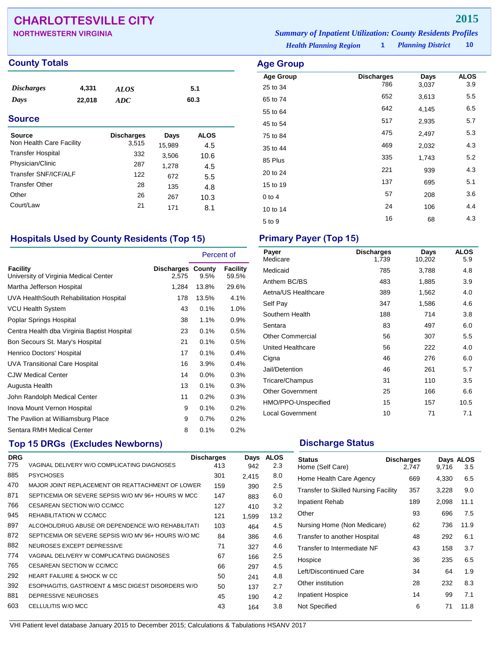## **CHARLOTTESVILLE CITY 2015**

| <b>NORTHWESTERN VIRGINIA</b> | <b>Summary of Inpatient Utilization: County Residents Profiles</b> |                          |        |
|------------------------------|--------------------------------------------------------------------|--------------------------|--------|
|                              | <b>Health Planning Region</b>                                      | <b>Planning District</b> | - 10 - |

### **County Totals Age Group**

| <i><b>Discharges</b></i><br>Days<br><b>Source</b> | 4,331<br>22,018 | <b>ALOS</b><br><b>ADC</b>  |                | 5.1<br>60.3        |  |
|---------------------------------------------------|-----------------|----------------------------|----------------|--------------------|--|
| <b>Source</b><br>Non Health Care Facility         |                 | <b>Discharges</b><br>3,515 | Days<br>15,989 | <b>ALOS</b><br>4.5 |  |
| <b>Transfer Hospital</b>                          |                 | 332                        | 3,506          | 10.6               |  |
| Physician/Clinic                                  |                 | 287                        | 1.278          | 4.5                |  |

**Age Group Discharges Days ALOS**<br>25 to 34 786 3,037 3.9 25 to 34 <sup>786</sup> 3,037 3.9 65 to 74 <sup>652</sup> 3,613 5.5 55 to 64 <sup>642</sup> 4,145 6.5 45 to 54 517 2,935 5.7 75 to 84 <sup>475</sup> 2,497 5.3 35 to 44 <sup>469</sup> 2,032 4.3 85 Plus <sup>335</sup> 1,743 5.2 20 to 24 <sup>221</sup> <sup>939</sup> 4.3 15 to 19 137 695 5.1 0 to 4 57 208 3.6 10 to 14 24 106 4.4  $5 \text{ to } 9$   $16$   $68$   $4.3$ 

### **Hospitals Used by County Residents (Top 15) Primary Payer (Top 15)**

Transfer SNF/ICF/ALF 122 672 5.5<br>Transfer Other 28 135 4.8 Transfer Other 28  $135$  4.8<br>Other 26  $26$   $26$   $26$   $26$   $26$   $26$   $26$ Other 26 267 10.3 Court/Law 21 171 8.1

|                                                   |                                   | Percent of |                   |
|---------------------------------------------------|-----------------------------------|------------|-------------------|
| Facility<br>University of Virginia Medical Center | <b>Discharges County</b><br>2,575 | 9.5%       | Facility<br>59.5% |
| Martha Jefferson Hospital                         | 1,284                             | 13.8%      | 29.6%             |
| UVA HealthSouth Rehabilitation Hospital           | 178                               | 13.5%      | 4.1%              |
| <b>VCU Health System</b>                          | 43                                | 0.1%       | 1.0%              |
| Poplar Springs Hospital                           | 38                                | 1.1%       | 0.9%              |
| Centra Health dba Virginia Baptist Hospital       | 23                                | 0.1%       | 0.5%              |
| Bon Secours St. Mary's Hospital                   | 21                                | 0.1%       | 0.5%              |
| Henrico Doctors' Hospital                         | 17                                | 0.1%       | 0.4%              |
| <b>UVA Transitional Care Hospital</b>             | 16                                | 3.9%       | 0.4%              |
| <b>CJW Medical Center</b>                         | 14                                | 0.0%       | 0.3%              |
| Augusta Health                                    | 13                                | 0.1%       | 0.3%              |
| John Randolph Medical Center                      | 11                                | 0.2%       | 0.3%              |
| Inova Mount Vernon Hospital                       | 9                                 | 0.1%       | 0.2%              |
| The Pavilion at Williamsburg Place                | 9                                 | 0.7%       | 0.2%              |
| Sentara RMH Medical Center                        | 8                                 | 0.1%       | 0.2%              |

## **Top 15 DRGs (Excludes Newborns) Discharge Status Discharge Status**

| <b>DRG</b> |                                                     | <b>Discharges</b> | Days  | <b>ALOS</b> |
|------------|-----------------------------------------------------|-------------------|-------|-------------|
| 775        | VAGINAL DELIVERY W/O COMPLICATING DIAGNOSES         | 413               | 942   | 2.3         |
| 885        | <b>PSYCHOSES</b>                                    | 301               | 2.415 | 8.0         |
| 470        | MAJOR JOINT REPLACEMENT OR REATTACHMENT OF LOWER    | 159               | 390   | 2.5         |
| 871        | SEPTICEMIA OR SEVERE SEPSIS W/O MV 96+ HOURS W MCC  | 147               | 883   | 6.0         |
| 766        | CESAREAN SECTION W/O CC/MCC                         | 127               | 410   | 3.2         |
| 945        | REHABILITATION W CC/MCC                             | 121               | 1.599 | 13.2        |
| 897        | ALCOHOL/DRUG ABUSE OR DEPENDENCE W/O REHABILITATI   | 103               | 464   | 4.5         |
| 872        | SEPTICEMIA OR SEVERE SEPSIS W/O MV 96+ HOURS W/O MC | 84                | 386   | 4.6         |
| 882        | NEUROSES EXCEPT DEPRESSIVE                          | 71                | 327   | 4.6         |
| 774        | VAGINAL DELIVERY W COMPLICATING DIAGNOSES           | 67                | 166   | 2.5         |
| 765        | CESAREAN SECTION W CC/MCC                           | 66                | 297   | 4.5         |
| 292        | <b>HEART FAILURE &amp; SHOCK W CC</b>               | 50                | 241   | 4.8         |
| 392        | ESOPHAGITIS, GASTROENT & MISC DIGEST DISORDERS W/O  | 50                | 137   | 2.7         |
| 881        | DEPRESSIVE NEUROSES                                 | 45                | 190   | 4.2         |
| 603        | CELLULITIS W/O MCC                                  | 43                | 164   | 3.8         |

| Payer<br>Medicare       | <b>Discharges</b><br>1,739 | Days<br>10,202 | <b>ALOS</b><br>5.9 |
|-------------------------|----------------------------|----------------|--------------------|
| Medicaid                | 785                        | 3,788          | 4.8                |
| Anthem BC/BS            | 483                        | 1,885          | 3.9                |
| Aetna/US Healthcare     | 389                        | 1,562          | 4.0                |
| Self Pay                | 347                        | 1,586          | 4.6                |
| Southern Health         | 188                        | 714            | 3.8                |
| Sentara                 | 83                         | 497            | 6.0                |
| <b>Other Commercial</b> | 56                         | 307            | 5.5                |
| United Healthcare       | 56                         | 222            | 4.0                |
| Cigna                   | 46                         | 276            | 6.0                |
| Jail/Detention          | 46                         | 261            | 5.7                |
| Tricare/Champus         | 31                         | 110            | 3.5                |
| <b>Other Government</b> | 25                         | 166            | 6.6                |
| HMO/PPO-Unspecified     | 15                         | 157            | 10.5               |
| <b>Local Government</b> | 10                         | 71             | 7.1                |

| <b>Status</b><br>Home (Self Care)           | <b>Discharges</b><br>2.747 | 9,716 | Days ALOS<br>3.5 |
|---------------------------------------------|----------------------------|-------|------------------|
| Home Health Care Agency                     | 669                        | 4,330 | 6.5              |
| <b>Transfer to Skilled Nursing Facility</b> | 357                        | 3,228 | 9.0              |
| <b>Inpatient Rehab</b>                      | 189                        | 2,098 | 11.1             |
| Other                                       | 93                         | 696   | 7.5              |
| Nursing Home (Non Medicare)                 | 62                         | 736   | 11.9             |
| Transfer to another Hospital                | 48                         | 292   | 6.1              |
| Transfer to Intermediate NF                 | 43                         | 158   | 3.7              |
| Hospice                                     | 36                         | 235   | 6.5              |
| Left/Discontinued Care                      | 34                         | 64    | 1.9              |
| Other institution                           | 28                         | 232   | 8.3              |
| <b>Inpatient Hospice</b>                    | 14                         | 99    | 7.1              |
| Not Specified                               | 6                          | 71    | 11.8             |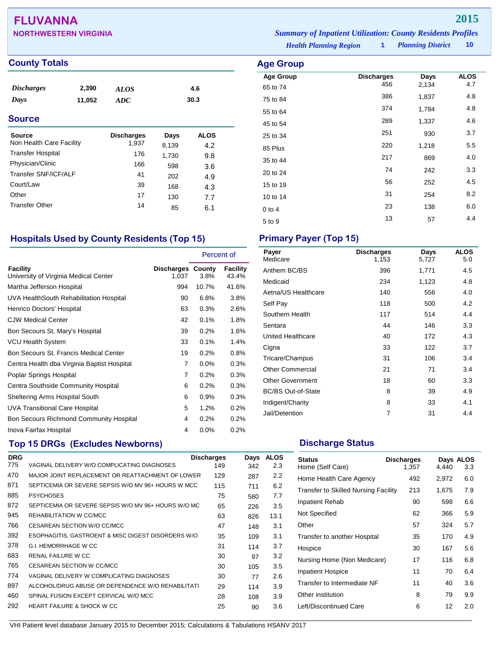## **FLUVANNA 2015**

## **County Totals Age Group**

| <i><b>Discharges</b></i> | 2,390  | <b>ALOS</b> | 4.6  |  |
|--------------------------|--------|-------------|------|--|
| Days                     | 11,052 | ADC         | 30.3 |  |
| <b>Source</b>            |        |             |      |  |

| Source<br>Non Health Care Facility | <b>Discharges</b><br>1,937 | Days<br>8,139 | <b>ALOS</b><br>4.2 |
|------------------------------------|----------------------------|---------------|--------------------|
| <b>Transfer Hospital</b>           | 176                        | 1,730         | 9.8                |
| Physician/Clinic                   | 166                        | 598           | 3.6                |
| Transfer SNF/ICF/ALF               | 41                         | 202           | 4.9                |
| Court/Law                          | 39                         | 168           | 4.3                |
| Other                              | 17                         | 130           | 7.7                |
| <b>Transfer Other</b>              | 14                         | 85            | 6.1                |

## **Hospitals Used by County Residents (Top 15) Primary Payer (Top 15)**

|                                                   |                                   | Percent of |                   |
|---------------------------------------------------|-----------------------------------|------------|-------------------|
| Facility<br>University of Virginia Medical Center | <b>Discharges County</b><br>1,037 | 3.8%       | Facility<br>43.4% |
| Martha Jefferson Hospital                         | 994                               | 10.7%      | 41.6%             |
| UVA HealthSouth Rehabilitation Hospital           | 90                                | 6.8%       | 3.8%              |
| Henrico Doctors' Hospital                         | 63                                | 0.3%       | 2.6%              |
| <b>CJW Medical Center</b>                         | 42                                | 0.1%       | 1.8%              |
| Bon Secours St. Mary's Hospital                   | 39                                | 0.2%       | 1.6%              |
| VCU Health System                                 | 33                                | 0.1%       | 1.4%              |
| Bon Secours St. Francis Medical Center            | 19                                | 0.2%       | $0.8\%$           |
| Centra Health dba Virginia Baptist Hospital       | 7                                 | $0.0\%$    | 0.3%              |
| Poplar Springs Hospital                           | 7                                 | 0.2%       | 0.3%              |
| Centra Southside Community Hospital               | 6                                 | 0.2%       | 0.3%              |
| <b>Sheltering Arms Hospital South</b>             | 6                                 | 0.9%       | 0.3%              |
| UVA Transitional Care Hospital                    | 5                                 | 1.2%       | 0.2%              |
| Bon Secours Richmond Community Hospital           | 4                                 | 0.2%       | 0.2%              |
| Inova Fairfax Hospital                            | 4                                 | 0.0%       | 0.2%              |

## **Top 15 DRGs (Excludes Newborns) Discharge Status Discharge Status**

| <b>DRG</b> |                                                     | <b>Discharges</b> | Days | AL<br>.OS |
|------------|-----------------------------------------------------|-------------------|------|-----------|
| 775        | VAGINAL DELIVERY W/O COMPLICATING DIAGNOSES         | 149               | 342  | 2.3       |
| 470        | MAJOR JOINT REPLACEMENT OR REATTACHMENT OF LOWER    | 129               | 287  | 2.2       |
| 871        | SEPTICEMIA OR SEVERE SEPSIS W/O MV 96+ HOURS W MCC  | 115               | 711  | 6.2       |
| 885        | <b>PSYCHOSES</b>                                    | 75                | 580  | 7.7       |
| 872        | SEPTICEMIA OR SEVERE SEPSIS W/O MV 96+ HOURS W/O MC | 65                | 226  | 3.5       |
| 945        | REHABILITATION W CC/MCC                             | 63                | 826  | 13.1      |
| 766        | CESAREAN SECTION W/O CC/MCC                         | 47                | 148  | 3.1       |
| 392        | ESOPHAGITIS, GASTROENT & MISC DIGEST DISORDERS W/O  | 35                | 109  | 3.1       |
| 378        | <b>G.I. HEMORRHAGE W CC</b>                         | 31                | 114  | 3.7       |
| 683        | RENAL FAILURE W CC                                  | 30                | 97   | 3.2       |
| 765        | CESAREAN SECTION W CC/MCC                           | 30                | 105  | 3.5       |
| 774        | VAGINAL DELIVERY W COMPLICATING DIAGNOSES           | 30                | 77   | 2.6       |
| 897        | ALCOHOL/DRUG ABUSE OR DEPENDENCE W/O REHABILITATI   | 29                | 114  | 3.9       |
| 460        | SPINAL FUSION EXCEPT CERVICAL W/O MCC               | 28                | 108  | 3.9       |
| 292        | <b>HEART FAILURE &amp; SHOCK W CC</b>               | 25                | 90   | 3.6       |
|            |                                                     |                   |      |           |

| Payer<br>Medicare         | <b>Discharges</b><br>1,153 | Days<br>5,727 | <b>ALOS</b><br>5.0 |
|---------------------------|----------------------------|---------------|--------------------|
| Anthem BC/BS              | 396                        | 1,771         | 4.5                |
| Medicaid                  | 234                        | 1,123         | 4.8                |
| Aetna/US Healthcare       | 140                        | 556           | 4.0                |
| Self Pay                  | 118                        | 500           | 4.2                |
| Southern Health           | 117                        | 514           | 4.4                |
| Sentara                   | 44                         | 146           | 3.3                |
| United Healthcare         | 40                         | 172           | 4.3                |
| Cigna                     | 33                         | 122           | 3.7                |
| Tricare/Champus           | 31                         | 106           | 3.4                |
| <b>Other Commercial</b>   | 21                         | 71            | 3.4                |
| <b>Other Government</b>   | 18                         | 60            | 3.3                |
| <b>BC/BS Out-of-State</b> | 8                          | 39            | 4.9                |
| Indigent/Charity          | 8                          | 33            | 4.1                |
| Jail/Detention            | 7                          | 31            | 4.4                |

| <b>Status</b><br>Home (Self Care)           | <b>Discharges</b><br>1,357 | 4,440 | Days ALOS<br>3.3 |
|---------------------------------------------|----------------------------|-------|------------------|
| Home Health Care Agency                     | 492                        | 2,972 | 6.0              |
| <b>Transfer to Skilled Nursing Facility</b> | 213                        | 1,675 | 7.9              |
| Inpatient Rehab                             | 90                         | 598   | 6.6              |
| Not Specified                               | 62                         | 366   | 5.9              |
| Other                                       | 57                         | 324   | 5.7              |
| Transfer to another Hospital                | 35                         | 170   | 4.9              |
| Hospice                                     | 30                         | 167   | 5.6              |
| Nursing Home (Non Medicare)                 | 17                         | 116   | 6.8              |
| <b>Inpatient Hospice</b>                    | 11                         | 70    | 6.4              |
| Transfer to Intermediate NF                 | 11                         | 40    | 3.6              |
| Other institution                           | 8                          | 79    | 9.9              |
| Left/Discontinued Care                      | 6                          | 12    | 2.0              |

*Planning District* **10 NORTHWESTERN VIRGINIA** *Summary of Inpatient Utilization: County Residents Profiles*

> **Age Group Discharges Days ALOS**<br>  $456$  2.134 4.7 65 to 74 <sup>456</sup> 2,134 4.7 75 to 84 <sup>386</sup> 1,837 4.8 55 to 64 <sup>374</sup> 1,784 4.8 45 to 54 <sup>289</sup> 1,337 4.6 25 to 34 <sup>251</sup> <sup>930</sup> 3.7 85 Plus 220 1,218 5.5 35 to 44 <sup>217</sup> <sup>869</sup> 4.0 20 to 24 20 242 3.3 15 to 19 15 15 16 16 17 17 18 17 18 17 18 17 18 17 18 17 18 17 18 17 18 17 18 17 1 10 to 14 31 254 8.2 0 to 4 23 138 6.0  $5 \text{ to } 9$   $13$   $57$   $4.4$

*Health Planning Region* **1**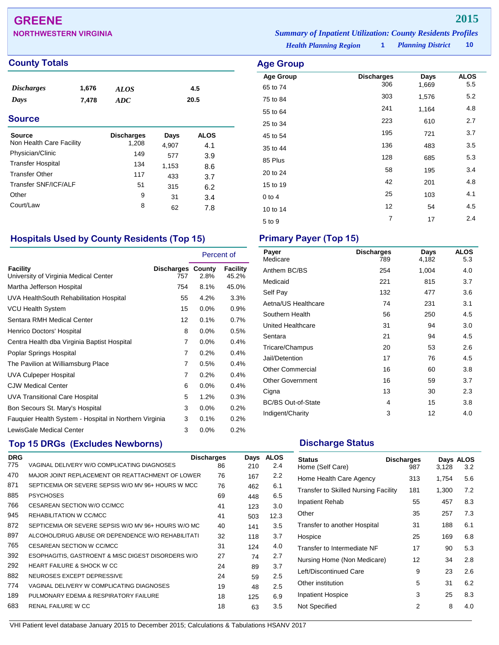## **GREENE 2015**

**NORTHWESTERN VIRGINIA** *Summary of Inpatient Utilization: County Residents Profiles*

### **County Totals Age Group**

| <b>Discharges</b> | 1,676 | <b>ALOS</b> | 4.5  |  |
|-------------------|-------|-------------|------|--|
| Days              | 7,478 | ADC         | 20.5 |  |
| <b>Source</b>     |       |             |      |  |
|                   |       |             |      |  |

| Source                   | <b>Discharges</b> | Days  | <b>ALOS</b> |  |
|--------------------------|-------------------|-------|-------------|--|
| Non Health Care Facility | 1,208             | 4,907 | 4.1         |  |
| Physician/Clinic         | 149               | 577   | 3.9         |  |
| <b>Transfer Hospital</b> | 134               | 1,153 | 8.6         |  |
| <b>Transfer Other</b>    | 117               | 433   | 3.7         |  |
| Transfer SNF/ICF/ALF     | 51                | 315   | 6.2         |  |
| Other                    | 9                 | 31    | 3.4         |  |
| Court/Law                | 8                 | 62    | 7.8         |  |
|                          |                   |       |             |  |

### **Hospitals Used by County Residents (Top 15) Primary Payer (Top 15)**

|                                                        |                                 | Percent of |                   |
|--------------------------------------------------------|---------------------------------|------------|-------------------|
| Facility<br>University of Virginia Medical Center      | <b>Discharges County</b><br>757 | 2.8%       | Facility<br>45.2% |
| Martha Jefferson Hospital                              | 754                             | 8.1%       | 45.0%             |
| UVA HealthSouth Rehabilitation Hospital                | 55                              | 4.2%       | 3.3%              |
| <b>VCU Health System</b>                               | 15                              | 0.0%       | 0.9%              |
| Sentara RMH Medical Center                             | 12                              | 0.1%       | 0.7%              |
| Henrico Doctors' Hospital                              | 8                               | $0.0\%$    | 0.5%              |
| Centra Health dba Virginia Baptist Hospital            | 7                               | 0.0%       | 0.4%              |
| Poplar Springs Hospital                                | 7                               | 0.2%       | 0.4%              |
| The Pavilion at Williamsburg Place                     | 7                               | 0.5%       | 0.4%              |
| UVA Culpeper Hospital                                  | 7                               | 0.2%       | 0.4%              |
| <b>CJW Medical Center</b>                              | 6                               | $0.0\%$    | 0.4%              |
| <b>UVA Transitional Care Hospital</b>                  | 5                               | 1.2%       | 0.3%              |
| Bon Secours St. Mary's Hospital                        | 3                               | $0.0\%$    | 0.2%              |
| Fauguier Health System - Hospital in Northern Virginia | 3                               | 0.1%       | 0.2%              |
| LewisGale Medical Center                               | 3                               | $0.0\%$    | 0.2%              |

## **Top 15 DRGs (Excludes Newborns) Discharge Status Discharge Status**

| <b>DRG</b> |                                                     | <b>Discharges</b> | Days | <b>ALOS</b> |
|------------|-----------------------------------------------------|-------------------|------|-------------|
| 775        | VAGINAL DELIVERY W/O COMPLICATING DIAGNOSES         | 86                | 210  | 2.4         |
| 470        | MAJOR JOINT REPLACEMENT OR REATTACHMENT OF LOWER    | 76                | 167  | 2.2         |
| 871        | SEPTICEMIA OR SEVERE SEPSIS W/O MV 96+ HOURS W MCC  | 76                | 462  | 6.1         |
| 885        | <b>PSYCHOSES</b>                                    | 69                | 448  | 6.5         |
| 766        | CESAREAN SECTION W/O CC/MCC                         | 41                | 123  | 3.0         |
| 945        | REHABILITATION W CC/MCC                             | 41                | 503  | 12.3        |
| 872        | SEPTICEMIA OR SEVERE SEPSIS W/O MV 96+ HOURS W/O MC | 40                | 141  | 3.5         |
| 897        | ALCOHOL/DRUG ABUSE OR DEPENDENCE W/O REHABILITATI   | 32                | 118  | 3.7         |
| 765        | CESAREAN SECTION W CC/MCC                           | 31                | 124  | 4.0         |
| 392        | ESOPHAGITIS, GASTROENT & MISC DIGEST DISORDERS W/O  | 27                | 74   | 2.7         |
| 292        | HEART FAILURE & SHOCK W CC                          | 24                | 89   | 3.7         |
| 882        | NEUROSES EXCEPT DEPRESSIVE                          | 24                | 59   | 2.5         |
| 774        | VAGINAL DELIVERY W COMPLICATING DIAGNOSES           | 19                | 48   | 2.5         |
| 189        | PULMONARY EDEMA & RESPIRATORY FAILURE               | 18                | 125  | 6.9         |
| 683        | RENAL FAILURE W CC                                  | 18                | 63   | 3.5         |
|            |                                                     |                   |      |             |

 $5 \text{ to } 9$  7 17 2.4

65 to 74

*Health Planning Region* **1**

**Age Group Discharges Days ALOS**

75 to 84 <sup>303</sup> 1,576 5.2 55 to 64 <sup>241</sup> 1,164 4.8 25 to 34 <sup>223</sup> <sup>610</sup> 2.7 45 to 54 <sup>195</sup> <sup>721</sup> 3.7 35 to 44 <sup>136</sup> <sup>483</sup> 3.5 85 Plus <sup>128</sup> <sup>685</sup> 5.3 20 to 24 58 195 3.4 15 to 19 10 10 11 12 12 12 14.8 0 to 4  $25$  103  $4.1$ 10 to 14 12 54 4.5

| Payer<br>Medicare         | <b>Discharges</b><br>789 | Days<br>4,182 | <b>ALOS</b><br>5.3 |
|---------------------------|--------------------------|---------------|--------------------|
| Anthem BC/BS              | 254                      | 1,004         | 4.0                |
| Medicaid                  | 221                      | 815           | 3.7                |
| Self Pay                  | 132                      | 477           | 3.6                |
| Aetna/US Healthcare       | 74                       | 231           | 3.1                |
| Southern Health           | 56                       | 250           | 4.5                |
| United Healthcare         | 31                       | 94            | 3.0                |
| Sentara                   | 21                       | 94            | 4.5                |
| Tricare/Champus           | 20                       | 53            | 2.6                |
| Jail/Detention            | 17                       | 76            | 4.5                |
| <b>Other Commercial</b>   | 16                       | 60            | 3.8                |
| <b>Other Government</b>   | 16                       | 59            | 3.7                |
| Cigna                     | 13                       | 30            | 2.3                |
| <b>BC/BS Out-of-State</b> | 4                        | 15            | 3.8                |
| Indigent/Charity          | 3                        | 12            | 4.0                |

| <b>Status</b><br>Home (Self Care)           | <b>Discharges</b><br>987 | 3,128 | Days ALOS<br>3.2 |
|---------------------------------------------|--------------------------|-------|------------------|
| Home Health Care Agency                     | 313                      | 1,754 | 5.6              |
| <b>Transfer to Skilled Nursing Facility</b> | 181                      | 1,300 | 7.2              |
| Inpatient Rehab                             | 55                       | 457   | 8.3              |
| Other                                       | 35                       | 257   | 7.3              |
| Transfer to another Hospital                | 31                       | 188   | 6.1              |
| Hospice                                     | 25                       | 169   | 6.8              |
| Transfer to Intermediate NF                 | 17                       | 90    | 5.3              |
| Nursing Home (Non Medicare)                 | 12                       | 34    | 2.8              |
| Left/Discontinued Care                      | 9                        | 23    | 2.6              |
| Other institution                           | 5                        | 31    | 6.2              |
| <b>Inpatient Hospice</b>                    | 3                        | 25    | 8.3              |
| Not Specified                               | 2                        | 8     | 4.0              |

VHI Patient level database January 2015 to December 2015; Calculations & Tabulations HSANV 2017

*Planning District* **10**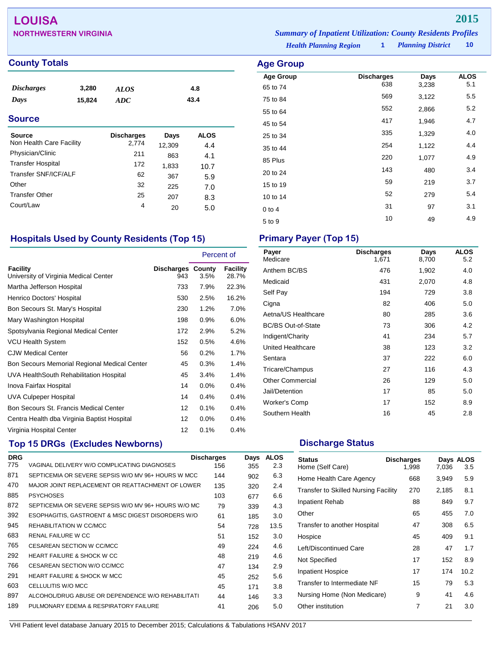## **LOUISA 2015**

| <b>County Totals</b> | <b>Age Group</b> |
|----------------------|------------------|
|----------------------|------------------|

| <b>Discharges</b> | 3,280  | <b>ALOS</b> | 4.8  |  |
|-------------------|--------|-------------|------|--|
| Days              | 15,824 | ADC         | 43.4 |  |
| <b>Source</b>     |        |             |      |  |

| <b>Discharges</b> | Days   | <b>ALOS</b> |
|-------------------|--------|-------------|
|                   | 12,309 | 4.4         |
| 211               | 863    | 4.1         |
| 172               | 1,833  | 10.7        |
| 62                | 367    | 5.9         |
| 32                | 225    | 7.0         |
| 25                | 207    | 8.3         |
| 4                 | 20     | 5.0         |
|                   | 2,774  |             |

## **Hospitals Used by County Residents (Top 15) Primary Payer (Top 15)**

|                                                   |                                 | Percent of |                   |
|---------------------------------------------------|---------------------------------|------------|-------------------|
| Facility<br>University of Virginia Medical Center | <b>Discharges County</b><br>943 | 3.5%       | Facility<br>28.7% |
| Martha Jefferson Hospital                         | 733                             | 7.9%       | 22.3%             |
| Henrico Doctors' Hospital                         | 530                             | 2.5%       | 16.2%             |
| Bon Secours St. Mary's Hospital                   | 230                             | 1.2%       | 7.0%              |
| Mary Washington Hospital                          | 198                             | 0.9%       | 6.0%              |
| Spotsylvania Regional Medical Center              | 172                             | 2.9%       | 5.2%              |
| <b>VCU Health System</b>                          | 152                             | 0.5%       | 4.6%              |
| <b>CJW Medical Center</b>                         | 56                              | 0.2%       | 1.7%              |
| Bon Secours Memorial Regional Medical Center      | 45                              | 0.3%       | 1.4%              |
| UVA HealthSouth Rehabilitation Hospital           | 45                              | 3.4%       | 1.4%              |
| Inova Fairfax Hospital                            | 14                              | $0.0\%$    | 0.4%              |
| <b>UVA Culpeper Hospital</b>                      | 14                              | 0.4%       | 0.4%              |
| Bon Secours St. Francis Medical Center            | 12                              | 0.1%       | 0.4%              |
| Centra Health dba Virginia Baptist Hospital       | 12                              | $0.0\%$    | 0.4%              |
| Virginia Hospital Center                          | 12                              | 0.1%       | 0.4%              |

## **Top 15 DRGs (Excludes Newborns) Discharge Status Discharge Status**

| <b>DRG</b> |                                                     | <b>Discharges</b> | Days | AL<br>.OS |
|------------|-----------------------------------------------------|-------------------|------|-----------|
| 775        | VAGINAL DELIVERY W/O COMPLICATING DIAGNOSES         | 156               | 355  | 2.3       |
| 871        | SEPTICEMIA OR SEVERE SEPSIS W/O MV 96+ HOURS W MCC  | 144               | 902  | 6.3       |
| 470        | MAJOR JOINT REPLACEMENT OR REATTACHMENT OF LOWER    | 135               | 320  | 2.4       |
| 885        | <b>PSYCHOSES</b>                                    | 103               | 677  | 6.6       |
| 872        | SEPTICEMIA OR SEVERE SEPSIS W/O MV 96+ HOURS W/O MC | 79                | 339  | 4.3       |
| 392        | ESOPHAGITIS, GASTROENT & MISC DIGEST DISORDERS W/O  | 61                | 185  | 3.0       |
| 945        | REHABILITATION W CC/MCC                             | 54                | 728  | 13.5      |
| 683        | RENAL FAILURE W CC                                  | 51                | 152  | 3.0       |
| 765        | CESAREAN SECTION W CC/MCC                           | 49                | 224  | 4.6       |
| 292        | HEART FAILURE & SHOCK W CC                          | 48                | 219  | 4.6       |
| 766        | CESAREAN SECTION W/O CC/MCC                         | 47                | 134  | 2.9       |
| 291        | HEART FAILURE & SHOCK W MCC                         | 45                | 252  | 5.6       |
| 603        | CELLULITIS W/O MCC                                  | 45                | 171  | 3.8       |
| 897        | ALCOHOL/DRUG ABUSE OR DEPENDENCE W/O REHABILITATI   | 44                | 146  | 3.3       |
| 189        | PULMONARY EDEMA & RESPIRATORY FAILURE               | 41                | 206  | 5.0       |
|            |                                                     |                   |      |           |

| Payer<br>Medicare         | <b>Discharges</b><br>1,671 | Days<br>8,700 | <b>ALOS</b><br>5.2 |
|---------------------------|----------------------------|---------------|--------------------|
| Anthem BC/BS              | 476                        | 1,902         | 4.0                |
| Medicaid                  | 431                        | 2,070         | 4.8                |
| Self Pay                  | 194                        | 729           | 3.8                |
| Cigna                     | 82                         | 406           | 5.0                |
| Aetna/US Healthcare       | 80                         | 285           | 3.6                |
| <b>BC/BS Out-of-State</b> | 73                         | 306           | 4.2                |
| Indigent/Charity          | 41                         | 234           | 5.7                |
| United Healthcare         | 38                         | 123           | 3.2                |
| Sentara                   | 37                         | 222           | 6.0                |
| Tricare/Champus           | 27                         | 116           | 4.3                |
| <b>Other Commercial</b>   | 26                         | 129           | 5.0                |
| Jail/Detention            | 17                         | 85            | 5.0                |
| Worker's Comp             | 17                         | 152           | 8.9                |
| Southern Health           | 16                         | 45            | 2.8                |

| <b>Status</b><br>Home (Self Care)           | <b>Discharges</b><br>1,998 | 7,036 | Days ALOS<br>3.5 |
|---------------------------------------------|----------------------------|-------|------------------|
| Home Health Care Agency                     | 668                        | 3,949 | 5.9              |
| <b>Transfer to Skilled Nursing Facility</b> | 270                        | 2,185 | 8.1              |
| <b>Inpatient Rehab</b>                      | 88                         | 849   | 9.7              |
| Other                                       | 65                         | 455   | 7.0              |
| Transfer to another Hospital                | 47                         | 308   | 6.5              |
| Hospice                                     | 45                         | 409   | 9.1              |
| Left/Discontinued Care                      | 28                         | 47    | 1.7              |
| Not Specified                               | 17                         | 152   | 8.9              |
| <b>Inpatient Hospice</b>                    | 17                         | 174   | 10.2             |
| Transfer to Intermediate NF                 | 15                         | 79    | 5.3              |
| Nursing Home (Non Medicare)                 | 9                          | 41    | 4.6              |
| Other institution                           | 7                          | 21    | 3.0              |

*Planning District* **10 NORTHWESTERN VIRGINIA** *Summary of Inpatient Utilization: County Residents Profiles*

*Health Planning Region* **1**

| <b>Discharges</b> | Days       | <b>ALOS</b>    |            |
|-------------------|------------|----------------|------------|
|                   |            |                |            |
|                   |            |                |            |
| 552               | 2,866      | 5.2            |            |
| 417               | 1,946      | 4.7            |            |
| 335               | 1,329      | 4.0            |            |
| 254               | 1,122      | 4.4            |            |
| 220               | 1,077      | 4.9            |            |
| 143               | 480        | 3.4            |            |
| 59                | 219        | 3.7            |            |
| 52                | 279        | 5.4            |            |
| 31                | 97         | 3.1            |            |
| 10                | 49         | 4.9            |            |
|                   | 638<br>569 | 3,238<br>3,122 | 5.1<br>5.5 |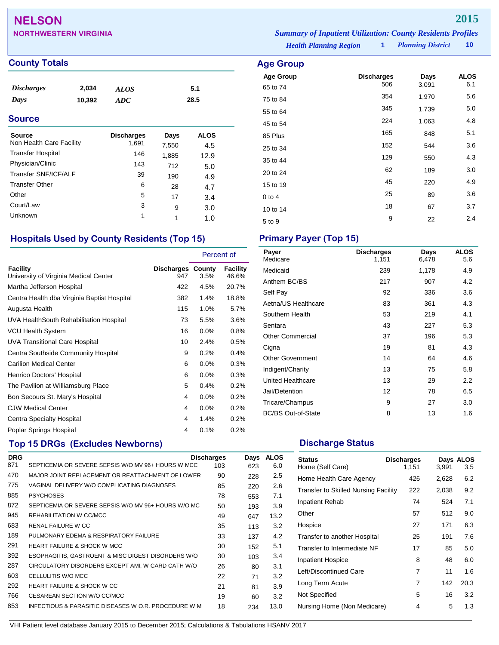## **NELSON 2015**

| <b>NORTHWESTERN VIRGINIA</b> | <b>Summary of Inpatient Utilization: County Residents Profiles</b> |                          |        |
|------------------------------|--------------------------------------------------------------------|--------------------------|--------|
|                              | <b>Health Planning Region</b>                                      | <b>Planning District</b> | - 10 - |

**Age Group Discharges Days ALOS**<br>65 to 74 506 3,091 6.1 65 to 74 <sup>506</sup> 3,091 6.1 75 to 84 <sup>354</sup> 1,970 5.6 55 to 64 <sup>345</sup> 1,739 5.0 45 to 54 <sup>224</sup> 1,063 4.8 85 Plus <sup>165</sup> <sup>848</sup> 5.1 25 to 34 <sup>152</sup> <sup>544</sup> 3.6 35 to 44 <sup>129</sup> <sup>550</sup> 4.3 20 to 24 <sup>62</sup> <sup>189</sup> 3.0 15 to 19 <sup>45</sup> <sup>220</sup> 4.9 0 to 4 25 89 3.6 10 to 14 **18** 67 3.7  $5 \text{ to } 9$  22 2.4

## **County Totals Age Group**

| <i><b>Discharges</b></i> | 2,034  | ALOS | 5.1  |
|--------------------------|--------|------|------|
| Days                     | 10,392 | ADC  | 28.5 |

### **Source**

| Source<br>Non Health Care Facility | <b>Discharges</b><br>1,691 | Days<br>7,550 | <b>ALOS</b><br>4.5 |
|------------------------------------|----------------------------|---------------|--------------------|
| <b>Transfer Hospital</b>           | 146                        | 1,885         | 12.9               |
| Physician/Clinic                   | 143                        | 712           | 5.0                |
| Transfer SNF/ICF/ALF               | 39                         | 190           | 4.9                |
| <b>Transfer Other</b>              | 6                          | 28            | 4.7                |
| Other                              | 5                          | 17            | 3.4                |
| Court/Law                          | 3                          | 9             | 3.0                |
| <b>Unknown</b>                     | 1                          |               | 1.0                |

## **Hospitals Used by County Residents (Top 15) Primary Payer (Top 15)**

|                                                          |                          | Percent of |                   |
|----------------------------------------------------------|--------------------------|------------|-------------------|
| <b>Facility</b><br>University of Virginia Medical Center | Discharges County<br>947 | 3.5%       | Facility<br>46.6% |
| Martha Jefferson Hospital                                | 422                      | 4.5%       | 20.7%             |
| Centra Health dba Virginia Baptist Hospital              | 382                      | 1.4%       | 18.8%             |
| Augusta Health                                           | 115                      | 1.0%       | 5.7%              |
| UVA HealthSouth Rehabilitation Hospital                  | 73                       | 5.5%       | 3.6%              |
| <b>VCU Health System</b>                                 | 16                       | $0.0\%$    | 0.8%              |
| <b>UVA Transitional Care Hospital</b>                    | 10                       | 2.4%       | 0.5%              |
| Centra Southside Community Hospital                      | 9                        | 0.2%       | 0.4%              |
| <b>Carilion Medical Center</b>                           | 6                        | $0.0\%$    | 0.3%              |
| Henrico Doctors' Hospital                                | 6                        | 0.0%       | 0.3%              |
| The Pavilion at Williamsburg Place                       | 5                        | $0.4\%$    | 0.2%              |
| Bon Secours St. Mary's Hospital                          | 4                        | 0.0%       | 0.2%              |
| <b>CJW Medical Center</b>                                | 4                        | $0.0\%$    | 0.2%              |
| <b>Centra Specialty Hospital</b>                         | 4                        | 1.4%       | 0.2%              |
| Poplar Springs Hospital                                  | 4                        | 0.1%       | 0.2%              |

## **Top 15 DRGs (Excludes Newborns) Discharge Status Discharge Status**

| <b>DRG</b> |                                                      | <b>Discharges</b> | Days | <b>ALOS</b> |
|------------|------------------------------------------------------|-------------------|------|-------------|
| 871        | SEPTICEMIA OR SEVERE SEPSIS W/O MV 96+ HOURS W MCC   | 103               | 623  | 6.0         |
| 470        | MAJOR JOINT REPLACEMENT OR REATTACHMENT OF LOWER     | 90                | 228  | 2.5         |
| 775        | VAGINAL DELIVERY W/O COMPLICATING DIAGNOSES          | 85                | 220  | 2.6         |
| 885        | <b>PSYCHOSES</b>                                     | 78                | 553  | 7.1         |
| 872        | SEPTICEMIA OR SEVERE SEPSIS W/O MV 96+ HOURS W/O MC  | 50                | 193  | 3.9         |
| 945        | REHABILITATION W CC/MCC                              | 49                | 647  | 13.2        |
| 683        | RENAL FAILURE W CC                                   | 35                | 113  | 3.2         |
| 189        | PULMONARY EDEMA & RESPIRATORY FAILURE                | 33                | 137  | 4.2         |
| 291        | <b>HEART FAILURE &amp; SHOCK W MCC</b>               | 30                | 152  | 5.1         |
| 392        | ESOPHAGITIS, GASTROENT & MISC DIGEST DISORDERS W/O   | 30                | 103  | 3.4         |
| 287        | CIRCULATORY DISORDERS EXCEPT AMI, W CARD CATH W/O    | 26                | 80   | 3.1         |
| 603        | CELLULITIS W/O MCC                                   | 22                | 71   | 3.2         |
| 292        | <b>HEART FAILURE &amp; SHOCK W CC</b>                | 21                | 81   | 3.9         |
| 766        | CESAREAN SECTION W/O CC/MCC                          | 19                | 60   | 3.2         |
| 853        | INFECTIOUS & PARASITIC DISEASES W O.R. PROCEDURE W M | 18                | 234  | 13.0        |
|            |                                                      |                   |      |             |

| Payer<br>Medicare         | <b>Discharges</b><br>1,151 | Days<br>6,478 | <b>ALOS</b><br>5.6 |
|---------------------------|----------------------------|---------------|--------------------|
| Medicaid                  | 239                        | 1,178         | 4.9                |
| Anthem BC/BS              | 217                        | 907           | 4.2                |
| Self Pay                  | 92                         | 336           | 3.6                |
| Aetna/US Healthcare       | 83                         | 361           | 4.3                |
| Southern Health           | 53                         | 219           | 4.1                |
| Sentara                   | 43                         | 227           | 5.3                |
| <b>Other Commercial</b>   | 37                         | 196           | 5.3                |
| Cigna                     | 19                         | 81            | 4.3                |
| <b>Other Government</b>   | 14                         | 64            | 4.6                |
| Indigent/Charity          | 13                         | 75            | 5.8                |
| <b>United Healthcare</b>  | 13                         | 29            | 2.2                |
| Jail/Detention            | 12                         | 78            | 6.5                |
| Tricare/Champus           | 9                          | 27            | 3.0                |
| <b>BC/BS Out-of-State</b> | 8                          | 13            | 1.6                |

| <b>Status</b><br>Home (Self Care)           | <b>Discharges</b><br>1,151 | 3,991 | Days ALOS<br>3.5 |
|---------------------------------------------|----------------------------|-------|------------------|
| Home Health Care Agency                     | 426                        | 2,628 | 6.2              |
| <b>Transfer to Skilled Nursing Facility</b> | 222                        | 2,038 | 9.2              |
| Inpatient Rehab                             | 74                         | 524   | 7.1              |
| Other                                       | 57                         | 512   | 9.0              |
| Hospice                                     | 27                         | 171   | 6.3              |
| Transfer to another Hospital                | 25                         | 191   | 7.6              |
| Transfer to Intermediate NF                 | 17                         | 85    | 5.0              |
| <b>Inpatient Hospice</b>                    | 8                          | 48    | 6.0              |
| Left/Discontinued Care                      | 7                          | 11    | 1.6              |
| Long Term Acute                             | 7                          | 142   | 20.3             |
| Not Specified                               | 5                          | 16    | 3.2              |
| Nursing Home (Non Medicare)                 | 4                          | 5     | 1.3              |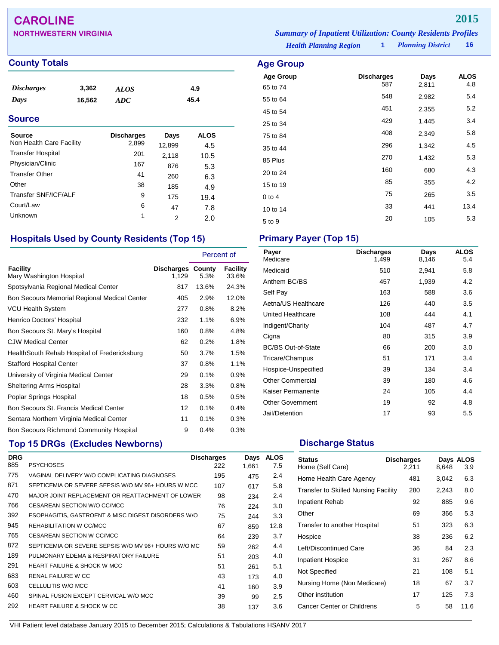## **CAROLINE 2015**

| <b>NORTHWESTERN VIRGINIA</b> | <b>Summary of Inpatient Utilization: County Residents Profiles</b> |                          |      |
|------------------------------|--------------------------------------------------------------------|--------------------------|------|
|                              | <b>Health Planning Region</b>                                      | <b>Planning District</b> | ่ 16 |

**Age Group Discharges Days ALOS**<br>65 to 74 587 2,811 4.8 65 to 74 <sup>587</sup> 2,811 4.8 55 to 64 548 548 2,982 5.4 45 to 54 **451** 2,355 5.2 25 to 34 <sup>429</sup> 1,445 3.4 75 to 84 <sup>408</sup> 2,349 5.8 35 to 44 <sup>296</sup> 1,342 4.5 85 Plus <sup>270</sup> 1,432 5.3 20 to 24 <sup>160</sup> <sup>680</sup> 4.3 15 to 19 and 15 to 19 and 15 to 19 and 15 and 15 and 15 and 15 and 15 and 15 and 15 and 15 and 15 and 15 and 1 0 to 4 265 3.5 10 to 14 13.4  $5 \text{ to } 9$  20  $105$  5.3

### **County Totals Age Group**

| <i>Discharges</i> | 3,362  | <b>ALOS</b> | 4.9  |  |
|-------------------|--------|-------------|------|--|
| Days              | 16,562 | ADC         | 45.4 |  |
| <b>Source</b>     |        |             |      |  |

| Source                   | <b>Discharges</b> | Days   | <b>ALOS</b> |
|--------------------------|-------------------|--------|-------------|
| Non Health Care Facility | 2,899             | 12,899 | 4.5         |
| <b>Transfer Hospital</b> | 201               | 2,118  | 10.5        |
| Physician/Clinic         | 167               | 876    | 5.3         |
| <b>Transfer Other</b>    | 41                | 260    | 6.3         |
| Other                    | 38                | 185    | 4.9         |
| Transfer SNF/ICF/ALF     | 9                 | 175    | 19.4        |
| Court/Law                | 6                 | 47     | 7.8         |
| Unknown                  | 1                 | 2      | 2.0         |

## **Hospitals Used by County Residents (Top 15) Primary Payer (Top 15)**

|                                                |                            | Percent of |                   |
|------------------------------------------------|----------------------------|------------|-------------------|
| Facility<br>Mary Washington Hospital           | Discharges County<br>1,129 | 5.3%       | Facility<br>33.6% |
| Spotsylvania Regional Medical Center           | 817                        | 13.6%      | 24.3%             |
| Bon Secours Memorial Regional Medical Center   | 405                        | 2.9%       | 12.0%             |
| <b>VCU Health System</b>                       | 277                        | 0.8%       | 8.2%              |
| Henrico Doctors' Hospital                      | 232                        | 1.1%       | 6.9%              |
| Bon Secours St. Mary's Hospital                | 160                        | 0.8%       | 4.8%              |
| <b>CJW Medical Center</b>                      | 62                         | 0.2%       | 1.8%              |
| HealthSouth Rehab Hospital of Fredericksburg   | 50                         | 3.7%       | 1.5%              |
| <b>Stafford Hospital Center</b>                | 37                         | 0.8%       | 1.1%              |
| University of Virginia Medical Center          | 29                         | 0.1%       | 0.9%              |
| <b>Sheltering Arms Hospital</b>                | 28                         | 3.3%       | 0.8%              |
| Poplar Springs Hospital                        | 18                         | 0.5%       | 0.5%              |
| Bon Secours St. Francis Medical Center         | 12                         | 0.1%       | 0.4%              |
| Sentara Northern Virginia Medical Center       | 11                         | 0.1%       | 0.3%              |
| <b>Bon Secours Richmond Community Hospital</b> | 9                          | 0.4%       | 0.3%              |

## **Top 15 DRGs (Excludes Newborns) Discharge Status Discharge Status**

| <b>DRG</b> |                                                     | <b>Discharges</b> | Days  | <b>ALOS</b> |
|------------|-----------------------------------------------------|-------------------|-------|-------------|
| 885        | <b>PSYCHOSES</b>                                    | 222               | 1.661 | 7.5         |
| 775        | VAGINAL DELIVERY W/O COMPLICATING DIAGNOSES         | 195               | 475   | 2.4         |
| 871        | SEPTICEMIA OR SEVERE SEPSIS W/O MV 96+ HOURS W MCC  | 107               | 617   | 5.8         |
| 470        | MAJOR JOINT REPLACEMENT OR REATTACHMENT OF LOWER    | 98                | 234   | 2.4         |
| 766        | CESAREAN SECTION W/O CC/MCC                         | 76                | 224   | 3.0         |
| 392        | ESOPHAGITIS, GASTROENT & MISC DIGEST DISORDERS W/O  | 75                | 244   | 3.3         |
| 945        | REHABILITATION W CC/MCC                             | 67                | 859   | 12.8        |
| 765        | CESAREAN SECTION W CC/MCC                           | 64                | 239   | 3.7         |
| 872        | SEPTICEMIA OR SEVERE SEPSIS W/O MV 96+ HOURS W/O MC | 59                | 262   | 4.4         |
| 189        | PULMONARY EDEMA & RESPIRATORY FAILURE               | 51                | 203   | 4.0         |
| 291        | <b>HEART FAILURE &amp; SHOCK W MCC</b>              | 51                | 261   | 5.1         |
| 683        | <b>RENAL FAILURE W CC</b>                           | 43                | 173   | 4.0         |
| 603        | CELLULITIS W/O MCC                                  | 41                | 160   | 3.9         |
| 460        | SPINAL FUSION EXCEPT CERVICAL W/O MCC               | 39                | 99    | 2.5         |
| 292        | <b>HEART FAILURE &amp; SHOCK W CC</b>               | 38                | 137   | 3.6         |
|            |                                                     |                   |       |             |

| Payer<br>Medicare         | <b>Discharges</b><br>1,499 | Days<br>8,146 | <b>ALOS</b><br>5.4 |
|---------------------------|----------------------------|---------------|--------------------|
| Medicaid                  | 510                        | 2,941         | 5.8                |
| Anthem BC/BS              | 457                        | 1,939         | 4.2                |
| Self Pay                  | 163                        | 588           | 3.6                |
| Aetna/US Healthcare       | 126                        | 440           | 3.5                |
| United Healthcare         | 108                        | 444           | 4.1                |
| Indigent/Charity          | 104                        | 487           | 4.7                |
| Cigna                     | 80                         | 315           | 3.9                |
| <b>BC/BS Out-of-State</b> | 66                         | 200           | 3.0                |
| Tricare/Champus           | 51                         | 171           | 3.4                |
| Hospice-Unspecified       | 39                         | 134           | 3.4                |
| <b>Other Commercial</b>   | 39                         | 180           | 4.6                |
| Kaiser Permanente         | 24                         | 105           | 4.4                |
| <b>Other Government</b>   | 19                         | 92            | 4.8                |
| Jail/Detention            | 17                         | 93            | 5.5                |

| <b>Status</b><br>Home (Self Care)           | <b>Discharges</b><br>2,211 | 8,648 | Days ALOS<br>3.9 |
|---------------------------------------------|----------------------------|-------|------------------|
| Home Health Care Agency                     | 481                        | 3,042 | 6.3              |
| <b>Transfer to Skilled Nursing Facility</b> | 280                        | 2,243 | 8.0              |
| <b>Inpatient Rehab</b>                      | 92                         | 885   | 9.6              |
| Other                                       | 69                         | 366   | 5.3              |
| Transfer to another Hospital                | 51                         | 323   | 6.3              |
| Hospice                                     | 38                         | 236   | 6.2              |
| Left/Discontinued Care                      | 36                         | 84    | 2.3              |
| <b>Inpatient Hospice</b>                    | 31                         | 267   | 8.6              |
| Not Specified                               | 21                         | 108   | 5.1              |
| Nursing Home (Non Medicare)                 | 18                         | 67    | 3.7              |
| Other institution                           | 17                         | 125   | 7.3              |
| Cancer Center or Childrens                  | 5                          | 58    | 11.6             |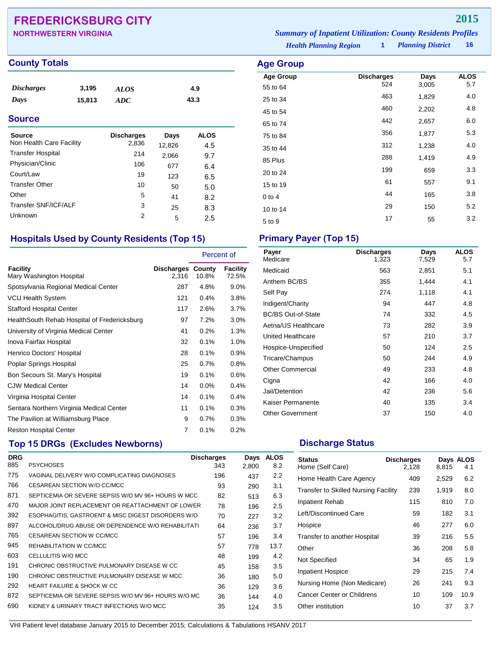## **FREDERICKSBURG CITY 2015**

| <b>County Totals</b> | <b>Age Group</b> |
|----------------------|------------------|
|                      |                  |

| <i>Discharges</i> | 3,195  | ALOS | 4.9  |
|-------------------|--------|------|------|
| Days              | 15.813 | ADC  | 43.3 |

### **Source**

| Source<br>Non Health Care Facility | <b>Discharges</b><br>2,836 | Days<br>12,826 | <b>ALOS</b><br>4.5 |
|------------------------------------|----------------------------|----------------|--------------------|
| <b>Transfer Hospital</b>           | 214                        | 2,066          | 9.7                |
| Physician/Clinic                   | 106                        | 677            | 6.4                |
| Court/Law                          | 19                         | 123            | 6.5                |
| <b>Transfer Other</b>              | 10                         | 50             | 5.0                |
| Other                              | 5                          | 41             | 8.2                |
| Transfer SNF/ICF/ALF               | 3                          | 25             | 8.3                |
| Unknown                            | 2                          | 5              | 2.5                |

## **Hospitals Used by County Residents (Top 15) Primary Payer (Top 15)**

|                                              |                                   | Percent of |                   |
|----------------------------------------------|-----------------------------------|------------|-------------------|
| Facility<br>Mary Washington Hospital         | <b>Discharges County</b><br>2.316 | 10.8%      | Facility<br>72.5% |
| Spotsylvania Regional Medical Center         | 287                               | 4.8%       | $9.0\%$           |
| <b>VCU Health System</b>                     | 121                               | 0.4%       | 3.8%              |
| <b>Stafford Hospital Center</b>              | 117                               | 2.6%       | 3.7%              |
| HealthSouth Rehab Hospital of Fredericksburg | 97                                | 7.2%       | $3.0\%$           |
| University of Virginia Medical Center        | 41                                | 0.2%       | 1.3%              |
| Inova Fairfax Hospital                       | 32                                | 0.1%       | 1.0%              |
| Henrico Doctors' Hospital                    | 28                                | 0.1%       | 0.9%              |
| Poplar Springs Hospital                      | 25                                | 0.7%       | 0.8%              |
| Bon Secours St. Mary's Hospital              | 19                                | 0.1%       | 0.6%              |
| <b>CJW Medical Center</b>                    | 14                                | $0.0\%$    | 0.4%              |
| Virginia Hospital Center                     | 14                                | 0.1%       | 0.4%              |
| Sentara Northern Virginia Medical Center     | 11                                | 0.1%       | 0.3%              |
| The Pavilion at Williamsburg Place           | 9                                 | 0.7%       | 0.3%              |
| <b>Reston Hospital Center</b>                | $\overline{7}$                    | 0.1%       | $0.2\%$           |

## **Top 15 DRGs (Excludes Newborns) Discharge Status Discharge Status**

| <b>DRG</b> |                                                     | <b>Discharges</b> | Days  | <b>ALOS</b> |
|------------|-----------------------------------------------------|-------------------|-------|-------------|
| 885        | <b>PSYCHOSES</b>                                    | 343               | 2.800 | 8.2         |
| 775        | VAGINAL DELIVERY W/O COMPLICATING DIAGNOSES         | 196               | 437   | 2.2         |
| 766        | CESAREAN SECTION W/O CC/MCC                         | 93                | 290   | 3.1         |
| 871        | SEPTICEMIA OR SEVERE SEPSIS W/O MV 96+ HOURS W MCC  | 82                | 513   | 6.3         |
| 470        | MAJOR JOINT REPLACEMENT OR REATTACHMENT OF LOWER    | 78                | 196   | 2.5         |
| 392        | ESOPHAGITIS, GASTROENT & MISC DIGEST DISORDERS W/O  | 70                | 227   | 3.2         |
| 897        | ALCOHOL/DRUG ABUSE OR DEPENDENCE W/O REHABILITATI   | 64                | 236   | 3.7         |
| 765        | CESAREAN SECTION W CC/MCC                           | 57                | 196   | 3.4         |
| 945        | REHABILITATION W CC/MCC                             | 57                | 778   | 13.7        |
| 603        | CELLULITIS W/O MCC                                  | 48                | 199   | 4.2         |
| 191        | CHRONIC OBSTRUCTIVE PULMONARY DISEASE W CC          | 45                | 158   | 3.5         |
| 190        | CHRONIC OBSTRUCTIVE PULMONARY DISEASE W MCC         | 36                | 180   | 5.0         |
| 292        | <b>HEART FAILURE &amp; SHOCK W CC</b>               | 36                | 129   | 3.6         |
| 872        | SEPTICEMIA OR SEVERE SEPSIS W/O MV 96+ HOURS W/O MC | 36                | 144   | 4.0         |
| 690        | KIDNEY & URINARY TRACT INFECTIONS W/O MCC           | 35                | 124   | 3.5         |

*Health Planning Region* **1** *Planning District* **16 NORTHWESTERN VIRGINIA** *Summary of Inpatient Utilization: County Residents Profiles*

| ing Distric |  |
|-------------|--|
|-------------|--|

| Age Group            |                          |               |                    |
|----------------------|--------------------------|---------------|--------------------|
| <b>Age Group</b>     | <b>Discharges</b><br>524 | Days<br>3,005 | <b>ALOS</b><br>5.7 |
| 55 to 64<br>25 to 34 | 463                      | 1,829         | 4.0                |
| 45 to 54             | 460                      | 2,202         | 4.8                |
| 65 to 74             | 442                      | 2,657         | 6.0                |
| 75 to 84             | 356                      | 1,877         | 5.3                |
| 35 to 44             | 312                      | 1,238         | 4.0                |
| 85 Plus              | 288                      | 1,419         | 4.9                |
| 20 to 24             | 199                      | 659           | 3.3                |
| 15 to 19             | 61                       | 557           | 9.1                |
| $0$ to $4$           | 44                       | 165           | 3.8                |
| 10 to 14             | 29                       | 150           | 5.2                |
| 5 to 9               | 17                       | 55            | 3.2                |

| Payer<br>Medicare         | <b>Discharges</b><br>1,323 | Days<br>7,529 | <b>ALOS</b><br>5.7 |
|---------------------------|----------------------------|---------------|--------------------|
| Medicaid                  | 563                        | 2,851         | 5.1                |
| Anthem BC/BS              | 355                        | 1,444         | 4.1                |
| Self Pay                  | 274                        | 1,118         | 4.1                |
| Indigent/Charity          | 94                         | 447           | 4.8                |
| <b>BC/BS Out-of-State</b> | 74                         | 332           | 4.5                |
| Aetna/US Healthcare       | 73                         | 282           | 3.9                |
| United Healthcare         | 57                         | 210           | 3.7                |
| Hospice-Unspecified       | 50                         | 124           | 2.5                |
| Tricare/Champus           | 50                         | 244           | 4.9                |
| <b>Other Commercial</b>   | 49                         | 233           | 4.8                |
| Cigna                     | 42                         | 166           | 4.0                |
| Jail/Detention            | 42                         | 236           | 5.6                |
| Kaiser Permanente         | 40                         | 135           | 3.4                |
| <b>Other Government</b>   | 37                         | 150           | 4.0                |

| <b>Status</b><br>Home (Self Care)           | <b>Discharges</b><br>2,128 | 8,815 | Days ALOS<br>4.1 |
|---------------------------------------------|----------------------------|-------|------------------|
| Home Health Care Agency                     | 409                        | 2,529 | 6.2              |
| <b>Transfer to Skilled Nursing Facility</b> | 239                        | 1,919 | 8.0              |
| <b>Inpatient Rehab</b>                      | 115                        | 810   | 7.0              |
| Left/Discontinued Care                      | 59                         | 182   | 3.1              |
| Hospice                                     | 46                         | 277   | 6.0              |
| Transfer to another Hospital                | 39                         | 216   | 5.5              |
| Other                                       | 36                         | 208   | 5.8              |
| Not Specified                               | 34                         | 65    | 1.9              |
| <b>Inpatient Hospice</b>                    | 29                         | 215   | 7.4              |
| Nursing Home (Non Medicare)                 | 26                         | 241   | 9.3              |
| Cancer Center or Childrens                  | 10                         | 109   | 10.9             |
| Other institution                           | 10                         | 37    | 3.7              |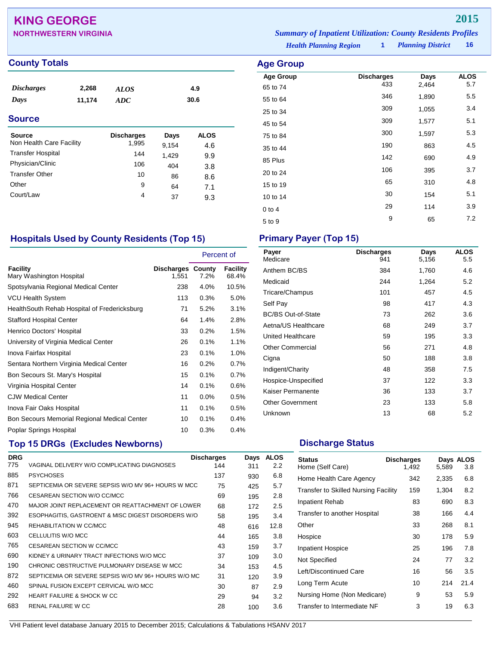## **KING GEORGE 2015**

| <b>NORTHWESTERN VIRGINIA</b> | <b>Summary of Inpatient Utilization: County Residents Profiles</b> |                          |      |
|------------------------------|--------------------------------------------------------------------|--------------------------|------|
|                              | <b>Health Planning Region</b>                                      | <b>Planning District</b> | ่ 16 |

### **County Totals Age Group**

| <b>Discharges</b><br>Days | 2,268<br>11,174 | ALOS<br><b>ADC</b> |       | 4.9<br>30.6 |
|---------------------------|-----------------|--------------------|-------|-------------|
| <b>Source</b>             |                 |                    |       |             |
| Source                    |                 | <b>Discharges</b>  | Days  | <b>ALOS</b> |
| Non Health Care Facility  |                 | 1,995              | 9,154 | 4.6         |
| <b>Transfer Hospital</b>  |                 | 144                | 1,429 | 9.9         |
| Physician/Clinic          |                 | 106                | 404   | 3.8         |
| <b>Transfer Other</b>     |                 | 10                 | 86    | 8.6         |
| Other                     |                 | 9                  | 64    | 7.1         |
| Court/Law                 |                 | 4                  | 37    | 9.3         |

**Age Group Discharges Days ALOS**<br>65 to 74 433 2,464 5.7 65 to 74 <sup>433</sup> 2,464 5.7 55 to 64 <sup>346</sup> 1,890 5.5 25 to 34 and 309 and 309 and 309 and 309 and 309 and 309 and 309 and 309 and 309 and 309 and 309 and 309 and 30 45 to 54 **309** 1,577 5.1 75 to 84 <sup>300</sup> 1,597 5.3 35 to 44 <sup>190</sup> <sup>863</sup> 4.5 85 Plus <sup>142</sup> <sup>690</sup> 4.9 20 to 24 <sup>106</sup> <sup>395</sup> 3.7 15 to 19 <sup>65</sup> <sup>310</sup> 4.8 10 to 14 **30** 154 5.1 0 to 4 29 114 3.9 5 to 9 <sup>9</sup> <sup>65</sup> 7.2

### **Hospitals Used by County Residents (Top 15) Primary Payer (Top 15)**

|                                              |                                   | Percent of |                   |
|----------------------------------------------|-----------------------------------|------------|-------------------|
| Facility<br>Mary Washington Hospital         | <b>Discharges County</b><br>1,551 | 7.2%       | Facility<br>68.4% |
| Spotsylvania Regional Medical Center         | 238                               | 4.0%       | 10.5%             |
| <b>VCU Health System</b>                     | 113                               | 0.3%       | 5.0%              |
| HealthSouth Rehab Hospital of Fredericksburg | 71                                | 5.2%       | 3.1%              |
| <b>Stafford Hospital Center</b>              | 64                                | 1.4%       | 2.8%              |
| Henrico Doctors' Hospital                    | 33                                | 0.2%       | 1.5%              |
| University of Virginia Medical Center        | 26                                | 0.1%       | 1.1%              |
| Inova Fairfax Hospital                       | 23                                | 0.1%       | 1.0%              |
| Sentara Northern Virginia Medical Center     | 16                                | 0.2%       | 0.7%              |
| Bon Secours St. Mary's Hospital              | 15                                | 0.1%       | 0.7%              |
| Virginia Hospital Center                     | 14                                | 0.1%       | 0.6%              |
| <b>CJW Medical Center</b>                    | 11                                | 0.0%       | 0.5%              |
| Inova Fair Oaks Hospital                     | 11                                | 0.1%       | 0.5%              |
| Bon Secours Memorial Regional Medical Center | 10                                | 0.1%       | 0.4%              |
| Poplar Springs Hospital                      | 10                                | 0.3%       | 0.4%              |

## **Top 15 DRGs (Excludes Newborns) Discharge Status Discharge Status**

| <b>DRG</b> |                                                     | <b>Discharges</b> | Days | <b>ALOS</b> |
|------------|-----------------------------------------------------|-------------------|------|-------------|
| 775        | VAGINAL DELIVERY W/O COMPLICATING DIAGNOSES         | 144               | 311  | 2.2         |
| 885        | <b>PSYCHOSES</b>                                    | 137               | 930  | 6.8         |
| 871        | SEPTICEMIA OR SEVERE SEPSIS W/O MV 96+ HOURS W MCC  | 75                | 425  | 5.7         |
| 766        | CESAREAN SECTION W/O CC/MCC                         | 69                | 195  | 2.8         |
| 470        | MAJOR JOINT REPLACEMENT OR REATTACHMENT OF LOWER    | 68                | 172  | 2.5         |
| 392        | ESOPHAGITIS, GASTROENT & MISC DIGEST DISORDERS W/O  | 58                | 195  | 3.4         |
| 945        | REHABILITATION W CC/MCC                             | 48                | 616  | 12.8        |
| 603        | CELLULITIS W/O MCC                                  | 44                | 165  | 3.8         |
| 765        | CESAREAN SECTION W CC/MCC                           | 43                | 159  | 3.7         |
| 690        | KIDNEY & URINARY TRACT INFECTIONS W/O MCC           | 37                | 109  | 3.0         |
| 190        | CHRONIC OBSTRUCTIVE PULMONARY DISEASE W MCC         | 34                | 153  | 4.5         |
| 872        | SEPTICEMIA OR SEVERE SEPSIS W/O MV 96+ HOURS W/O MC | 31                | 120  | 3.9         |
| 460        | SPINAL FUSION EXCEPT CERVICAL W/O MCC               | 30                | 87   | 2.9         |
| 292        | HEART FAILURE & SHOCK W CC                          | 29                | 94   | 3.2         |
| 683        | RENAL FAILURE W CC                                  | 28                | 100  | 3.6         |

| Payer<br>Medicare         | <b>Discharges</b><br>941 | Days<br>5,156 | <b>ALOS</b><br>5.5 |
|---------------------------|--------------------------|---------------|--------------------|
| Anthem BC/BS              | 384                      | 1,760         | 4.6                |
| Medicaid                  | 244                      | 1,264         | 5.2                |
| Tricare/Champus           | 101                      | 457           | 4.5                |
| Self Pay                  | 98                       | 417           | 4.3                |
| <b>BC/BS Out-of-State</b> | 73                       | 262           | 3.6                |
| Aetna/US Healthcare       | 68                       | 249           | 3.7                |
| <b>United Healthcare</b>  | 59                       | 195           | 3.3                |
| <b>Other Commercial</b>   | 56                       | 271           | 4.8                |
| Cigna                     | 50                       | 188           | 3.8                |
| Indigent/Charity          | 48                       | 358           | 7.5                |
| Hospice-Unspecified       | 37                       | 122           | 3.3                |
| Kaiser Permanente         | 36                       | 133           | 3.7                |
| <b>Other Government</b>   | 23                       | 133           | 5.8                |
| Unknown                   | 13                       | 68            | 5.2                |

| <b>Status</b><br>Home (Self Care)           | <b>Discharges</b><br>1,492 | 5,589 | Days ALOS<br>3.8 |
|---------------------------------------------|----------------------------|-------|------------------|
| Home Health Care Agency                     | 342                        | 2,335 | 6.8              |
| <b>Transfer to Skilled Nursing Facility</b> | 159                        | 1,304 | 8.2              |
| <b>Inpatient Rehab</b>                      | 83                         | 690   | 8.3              |
| Transfer to another Hospital                | 38                         | 166   | 4.4              |
| Other                                       | 33                         | 268   | 8.1              |
| Hospice                                     | 30                         | 178   | 5.9              |
| <b>Inpatient Hospice</b>                    | 25                         | 196   | 7.8              |
| Not Specified                               | 24                         | 77    | 3.2              |
| Left/Discontinued Care                      | 16                         | 56    | 3.5              |
| Long Term Acute                             | 10                         | 214   | 21.4             |
| Nursing Home (Non Medicare)                 | 9                          | 53    | 5.9              |
| Transfer to Intermediate NF                 | 3                          | 19    | 6.3              |